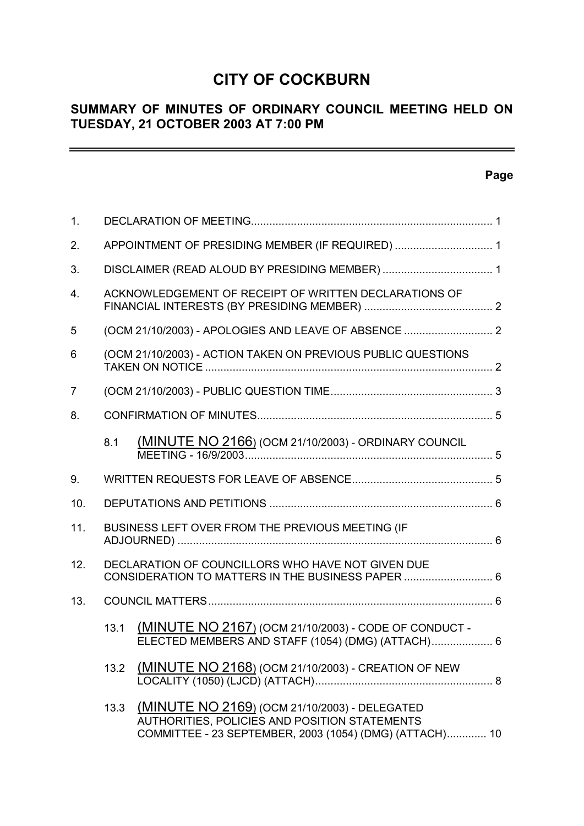# **CITY OF COCKBURN**

# **SUMMARY OF MINUTES OF ORDINARY COUNCIL MEETING HELD ON TUESDAY, 21 OCTOBER 2003 AT 7:00 PM**

# **Page**

 $\equiv$ 

| 1 <sub>1</sub> |                                                  |                                                                                                                                                           |  |
|----------------|--------------------------------------------------|-----------------------------------------------------------------------------------------------------------------------------------------------------------|--|
| 2.             | APPOINTMENT OF PRESIDING MEMBER (IF REQUIRED)  1 |                                                                                                                                                           |  |
| 3.             |                                                  |                                                                                                                                                           |  |
| $\mathbf{4}$ . |                                                  | ACKNOWLEDGEMENT OF RECEIPT OF WRITTEN DECLARATIONS OF                                                                                                     |  |
| 5              |                                                  |                                                                                                                                                           |  |
| 6              |                                                  | (OCM 21/10/2003) - ACTION TAKEN ON PREVIOUS PUBLIC QUESTIONS                                                                                              |  |
| 7              |                                                  |                                                                                                                                                           |  |
| 8.             |                                                  |                                                                                                                                                           |  |
|                | 8.1                                              | <u>(MINUTE NO 2166)</u> (OCM 21/10/2003) - ORDINARY COUNCIL                                                                                               |  |
| 9.             |                                                  |                                                                                                                                                           |  |
| 10.            |                                                  |                                                                                                                                                           |  |
| 11.            |                                                  | BUSINESS LEFT OVER FROM THE PREVIOUS MEETING (IF                                                                                                          |  |
| 12.            |                                                  | DECLARATION OF COUNCILLORS WHO HAVE NOT GIVEN DUE<br>CONSIDERATION TO MATTERS IN THE BUSINESS PAPER  6                                                    |  |
| 13.            |                                                  |                                                                                                                                                           |  |
|                | 13.1                                             | (MINUTE NO 2167) (OCM 21/10/2003) - CODE OF CONDUCT -<br>ELECTED MEMBERS AND STAFF (1054) (DMG) (ATTACH) 6                                                |  |
|                |                                                  | 13.2 (MINUTE NO 2168) (OCM 21/10/2003) - CREATION OF NEW                                                                                                  |  |
|                | 13.3                                             | (MINUTE NO 2169) (OCM 21/10/2003) - DELEGATED<br>AUTHORITIES, POLICIES AND POSITION STATEMENTS<br>COMMITTEE - 23 SEPTEMBER, 2003 (1054) (DMG) (ATTACH) 10 |  |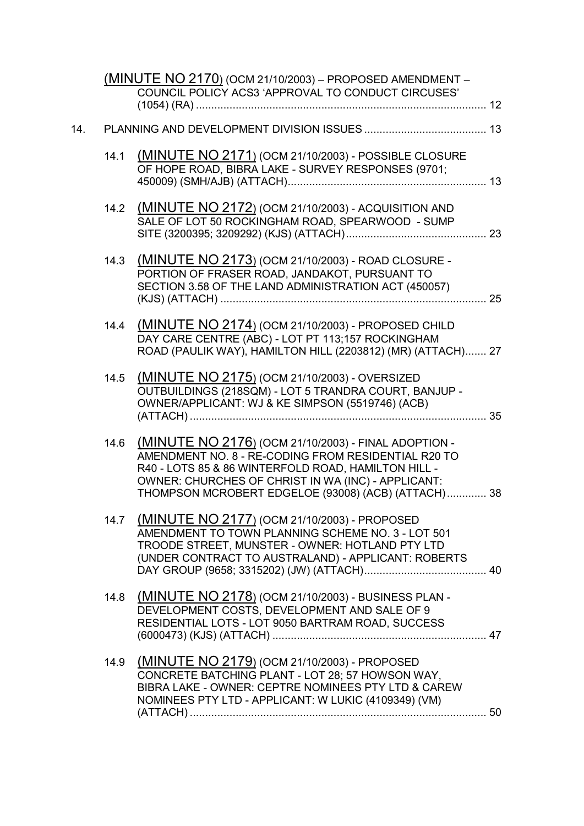|     |      | <u> (MINUTE NO 2170)</u> (ОСМ 21/10/2003) – PROPOSED AMENDMENT –<br>COUNCIL POLICY ACS3 'APPROVAL TO CONDUCT CIRCUSES'                                                                                                                                                          |  |
|-----|------|---------------------------------------------------------------------------------------------------------------------------------------------------------------------------------------------------------------------------------------------------------------------------------|--|
| 14. |      |                                                                                                                                                                                                                                                                                 |  |
|     | 14.1 | (MINUTE NO 2171) (OCM 21/10/2003) - POSSIBLE CLOSURE<br>OF HOPE ROAD, BIBRA LAKE - SURVEY RESPONSES (9701;                                                                                                                                                                      |  |
|     |      | 14.2 (MINUTE NO 2172) (OCM 21/10/2003) - ACQUISITION AND<br>SALE OF LOT 50 ROCKINGHAM ROAD, SPEARWOOD - SUMP                                                                                                                                                                    |  |
|     | 14.3 | (MINUTE NO 2173) (OCM 21/10/2003) - ROAD CLOSURE -<br>PORTION OF FRASER ROAD, JANDAKOT, PURSUANT TO<br>SECTION 3.58 OF THE LAND ADMINISTRATION ACT (450057)                                                                                                                     |  |
|     | 14.4 | (MINUTE NO 2174) (OCM 21/10/2003) - PROPOSED CHILD<br>DAY CARE CENTRE (ABC) - LOT PT 113;157 ROCKINGHAM<br>ROAD (PAULIK WAY), HAMILTON HILL (2203812) (MR) (ATTACH) 27                                                                                                          |  |
|     | 14.5 | (MINUTE NO 2175) (OCM 21/10/2003) - OVERSIZED<br>OUTBUILDINGS (218SQM) - LOT 5 TRANDRA COURT, BANJUP -<br>OWNER/APPLICANT: WJ & KE SIMPSON (5519746) (ACB)                                                                                                                      |  |
|     | 14.6 | (MINUTE NO 2176) (OCM 21/10/2003) - FINAL ADOPTION -<br>AMENDMENT NO. 8 - RE-CODING FROM RESIDENTIAL R20 TO<br>R40 - LOTS 85 & 86 WINTERFOLD ROAD, HAMILTON HILL -<br>OWNER: CHURCHES OF CHRIST IN WA (INC) - APPLICANT:<br>THOMPSON MCROBERT EDGELOE (93008) (ACB) (ATTACH) 38 |  |
|     |      | 14.7 (MINUTE NO 2177) (OCM 21/10/2003) - PROPOSED<br>AMENDMENT TO TOWN PLANNING SCHEME NO. 3 - LOT 501<br>TROODE STREET, MUNSTER - OWNER: HOTLAND PTY LTD<br>(UNDER CONTRACT TO AUSTRALAND) - APPLICANT: ROBERTS                                                                |  |
|     | 14.8 | (MINUTE NO 2178) (OCM 21/10/2003) - BUSINESS PLAN -<br>DEVELOPMENT COSTS, DEVELOPMENT AND SALE OF 9<br>RESIDENTIAL LOTS - LOT 9050 BARTRAM ROAD, SUCCESS                                                                                                                        |  |
|     | 14.9 | (MINUTE NO 2179) (OCM 21/10/2003) - PROPOSED<br>CONCRETE BATCHING PLANT - LOT 28; 57 HOWSON WAY,<br>BIBRA LAKE - OWNER: CEPTRE NOMINEES PTY LTD & CAREW<br>NOMINEES PTY LTD - APPLICANT: W LUKIC (4109349) (VM)                                                                 |  |
|     |      |                                                                                                                                                                                                                                                                                 |  |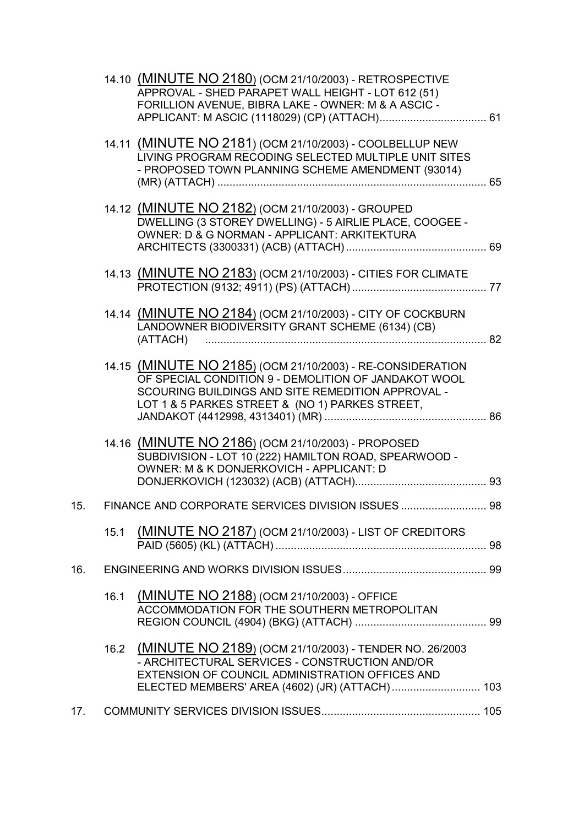|     |      | 14.10 (MINUTE NO 2180) (OCM 21/10/2003) - RETROSPECTIVE<br>APPROVAL - SHED PARAPET WALL HEIGHT - LOT 612 (51)<br>FORILLION AVENUE, BIBRA LAKE - OWNER: M & A ASCIC -                                                       |  |
|-----|------|----------------------------------------------------------------------------------------------------------------------------------------------------------------------------------------------------------------------------|--|
|     |      |                                                                                                                                                                                                                            |  |
|     |      | 14.11 (MINUTE NO 2181) (OCM 21/10/2003) - COOLBELLUP NEW<br>LIVING PROGRAM RECODING SELECTED MULTIPLE UNIT SITES<br>- PROPOSED TOWN PLANNING SCHEME AMENDMENT (93014)                                                      |  |
|     |      | 14.12 (MINUTE NO 2182) (OCM 21/10/2003) - GROUPED<br>DWELLING (3 STOREY DWELLING) - 5 AIRLIE PLACE, COOGEE -<br>OWNER: D & G NORMAN - APPLICANT: ARKITEKTURA                                                               |  |
|     |      | 14.13 (MINUTE NO 2183) (OCM 21/10/2003) - CITIES FOR CLIMATE                                                                                                                                                               |  |
|     |      | 14.14 (MINUTE NO 2184) (OCM 21/10/2003) - CITY OF COCKBURN<br>LANDOWNER BIODIVERSITY GRANT SCHEME (6134) (CB)                                                                                                              |  |
|     |      | 14.15 (MINUTE NO 2185) (OCM 21/10/2003) - RE-CONSIDERATION<br>OF SPECIAL CONDITION 9 - DEMOLITION OF JANDAKOT WOOL<br>SCOURING BUILDINGS AND SITE REMEDITION APPROVAL -<br>LOT 1 & 5 PARKES STREET & (NO 1) PARKES STREET, |  |
|     |      | 14.16 (MINUTE NO 2186) (OCM 21/10/2003) - PROPOSED<br>SUBDIVISION - LOT 10 (222) HAMILTON ROAD, SPEARWOOD -<br>OWNER: M & K DONJERKOVICH - APPLICANT: D                                                                    |  |
| 15. |      | FINANCE AND CORPORATE SERVICES DIVISION ISSUES  98                                                                                                                                                                         |  |
|     |      | 15.1 (MINUTE NO 2187) (OCM 21/10/2003) - LIST OF CREDITORS                                                                                                                                                                 |  |
| 16. |      |                                                                                                                                                                                                                            |  |
|     | 16.1 | (MINUTE NO 2188) (OCM 21/10/2003) - OFFICE<br>ACCOMMODATION FOR THE SOUTHERN METROPOLITAN                                                                                                                                  |  |
|     |      | 16.2 (MINUTE NO 2189) (OCM 21/10/2003) - TENDER NO. 26/2003<br>- ARCHITECTURAL SERVICES - CONSTRUCTION AND/OR<br>EXTENSION OF COUNCIL ADMINISTRATION OFFICES AND<br>ELECTED MEMBERS' AREA (4602) (JR) (ATTACH) 103         |  |
| 17. |      |                                                                                                                                                                                                                            |  |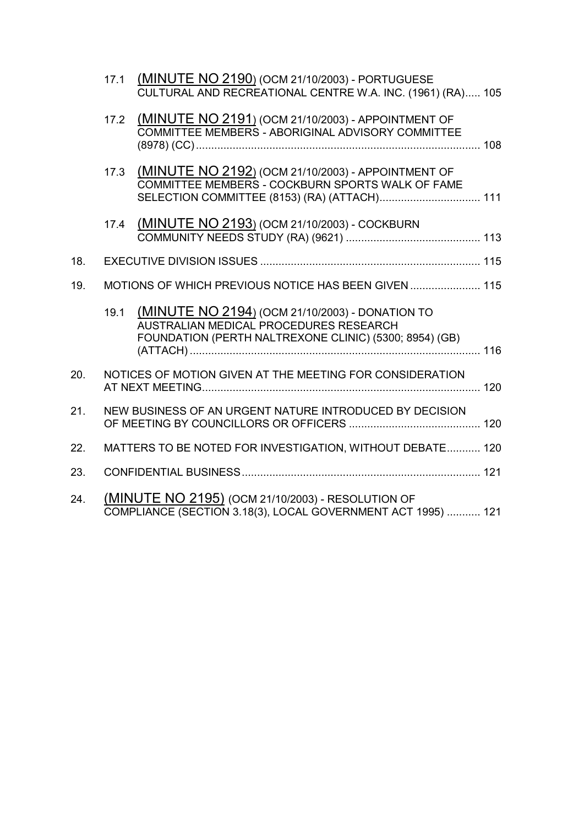|     | 17.1 | (MINUTE NO 2190) (OCM 21/10/2003) - PORTUGUESE<br>CULTURAL AND RECREATIONAL CENTRE W.A. INC. (1961) (RA) 105                                           |  |
|-----|------|--------------------------------------------------------------------------------------------------------------------------------------------------------|--|
|     | 17.2 | <b>(MINUTE NO 2191) (OCM 21/10/2003) - APPOINTMENT OF</b><br>COMMITTEE MEMBERS - ABORIGINAL ADVISORY COMMITTEE                                         |  |
|     | 17.3 | (MINUTE NO 2192) (OCM 21/10/2003) - APPOINTMENT OF<br>COMMITTEE MEMBERS - COCKBURN SPORTS WALK OF FAME<br>SELECTION COMMITTEE (8153) (RA) (ATTACH) 111 |  |
|     | 17.4 | (MINUTE NO 2193) (OCM 21/10/2003) - COCKBURN                                                                                                           |  |
| 18. |      |                                                                                                                                                        |  |
| 19. |      | MOTIONS OF WHICH PREVIOUS NOTICE HAS BEEN GIVEN  115                                                                                                   |  |
|     | 19.1 | (MINUTE NO 2194) (OCM 21/10/2003) - DONATION TO<br>AUSTRALIAN MEDICAL PROCEDURES RESEARCH<br>FOUNDATION (PERTH NALTREXONE CLINIC) (5300; 8954) (GB)    |  |
| 20. |      | NOTICES OF MOTION GIVEN AT THE MEETING FOR CONSIDERATION                                                                                               |  |
| 21. |      | NEW BUSINESS OF AN URGENT NATURE INTRODUCED BY DECISION                                                                                                |  |
| 22. |      | MATTERS TO BE NOTED FOR INVESTIGATION, WITHOUT DEBATE 120                                                                                              |  |
| 23. |      |                                                                                                                                                        |  |
| 24. |      | (MINUTE NO 2195) (OCM 21/10/2003) - RESOLUTION OF<br>COMPLIANCE (SECTION 3.18(3), LOCAL GOVERNMENT ACT 1995)  121                                      |  |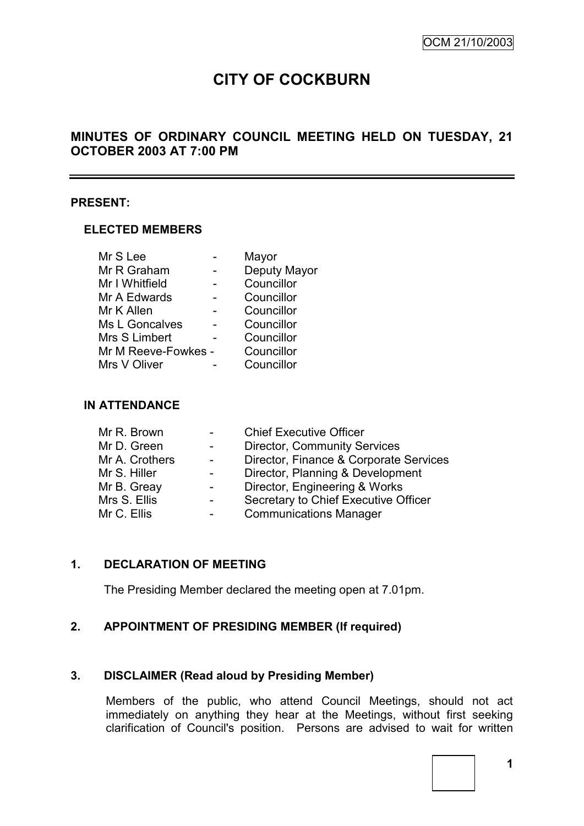# **CITY OF COCKBURN**

# **MINUTES OF ORDINARY COUNCIL MEETING HELD ON TUESDAY, 21 OCTOBER 2003 AT 7:00 PM**

#### **PRESENT:**

#### **ELECTED MEMBERS**

|                     | Mayor        |
|---------------------|--------------|
|                     | Deputy Mayor |
|                     | Councillor   |
|                     | Councillor   |
|                     | Councillor   |
|                     | Councillor   |
|                     | Councillor   |
| Mr M Reeve-Fowkes - | Councillor   |
|                     | Councillor   |
|                     |              |

#### **IN ATTENDANCE**

| Mr R. Brown    | <b>Chief Executive Officer</b>         |
|----------------|----------------------------------------|
| Mr D. Green    | <b>Director, Community Services</b>    |
| Mr A. Crothers | Director, Finance & Corporate Services |
| Mr S. Hiller   | Director, Planning & Development       |
| Mr B. Greay    | Director, Engineering & Works          |
| Mrs S. Ellis   | Secretary to Chief Executive Officer   |
| Mr C. Ellis    | <b>Communications Manager</b>          |

#### **1. DECLARATION OF MEETING**

The Presiding Member declared the meeting open at 7.01pm.

#### **2. APPOINTMENT OF PRESIDING MEMBER (If required)**

#### **3. DISCLAIMER (Read aloud by Presiding Member)**

Members of the public, who attend Council Meetings, should not act immediately on anything they hear at the Meetings, without first seeking clarification of Council's position. Persons are advised to wait for written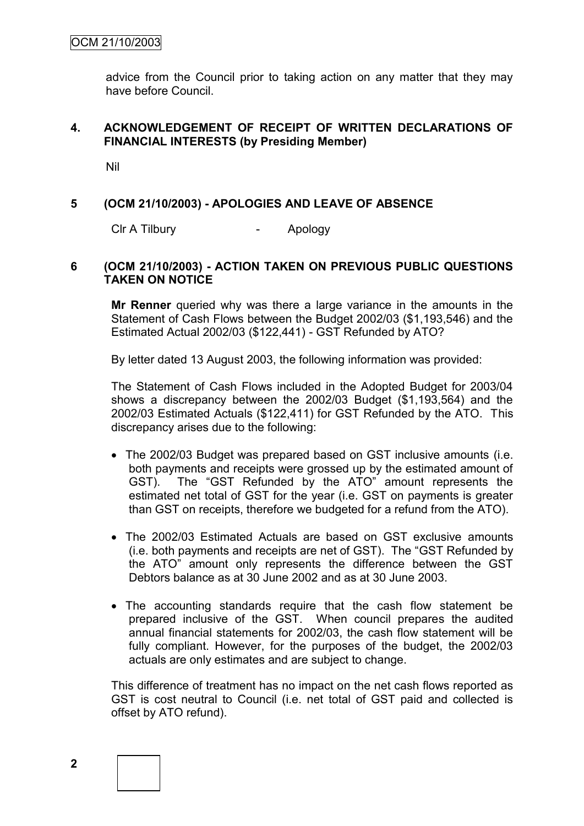advice from the Council prior to taking action on any matter that they may have before Council.

#### **4. ACKNOWLEDGEMENT OF RECEIPT OF WRITTEN DECLARATIONS OF FINANCIAL INTERESTS (by Presiding Member)**

Nil

#### **5 (OCM 21/10/2003) - APOLOGIES AND LEAVE OF ABSENCE**

Clr A Tilbury - Apology

#### **6 (OCM 21/10/2003) - ACTION TAKEN ON PREVIOUS PUBLIC QUESTIONS TAKEN ON NOTICE**

**Mr Renner** queried why was there a large variance in the amounts in the Statement of Cash Flows between the Budget 2002/03 (\$1,193,546) and the Estimated Actual 2002/03 (\$122,441) - GST Refunded by ATO?

By letter dated 13 August 2003, the following information was provided:

The Statement of Cash Flows included in the Adopted Budget for 2003/04 shows a discrepancy between the 2002/03 Budget (\$1,193,564) and the 2002/03 Estimated Actuals (\$122,411) for GST Refunded by the ATO. This discrepancy arises due to the following:

- The 2002/03 Budget was prepared based on GST inclusive amounts (i.e. both payments and receipts were grossed up by the estimated amount of GST). The "GST Refunded by the ATO" amount represents the estimated net total of GST for the year (i.e. GST on payments is greater than GST on receipts, therefore we budgeted for a refund from the ATO).
- The 2002/03 Estimated Actuals are based on GST exclusive amounts (i.e. both payments and receipts are net of GST). The "GST Refunded by the ATO" amount only represents the difference between the GST Debtors balance as at 30 June 2002 and as at 30 June 2003.
- The accounting standards require that the cash flow statement be prepared inclusive of the GST. When council prepares the audited annual financial statements for 2002/03, the cash flow statement will be fully compliant. However, for the purposes of the budget, the 2002/03 actuals are only estimates and are subject to change.

This difference of treatment has no impact on the net cash flows reported as GST is cost neutral to Council (i.e. net total of GST paid and collected is offset by ATO refund).

**2**

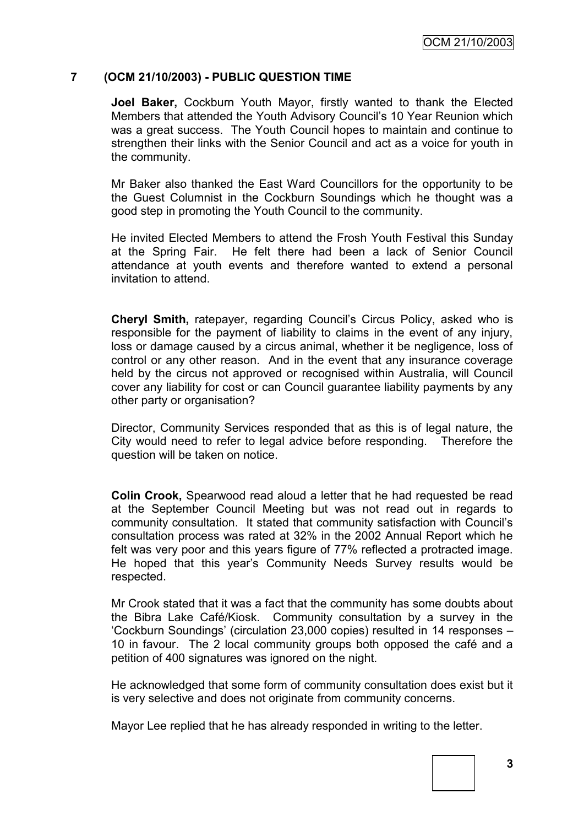#### **7 (OCM 21/10/2003) - PUBLIC QUESTION TIME**

**Joel Baker,** Cockburn Youth Mayor, firstly wanted to thank the Elected Members that attended the Youth Advisory Council"s 10 Year Reunion which was a great success. The Youth Council hopes to maintain and continue to strengthen their links with the Senior Council and act as a voice for youth in the community.

Mr Baker also thanked the East Ward Councillors for the opportunity to be the Guest Columnist in the Cockburn Soundings which he thought was a good step in promoting the Youth Council to the community.

He invited Elected Members to attend the Frosh Youth Festival this Sunday at the Spring Fair. He felt there had been a lack of Senior Council attendance at youth events and therefore wanted to extend a personal invitation to attend.

**Cheryl Smith,** ratepayer, regarding Council"s Circus Policy, asked who is responsible for the payment of liability to claims in the event of any injury, loss or damage caused by a circus animal, whether it be negligence, loss of control or any other reason. And in the event that any insurance coverage held by the circus not approved or recognised within Australia, will Council cover any liability for cost or can Council guarantee liability payments by any other party or organisation?

Director, Community Services responded that as this is of legal nature, the City would need to refer to legal advice before responding. Therefore the question will be taken on notice.

**Colin Crook,** Spearwood read aloud a letter that he had requested be read at the September Council Meeting but was not read out in regards to community consultation. It stated that community satisfaction with Council"s consultation process was rated at 32% in the 2002 Annual Report which he felt was very poor and this years figure of 77% reflected a protracted image. He hoped that this year"s Community Needs Survey results would be respected.

Mr Crook stated that it was a fact that the community has some doubts about the Bibra Lake Café/Kiosk. Community consultation by a survey in the "Cockburn Soundings" (circulation 23,000 copies) resulted in 14 responses – 10 in favour. The 2 local community groups both opposed the café and a petition of 400 signatures was ignored on the night.

He acknowledged that some form of community consultation does exist but it is very selective and does not originate from community concerns.

Mayor Lee replied that he has already responded in writing to the letter.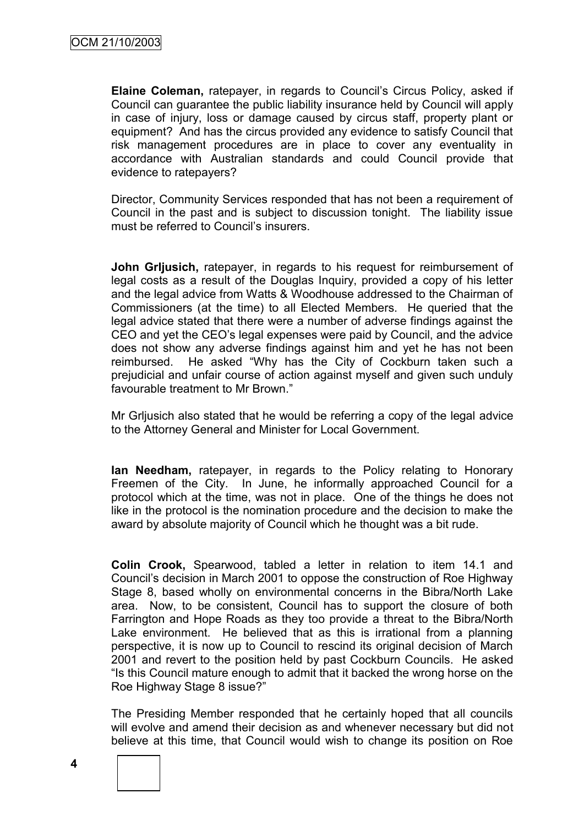**Elaine Coleman,** ratepayer, in regards to Council"s Circus Policy, asked if Council can guarantee the public liability insurance held by Council will apply in case of injury, loss or damage caused by circus staff, property plant or equipment? And has the circus provided any evidence to satisfy Council that risk management procedures are in place to cover any eventuality in accordance with Australian standards and could Council provide that evidence to ratepayers?

Director, Community Services responded that has not been a requirement of Council in the past and is subject to discussion tonight. The liability issue must be referred to Council's insurers.

**John Grljusich,** ratepayer, in regards to his request for reimbursement of legal costs as a result of the Douglas Inquiry, provided a copy of his letter and the legal advice from Watts & Woodhouse addressed to the Chairman of Commissioners (at the time) to all Elected Members. He queried that the legal advice stated that there were a number of adverse findings against the CEO and yet the CEO"s legal expenses were paid by Council, and the advice does not show any adverse findings against him and yet he has not been reimbursed. He asked "Why has the City of Cockburn taken such a prejudicial and unfair course of action against myself and given such unduly favourable treatment to Mr Brown."

Mr Grljusich also stated that he would be referring a copy of the legal advice to the Attorney General and Minister for Local Government.

**Ian Needham,** ratepayer, in regards to the Policy relating to Honorary Freemen of the City. In June, he informally approached Council for a protocol which at the time, was not in place. One of the things he does not like in the protocol is the nomination procedure and the decision to make the award by absolute majority of Council which he thought was a bit rude.

**Colin Crook,** Spearwood, tabled a letter in relation to item 14.1 and Council"s decision in March 2001 to oppose the construction of Roe Highway Stage 8, based wholly on environmental concerns in the Bibra/North Lake area. Now, to be consistent, Council has to support the closure of both Farrington and Hope Roads as they too provide a threat to the Bibra/North Lake environment. He believed that as this is irrational from a planning perspective, it is now up to Council to rescind its original decision of March 2001 and revert to the position held by past Cockburn Councils. He asked "Is this Council mature enough to admit that it backed the wrong horse on the Roe Highway Stage 8 issue?"

The Presiding Member responded that he certainly hoped that all councils will evolve and amend their decision as and whenever necessary but did not believe at this time, that Council would wish to change its position on Roe



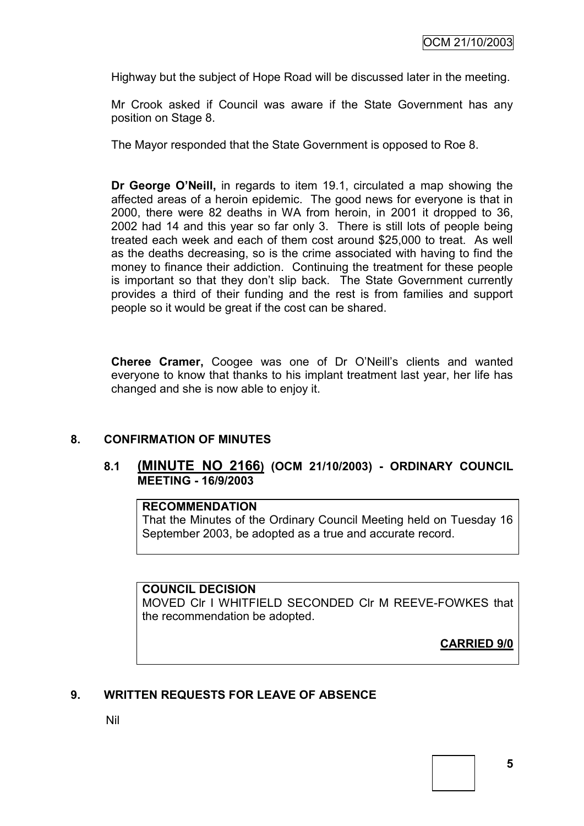Highway but the subject of Hope Road will be discussed later in the meeting.

Mr Crook asked if Council was aware if the State Government has any position on Stage 8.

The Mayor responded that the State Government is opposed to Roe 8.

**Dr George O'Neill,** in regards to item 19.1, circulated a map showing the affected areas of a heroin epidemic. The good news for everyone is that in 2000, there were 82 deaths in WA from heroin, in 2001 it dropped to 36, 2002 had 14 and this year so far only 3. There is still lots of people being treated each week and each of them cost around \$25,000 to treat. As well as the deaths decreasing, so is the crime associated with having to find the money to finance their addiction. Continuing the treatment for these people is important so that they don't slip back. The State Government currently provides a third of their funding and the rest is from families and support people so it would be great if the cost can be shared.

**Cheree Cramer,** Coogee was one of Dr O"Neill"s clients and wanted everyone to know that thanks to his implant treatment last year, her life has changed and she is now able to enjoy it.

#### **8. CONFIRMATION OF MINUTES**

#### **8.1 (MINUTE NO 2166) (OCM 21/10/2003) - ORDINARY COUNCIL MEETING - 16/9/2003**

#### **RECOMMENDATION**

That the Minutes of the Ordinary Council Meeting held on Tuesday 16 September 2003, be adopted as a true and accurate record.

#### **COUNCIL DECISION**

MOVED Clr I WHITFIELD SECONDED Clr M REEVE-FOWKES that the recommendation be adopted.

**CARRIED 9/0**

#### **9. WRITTEN REQUESTS FOR LEAVE OF ABSENCE**

Nil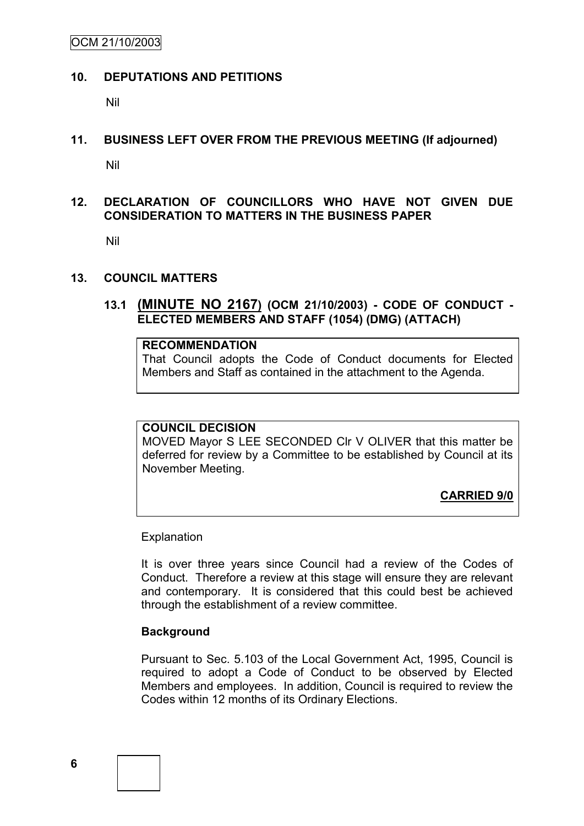OCM 21/10/2003

#### **10. DEPUTATIONS AND PETITIONS**

Nil

#### **11. BUSINESS LEFT OVER FROM THE PREVIOUS MEETING (If adjourned)**

Nil

# **12. DECLARATION OF COUNCILLORS WHO HAVE NOT GIVEN DUE CONSIDERATION TO MATTERS IN THE BUSINESS PAPER**

Nil

#### **13. COUNCIL MATTERS**

## **13.1 (MINUTE NO 2167) (OCM 21/10/2003) - CODE OF CONDUCT - ELECTED MEMBERS AND STAFF (1054) (DMG) (ATTACH)**

# **RECOMMENDATION**

That Council adopts the Code of Conduct documents for Elected Members and Staff as contained in the attachment to the Agenda.

#### **COUNCIL DECISION**

MOVED Mayor S LEE SECONDED Clr V OLIVER that this matter be deferred for review by a Committee to be established by Council at its November Meeting.

**CARRIED 9/0**

**Explanation** 

It is over three years since Council had a review of the Codes of Conduct. Therefore a review at this stage will ensure they are relevant and contemporary. It is considered that this could best be achieved through the establishment of a review committee.

#### **Background**

Pursuant to Sec. 5.103 of the Local Government Act, 1995, Council is required to adopt a Code of Conduct to be observed by Elected Members and employees. In addition, Council is required to review the Codes within 12 months of its Ordinary Elections.

**6**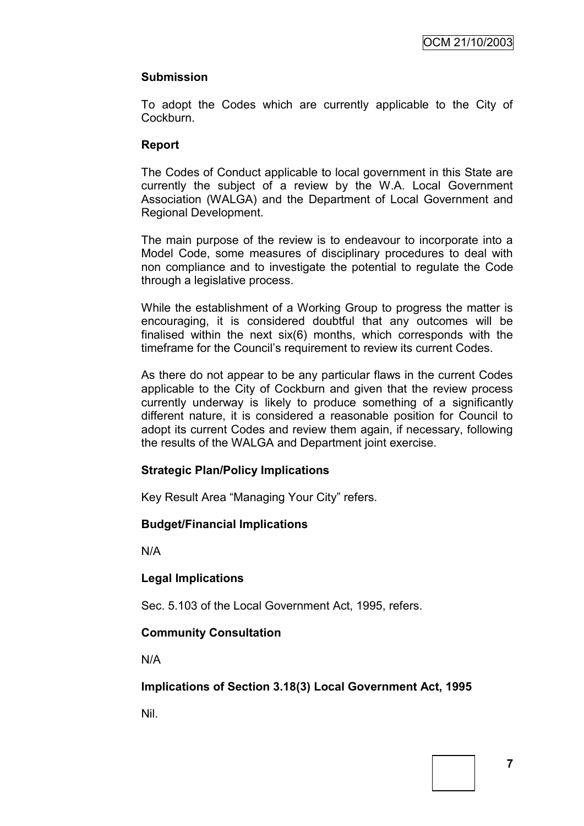# **Submission**

To adopt the Codes which are currently applicable to the City of Cockburn.

## **Report**

The Codes of Conduct applicable to local government in this State are currently the subject of a review by the W.A. Local Government Association (WALGA) and the Department of Local Government and Regional Development.

The main purpose of the review is to endeavour to incorporate into a Model Code, some measures of disciplinary procedures to deal with non compliance and to investigate the potential to regulate the Code through a legislative process.

While the establishment of a Working Group to progress the matter is encouraging, it is considered doubtful that any outcomes will be finalised within the next six(6) months, which corresponds with the timeframe for the Council"s requirement to review its current Codes.

As there do not appear to be any particular flaws in the current Codes applicable to the City of Cockburn and given that the review process currently underway is likely to produce something of a significantly different nature, it is considered a reasonable position for Council to adopt its current Codes and review them again, if necessary, following the results of the WALGA and Department joint exercise.

#### **Strategic Plan/Policy Implications**

Key Result Area "Managing Your City" refers.

#### **Budget/Financial Implications**

N/A

# **Legal Implications**

Sec. 5.103 of the Local Government Act, 1995, refers.

# **Community Consultation**

N/A

**Implications of Section 3.18(3) Local Government Act, 1995**

Nil.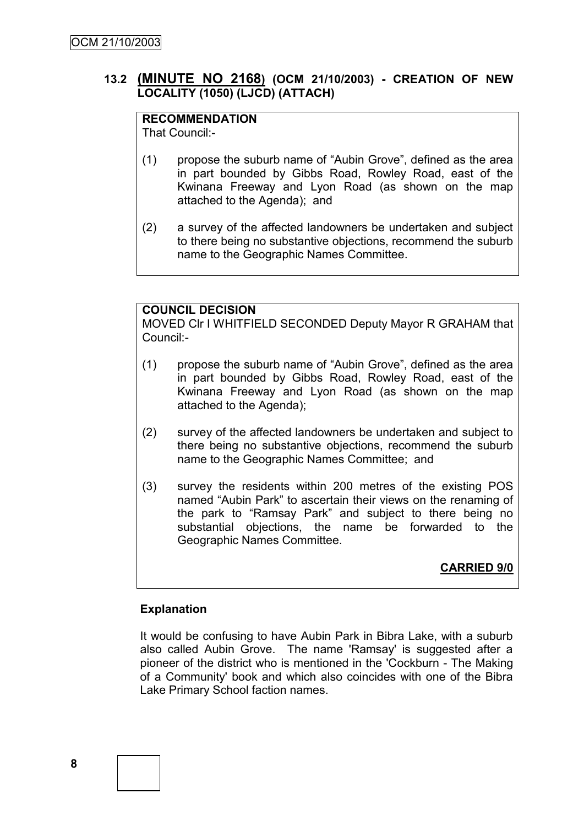# **13.2 (MINUTE NO 2168) (OCM 21/10/2003) - CREATION OF NEW LOCALITY (1050) (LJCD) (ATTACH)**

# **RECOMMENDATION**

That Council:-

- (1) propose the suburb name of "Aubin Grove", defined as the area in part bounded by Gibbs Road, Rowley Road, east of the Kwinana Freeway and Lyon Road (as shown on the map attached to the Agenda); and
- (2) a survey of the affected landowners be undertaken and subject to there being no substantive objections, recommend the suburb name to the Geographic Names Committee.

# **COUNCIL DECISION**

MOVED Clr I WHITFIELD SECONDED Deputy Mayor R GRAHAM that Council:-

- (1) propose the suburb name of "Aubin Grove", defined as the area in part bounded by Gibbs Road, Rowley Road, east of the Kwinana Freeway and Lyon Road (as shown on the map attached to the Agenda);
- (2) survey of the affected landowners be undertaken and subject to there being no substantive objections, recommend the suburb name to the Geographic Names Committee; and
- (3) survey the residents within 200 metres of the existing POS named "Aubin Park" to ascertain their views on the renaming of the park to "Ramsay Park" and subject to there being no substantial objections, the name be forwarded to the Geographic Names Committee.

# **CARRIED 9/0**

#### **Explanation**

It would be confusing to have Aubin Park in Bibra Lake, with a suburb also called Aubin Grove. The name 'Ramsay' is suggested after a pioneer of the district who is mentioned in the 'Cockburn - The Making of a Community' book and which also coincides with one of the Bibra Lake Primary School faction names.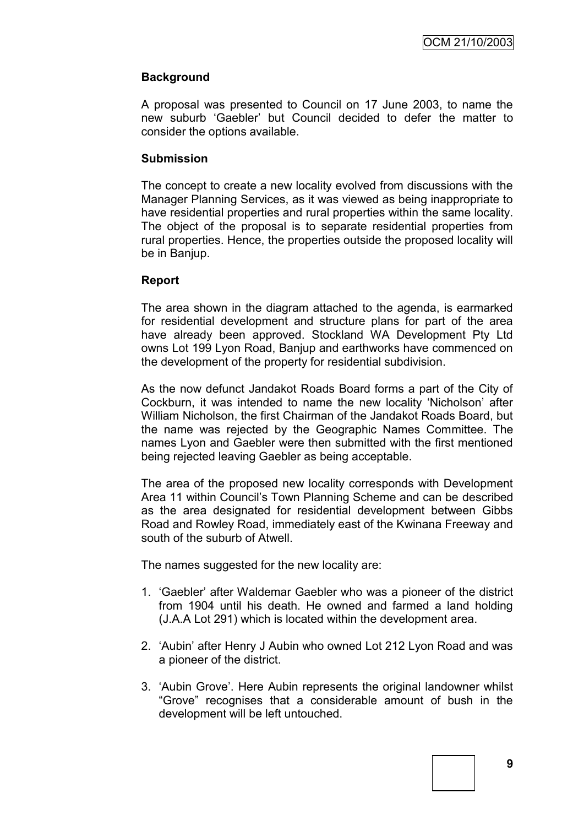# **Background**

A proposal was presented to Council on 17 June 2003, to name the new suburb "Gaebler" but Council decided to defer the matter to consider the options available.

#### **Submission**

The concept to create a new locality evolved from discussions with the Manager Planning Services, as it was viewed as being inappropriate to have residential properties and rural properties within the same locality. The object of the proposal is to separate residential properties from rural properties. Hence, the properties outside the proposed locality will be in Banjup.

#### **Report**

The area shown in the diagram attached to the agenda, is earmarked for residential development and structure plans for part of the area have already been approved. Stockland WA Development Pty Ltd owns Lot 199 Lyon Road, Banjup and earthworks have commenced on the development of the property for residential subdivision.

As the now defunct Jandakot Roads Board forms a part of the City of Cockburn, it was intended to name the new locality "Nicholson" after William Nicholson, the first Chairman of the Jandakot Roads Board, but the name was rejected by the Geographic Names Committee. The names Lyon and Gaebler were then submitted with the first mentioned being rejected leaving Gaebler as being acceptable.

The area of the proposed new locality corresponds with Development Area 11 within Council"s Town Planning Scheme and can be described as the area designated for residential development between Gibbs Road and Rowley Road, immediately east of the Kwinana Freeway and south of the suburb of Atwell.

The names suggested for the new locality are:

- 1. "Gaebler" after Waldemar Gaebler who was a pioneer of the district from 1904 until his death. He owned and farmed a land holding (J.A.A Lot 291) which is located within the development area.
- 2. "Aubin" after Henry J Aubin who owned Lot 212 Lyon Road and was a pioneer of the district.
- 3. "Aubin Grove". Here Aubin represents the original landowner whilst "Grove" recognises that a considerable amount of bush in the development will be left untouched.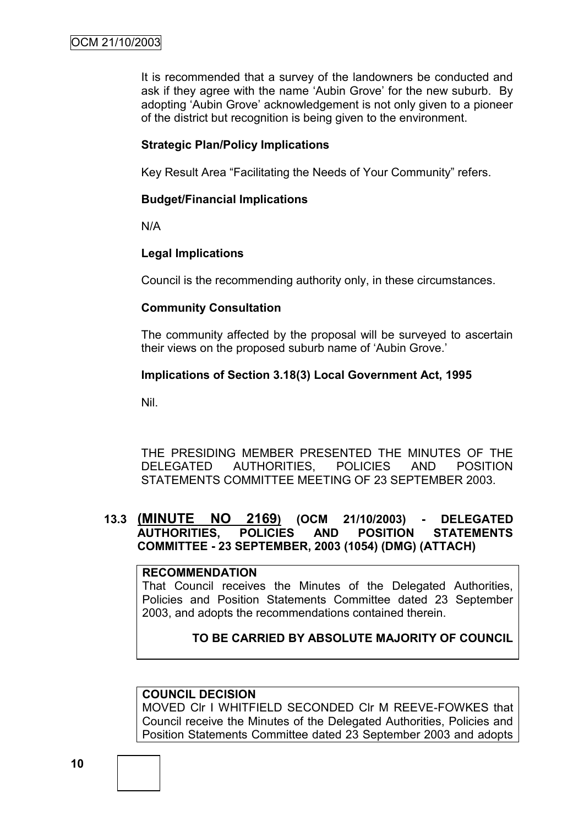It is recommended that a survey of the landowners be conducted and ask if they agree with the name 'Aubin Grove' for the new suburb. By adopting 'Aubin Grove' acknowledgement is not only given to a pioneer of the district but recognition is being given to the environment.

#### **Strategic Plan/Policy Implications**

Key Result Area "Facilitating the Needs of Your Community" refers.

## **Budget/Financial Implications**

N/A

## **Legal Implications**

Council is the recommending authority only, in these circumstances.

## **Community Consultation**

The community affected by the proposal will be surveyed to ascertain their views on the proposed suburb name of "Aubin Grove."

## **Implications of Section 3.18(3) Local Government Act, 1995**

Nil.

THE PRESIDING MEMBER PRESENTED THE MINUTES OF THE DELEGATED AUTHORITIES, POLICIES AND POSITION STATEMENTS COMMITTEE MEETING OF 23 SEPTEMBER 2003.

# **13.3 (MINUTE NO 2169) (OCM 21/10/2003) - DELEGATED AUTHORITIES, POLICIES AND POSITION STATEMENTS COMMITTEE - 23 SEPTEMBER, 2003 (1054) (DMG) (ATTACH)**

#### **RECOMMENDATION**

That Council receives the Minutes of the Delegated Authorities, Policies and Position Statements Committee dated 23 September 2003, and adopts the recommendations contained therein.

# **TO BE CARRIED BY ABSOLUTE MAJORITY OF COUNCIL**

# **COUNCIL DECISION**

MOVED Clr I WHITFIELD SECONDED Clr M REEVE-FOWKES that Council receive the Minutes of the Delegated Authorities, Policies and Position Statements Committee dated 23 September 2003 and adopts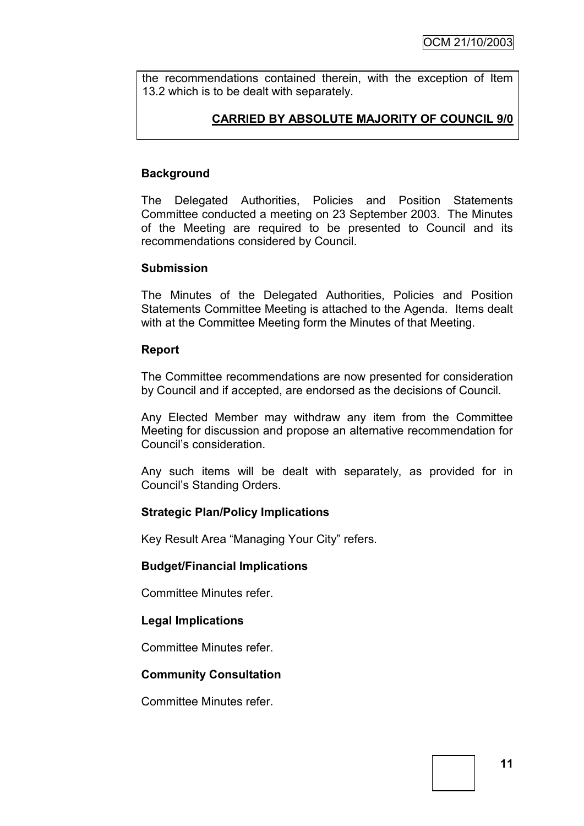the recommendations contained therein, with the exception of Item 13.2 which is to be dealt with separately.

# **CARRIED BY ABSOLUTE MAJORITY OF COUNCIL 9/0**

## **Background**

The Delegated Authorities, Policies and Position Statements Committee conducted a meeting on 23 September 2003. The Minutes of the Meeting are required to be presented to Council and its recommendations considered by Council.

#### **Submission**

The Minutes of the Delegated Authorities, Policies and Position Statements Committee Meeting is attached to the Agenda. Items dealt with at the Committee Meeting form the Minutes of that Meeting.

#### **Report**

The Committee recommendations are now presented for consideration by Council and if accepted, are endorsed as the decisions of Council.

Any Elected Member may withdraw any item from the Committee Meeting for discussion and propose an alternative recommendation for Council"s consideration.

Any such items will be dealt with separately, as provided for in Council"s Standing Orders.

#### **Strategic Plan/Policy Implications**

Key Result Area "Managing Your City" refers.

#### **Budget/Financial Implications**

Committee Minutes refer.

#### **Legal Implications**

Committee Minutes refer.

#### **Community Consultation**

Committee Minutes refer.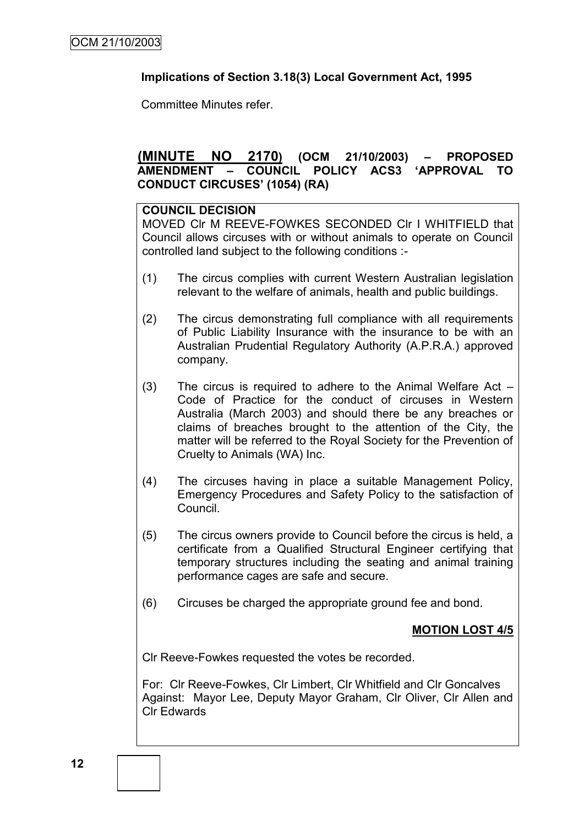## **Implications of Section 3.18(3) Local Government Act, 1995**

Committee Minutes refer.

# **(MINUTE NO 2170) (OCM 21/10/2003) – PROPOSED AMENDMENT – COUNCIL POLICY ACS3 'APPROVAL TO CONDUCT CIRCUSES' (1054) (RA)**

#### **COUNCIL DECISION**

MOVED Clr M REEVE-FOWKES SECONDED Clr I WHITFIELD that Council allows circuses with or without animals to operate on Council controlled land subject to the following conditions :-

- (1) The circus complies with current Western Australian legislation relevant to the welfare of animals, health and public buildings.
- (2) The circus demonstrating full compliance with all requirements of Public Liability Insurance with the insurance to be with an Australian Prudential Regulatory Authority (A.P.R.A.) approved company.
- (3) The circus is required to adhere to the Animal Welfare Act Code of Practice for the conduct of circuses in Western Australia (March 2003) and should there be any breaches or claims of breaches brought to the attention of the City, the matter will be referred to the Royal Society for the Prevention of Cruelty to Animals (WA) Inc.
- (4) The circuses having in place a suitable Management Policy, Emergency Procedures and Safety Policy to the satisfaction of Council.
- (5) The circus owners provide to Council before the circus is held, a certificate from a Qualified Structural Engineer certifying that temporary structures including the seating and animal training performance cages are safe and secure.
- (6) Circuses be charged the appropriate ground fee and bond.

# **MOTION LOST 4/5**

Clr Reeve-Fowkes requested the votes be recorded.

For: Clr Reeve-Fowkes, Clr Limbert, Clr Whitfield and Clr Goncalves Against: Mayor Lee, Deputy Mayor Graham, Clr Oliver, Clr Allen and Clr Edwards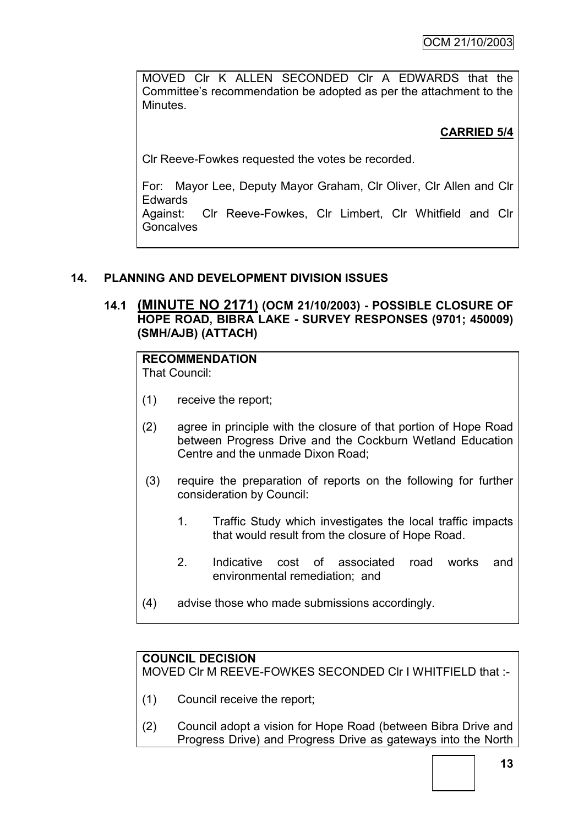MOVED Clr K ALLEN SECONDED Clr A EDWARDS that the Committee"s recommendation be adopted as per the attachment to the Minutes.

# **CARRIED 5/4**

Clr Reeve-Fowkes requested the votes be recorded.

For: Mayor Lee, Deputy Mayor Graham, Clr Oliver, Clr Allen and Clr Edwards

Against: Clr Reeve-Fowkes, Clr Limbert, Clr Whitfield and Clr **Goncalves** 

# **14. PLANNING AND DEVELOPMENT DIVISION ISSUES**

# **14.1 (MINUTE NO 2171) (OCM 21/10/2003) - POSSIBLE CLOSURE OF HOPE ROAD, BIBRA LAKE - SURVEY RESPONSES (9701; 450009) (SMH/AJB) (ATTACH)**

# **RECOMMENDATION**

That Council:

- (1) receive the report;
- (2) agree in principle with the closure of that portion of Hope Road between Progress Drive and the Cockburn Wetland Education Centre and the unmade Dixon Road;
- (3) require the preparation of reports on the following for further consideration by Council:
	- 1. Traffic Study which investigates the local traffic impacts that would result from the closure of Hope Road.
	- 2. Indicative cost of associated road works and environmental remediation; and
- (4) advise those who made submissions accordingly.

# **COUNCIL DECISION**

MOVED Clr M REEVE-FOWKES SECONDED Clr I WHITFIELD that :-

- (1) Council receive the report;
- (2) Council adopt a vision for Hope Road (between Bibra Drive and Progress Drive) and Progress Drive as gateways into the North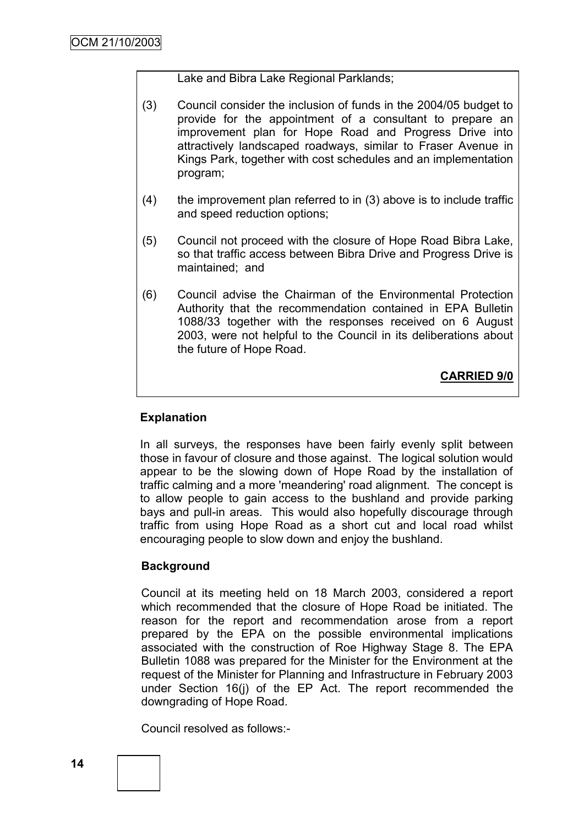Lake and Bibra Lake Regional Parklands;

- (3) Council consider the inclusion of funds in the 2004/05 budget to provide for the appointment of a consultant to prepare an improvement plan for Hope Road and Progress Drive into attractively landscaped roadways, similar to Fraser Avenue in Kings Park, together with cost schedules and an implementation program;
- (4) the improvement plan referred to in (3) above is to include traffic and speed reduction options;
- (5) Council not proceed with the closure of Hope Road Bibra Lake, so that traffic access between Bibra Drive and Progress Drive is maintained; and
- (6) Council advise the Chairman of the Environmental Protection Authority that the recommendation contained in EPA Bulletin 1088/33 together with the responses received on 6 August 2003, were not helpful to the Council in its deliberations about the future of Hope Road.

**CARRIED 9/0**

# **Explanation**

In all surveys, the responses have been fairly evenly split between those in favour of closure and those against. The logical solution would appear to be the slowing down of Hope Road by the installation of traffic calming and a more 'meandering' road alignment. The concept is to allow people to gain access to the bushland and provide parking bays and pull-in areas. This would also hopefully discourage through traffic from using Hope Road as a short cut and local road whilst encouraging people to slow down and enjoy the bushland.

#### **Background**

Council at its meeting held on 18 March 2003, considered a report which recommended that the closure of Hope Road be initiated. The reason for the report and recommendation arose from a report prepared by the EPA on the possible environmental implications associated with the construction of Roe Highway Stage 8. The EPA Bulletin 1088 was prepared for the Minister for the Environment at the request of the Minister for Planning and Infrastructure in February 2003 under Section 16(j) of the EP Act. The report recommended the downgrading of Hope Road.

Council resolved as follows:-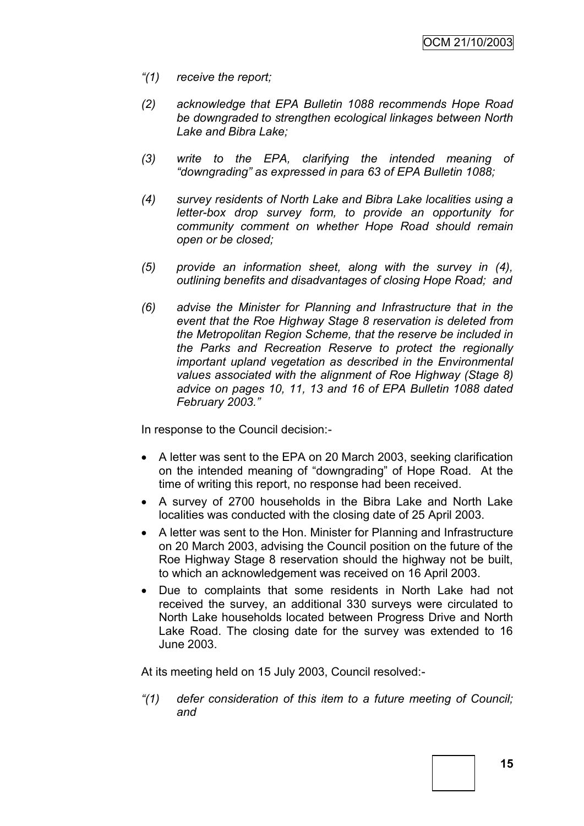- *"(1) receive the report;*
- *(2) acknowledge that EPA Bulletin 1088 recommends Hope Road be downgraded to strengthen ecological linkages between North Lake and Bibra Lake;*
- *(3) write to the EPA, clarifying the intended meaning of "downgrading" as expressed in para 63 of EPA Bulletin 1088;*
- *(4) survey residents of North Lake and Bibra Lake localities using a letter-box drop survey form, to provide an opportunity for community comment on whether Hope Road should remain open or be closed;*
- *(5) provide an information sheet, along with the survey in (4), outlining benefits and disadvantages of closing Hope Road; and*
- *(6) advise the Minister for Planning and Infrastructure that in the event that the Roe Highway Stage 8 reservation is deleted from the Metropolitan Region Scheme, that the reserve be included in the Parks and Recreation Reserve to protect the regionally important upland vegetation as described in the Environmental values associated with the alignment of Roe Highway (Stage 8) advice on pages 10, 11, 13 and 16 of EPA Bulletin 1088 dated February 2003."*

In response to the Council decision:-

- A letter was sent to the EPA on 20 March 2003, seeking clarification on the intended meaning of "downgrading" of Hope Road. At the time of writing this report, no response had been received.
- A survey of 2700 households in the Bibra Lake and North Lake localities was conducted with the closing date of 25 April 2003.
- A letter was sent to the Hon. Minister for Planning and Infrastructure on 20 March 2003, advising the Council position on the future of the Roe Highway Stage 8 reservation should the highway not be built, to which an acknowledgement was received on 16 April 2003.
- Due to complaints that some residents in North Lake had not received the survey, an additional 330 surveys were circulated to North Lake households located between Progress Drive and North Lake Road. The closing date for the survey was extended to 16 June 2003.

At its meeting held on 15 July 2003, Council resolved:-

*"(1) defer consideration of this item to a future meeting of Council; and*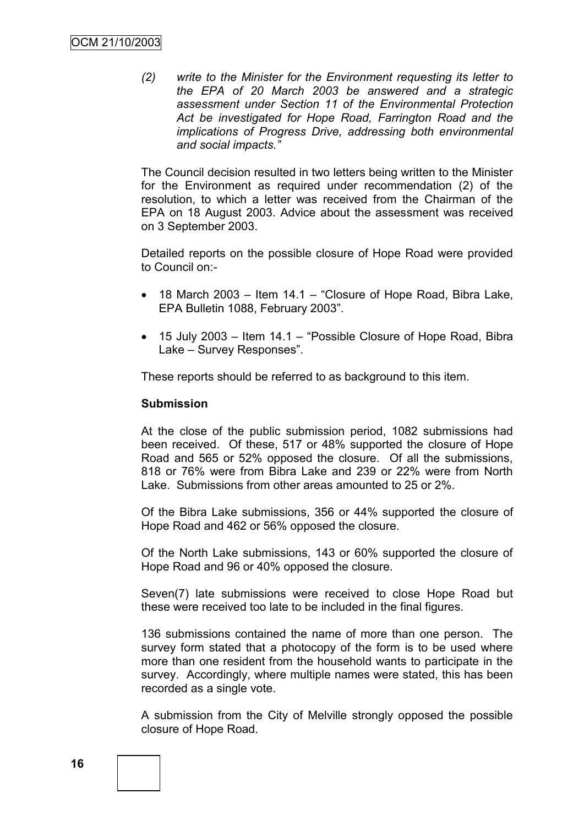*(2) write to the Minister for the Environment requesting its letter to the EPA of 20 March 2003 be answered and a strategic assessment under Section 11 of the Environmental Protection Act be investigated for Hope Road, Farrington Road and the implications of Progress Drive, addressing both environmental and social impacts."*

The Council decision resulted in two letters being written to the Minister for the Environment as required under recommendation (2) of the resolution, to which a letter was received from the Chairman of the EPA on 18 August 2003. Advice about the assessment was received on 3 September 2003.

Detailed reports on the possible closure of Hope Road were provided to Council on:-

- 18 March 2003 Item 14.1 "Closure of Hope Road, Bibra Lake, EPA Bulletin 1088, February 2003".
- 15 July 2003 Item 14.1 "Possible Closure of Hope Road, Bibra Lake – Survey Responses".

These reports should be referred to as background to this item.

#### **Submission**

At the close of the public submission period, 1082 submissions had been received. Of these, 517 or 48% supported the closure of Hope Road and 565 or 52% opposed the closure. Of all the submissions, 818 or 76% were from Bibra Lake and 239 or 22% were from North Lake. Submissions from other areas amounted to 25 or 2%.

Of the Bibra Lake submissions, 356 or 44% supported the closure of Hope Road and 462 or 56% opposed the closure.

Of the North Lake submissions, 143 or 60% supported the closure of Hope Road and 96 or 40% opposed the closure.

Seven(7) late submissions were received to close Hope Road but these were received too late to be included in the final figures.

136 submissions contained the name of more than one person. The survey form stated that a photocopy of the form is to be used where more than one resident from the household wants to participate in the survey. Accordingly, where multiple names were stated, this has been recorded as a single vote.

A submission from the City of Melville strongly opposed the possible closure of Hope Road.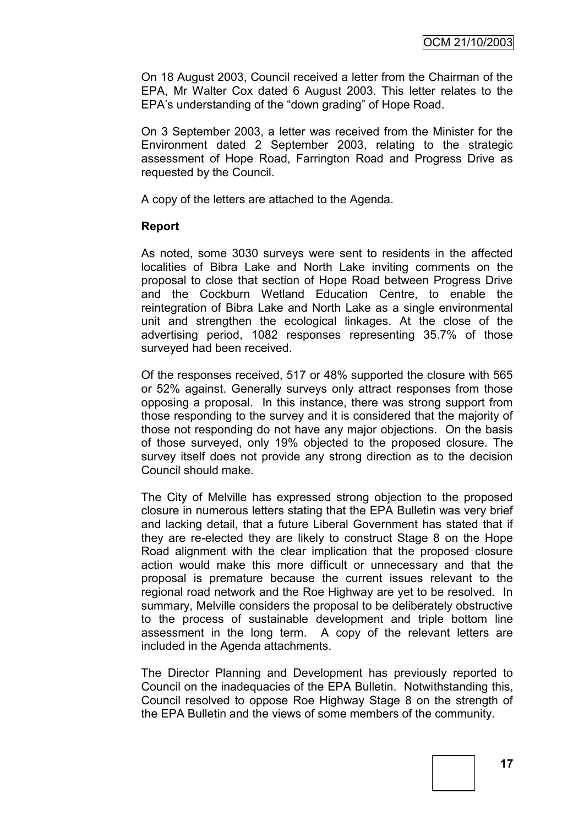On 18 August 2003, Council received a letter from the Chairman of the EPA, Mr Walter Cox dated 6 August 2003. This letter relates to the EPA"s understanding of the "down grading" of Hope Road.

On 3 September 2003, a letter was received from the Minister for the Environment dated 2 September 2003, relating to the strategic assessment of Hope Road, Farrington Road and Progress Drive as requested by the Council.

A copy of the letters are attached to the Agenda.

#### **Report**

As noted, some 3030 surveys were sent to residents in the affected localities of Bibra Lake and North Lake inviting comments on the proposal to close that section of Hope Road between Progress Drive and the Cockburn Wetland Education Centre, to enable the reintegration of Bibra Lake and North Lake as a single environmental unit and strengthen the ecological linkages. At the close of the advertising period, 1082 responses representing 35.7% of those surveyed had been received.

Of the responses received, 517 or 48% supported the closure with 565 or 52% against. Generally surveys only attract responses from those opposing a proposal. In this instance, there was strong support from those responding to the survey and it is considered that the majority of those not responding do not have any major objections. On the basis of those surveyed, only 19% objected to the proposed closure. The survey itself does not provide any strong direction as to the decision Council should make.

The City of Melville has expressed strong objection to the proposed closure in numerous letters stating that the EPA Bulletin was very brief and lacking detail, that a future Liberal Government has stated that if they are re-elected they are likely to construct Stage 8 on the Hope Road alignment with the clear implication that the proposed closure action would make this more difficult or unnecessary and that the proposal is premature because the current issues relevant to the regional road network and the Roe Highway are yet to be resolved. In summary, Melville considers the proposal to be deliberately obstructive to the process of sustainable development and triple bottom line assessment in the long term. A copy of the relevant letters are included in the Agenda attachments.

The Director Planning and Development has previously reported to Council on the inadequacies of the EPA Bulletin. Notwithstanding this, Council resolved to oppose Roe Highway Stage 8 on the strength of the EPA Bulletin and the views of some members of the community.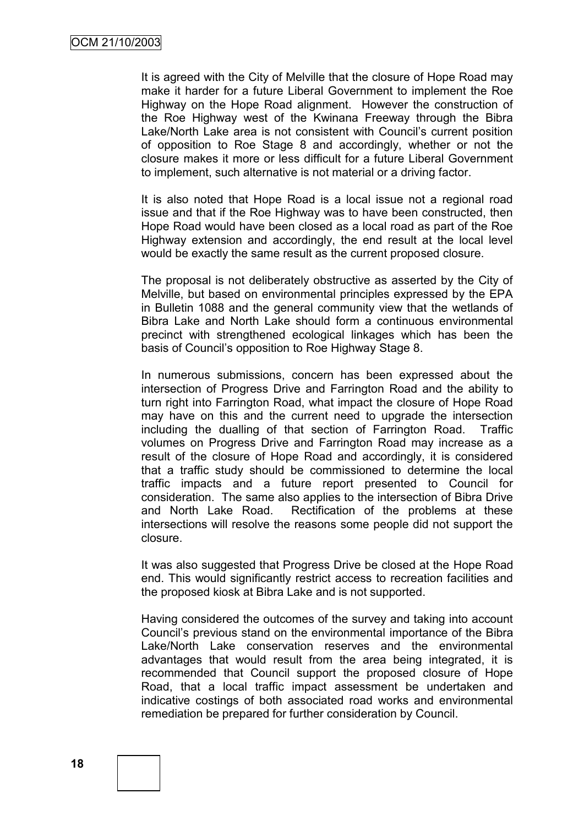It is agreed with the City of Melville that the closure of Hope Road may make it harder for a future Liberal Government to implement the Roe Highway on the Hope Road alignment. However the construction of the Roe Highway west of the Kwinana Freeway through the Bibra Lake/North Lake area is not consistent with Council's current position of opposition to Roe Stage 8 and accordingly, whether or not the closure makes it more or less difficult for a future Liberal Government to implement, such alternative is not material or a driving factor.

It is also noted that Hope Road is a local issue not a regional road issue and that if the Roe Highway was to have been constructed, then Hope Road would have been closed as a local road as part of the Roe Highway extension and accordingly, the end result at the local level would be exactly the same result as the current proposed closure.

The proposal is not deliberately obstructive as asserted by the City of Melville, but based on environmental principles expressed by the EPA in Bulletin 1088 and the general community view that the wetlands of Bibra Lake and North Lake should form a continuous environmental precinct with strengthened ecological linkages which has been the basis of Council"s opposition to Roe Highway Stage 8.

In numerous submissions, concern has been expressed about the intersection of Progress Drive and Farrington Road and the ability to turn right into Farrington Road, what impact the closure of Hope Road may have on this and the current need to upgrade the intersection including the dualling of that section of Farrington Road. Traffic volumes on Progress Drive and Farrington Road may increase as a result of the closure of Hope Road and accordingly, it is considered that a traffic study should be commissioned to determine the local traffic impacts and a future report presented to Council for consideration. The same also applies to the intersection of Bibra Drive and North Lake Road. Rectification of the problems at these intersections will resolve the reasons some people did not support the closure.

It was also suggested that Progress Drive be closed at the Hope Road end. This would significantly restrict access to recreation facilities and the proposed kiosk at Bibra Lake and is not supported.

Having considered the outcomes of the survey and taking into account Council"s previous stand on the environmental importance of the Bibra Lake/North Lake conservation reserves and the environmental advantages that would result from the area being integrated, it is recommended that Council support the proposed closure of Hope Road, that a local traffic impact assessment be undertaken and indicative costings of both associated road works and environmental remediation be prepared for further consideration by Council.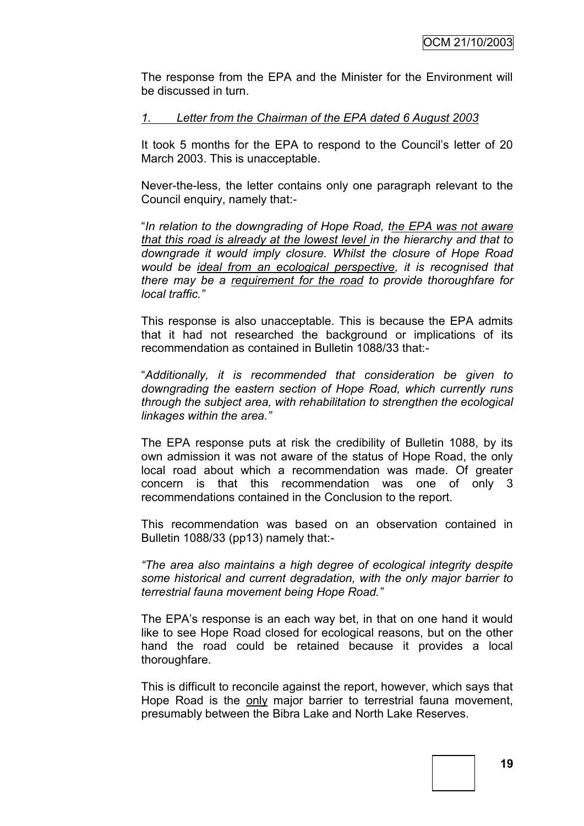The response from the EPA and the Minister for the Environment will be discussed in turn.

#### *1. Letter from the Chairman of the EPA dated 6 August 2003*

It took 5 months for the EPA to respond to the Council's letter of 20 March 2003. This is unacceptable.

Never-the-less, the letter contains only one paragraph relevant to the Council enquiry, namely that:-

"*In relation to the downgrading of Hope Road, the EPA was not aware that this road is already at the lowest level in the hierarchy and that to downgrade it would imply closure. Whilst the closure of Hope Road would be ideal from an ecological perspective, it is recognised that there may be a requirement for the road to provide thoroughfare for local traffic."*

This response is also unacceptable. This is because the EPA admits that it had not researched the background or implications of its recommendation as contained in Bulletin 1088/33 that:-

"*Additionally, it is recommended that consideration be given to downgrading the eastern section of Hope Road, which currently runs through the subject area, with rehabilitation to strengthen the ecological linkages within the area."*

The EPA response puts at risk the credibility of Bulletin 1088, by its own admission it was not aware of the status of Hope Road, the only local road about which a recommendation was made. Of greater concern is that this recommendation was one of only 3 recommendations contained in the Conclusion to the report.

This recommendation was based on an observation contained in Bulletin 1088/33 (pp13) namely that:-

*"The area also maintains a high degree of ecological integrity despite some historical and current degradation, with the only major barrier to terrestrial fauna movement being Hope Road."*

The EPA's response is an each way bet, in that on one hand it would like to see Hope Road closed for ecological reasons, but on the other hand the road could be retained because it provides a local thoroughfare.

This is difficult to reconcile against the report, however, which says that Hope Road is the only major barrier to terrestrial fauna movement, presumably between the Bibra Lake and North Lake Reserves.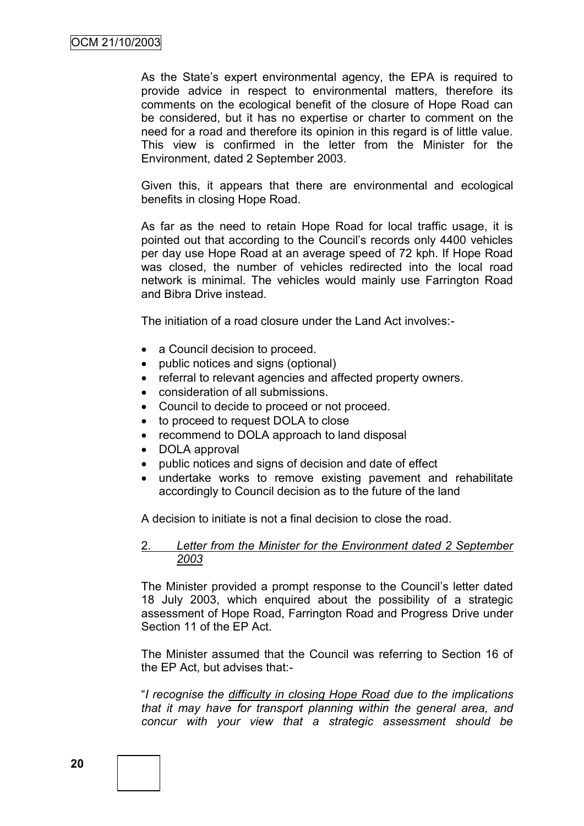As the State's expert environmental agency, the EPA is required to provide advice in respect to environmental matters, therefore its comments on the ecological benefit of the closure of Hope Road can be considered, but it has no expertise or charter to comment on the need for a road and therefore its opinion in this regard is of little value. This view is confirmed in the letter from the Minister for the Environment, dated 2 September 2003.

Given this, it appears that there are environmental and ecological benefits in closing Hope Road.

As far as the need to retain Hope Road for local traffic usage, it is pointed out that according to the Council"s records only 4400 vehicles per day use Hope Road at an average speed of 72 kph. If Hope Road was closed, the number of vehicles redirected into the local road network is minimal. The vehicles would mainly use Farrington Road and Bibra Drive instead.

The initiation of a road closure under the Land Act involves:-

- a Council decision to proceed.
- public notices and signs (optional)
- referral to relevant agencies and affected property owners.
- consideration of all submissions.
- Council to decide to proceed or not proceed.
- to proceed to request DOLA to close
- recommend to DOLA approach to land disposal
- DOLA approval
- public notices and signs of decision and date of effect
- undertake works to remove existing pavement and rehabilitate accordingly to Council decision as to the future of the land

A decision to initiate is not a final decision to close the road.

#### 2. *Letter from the Minister for the Environment dated 2 September 2003*

The Minister provided a prompt response to the Council"s letter dated 18 July 2003, which enquired about the possibility of a strategic assessment of Hope Road, Farrington Road and Progress Drive under Section 11 of the EP Act.

The Minister assumed that the Council was referring to Section 16 of the EP Act, but advises that:-

"*I recognise the difficulty in closing Hope Road due to the implications that it may have for transport planning within the general area, and concur with your view that a strategic assessment should be*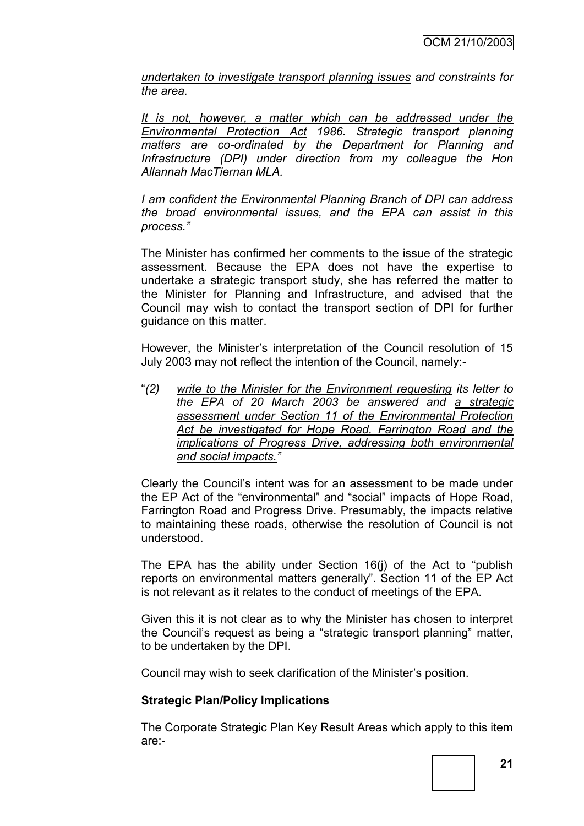*undertaken to investigate transport planning issues and constraints for the area.*

*It is not, however, a matter which can be addressed under the Environmental Protection Act 1986. Strategic transport planning matters are co-ordinated by the Department for Planning and Infrastructure (DPI) under direction from my colleague the Hon Allannah MacTiernan MLA.*

*I am confident the Environmental Planning Branch of DPI can address the broad environmental issues, and the EPA can assist in this process."*

The Minister has confirmed her comments to the issue of the strategic assessment. Because the EPA does not have the expertise to undertake a strategic transport study, she has referred the matter to the Minister for Planning and Infrastructure, and advised that the Council may wish to contact the transport section of DPI for further guidance on this matter.

However, the Minister's interpretation of the Council resolution of 15 July 2003 may not reflect the intention of the Council, namely:-

"*(2) write to the Minister for the Environment requesting its letter to the EPA of 20 March 2003 be answered and a strategic assessment under Section 11 of the Environmental Protection Act be investigated for Hope Road, Farrington Road and the implications of Progress Drive, addressing both environmental and social impacts."*

Clearly the Council"s intent was for an assessment to be made under the EP Act of the "environmental" and "social" impacts of Hope Road, Farrington Road and Progress Drive. Presumably, the impacts relative to maintaining these roads, otherwise the resolution of Council is not understood.

The EPA has the ability under Section 16(j) of the Act to "publish reports on environmental matters generally". Section 11 of the EP Act is not relevant as it relates to the conduct of meetings of the EPA.

Given this it is not clear as to why the Minister has chosen to interpret the Council"s request as being a "strategic transport planning" matter, to be undertaken by the DPI.

Council may wish to seek clarification of the Minister"s position.

#### **Strategic Plan/Policy Implications**

The Corporate Strategic Plan Key Result Areas which apply to this item are:-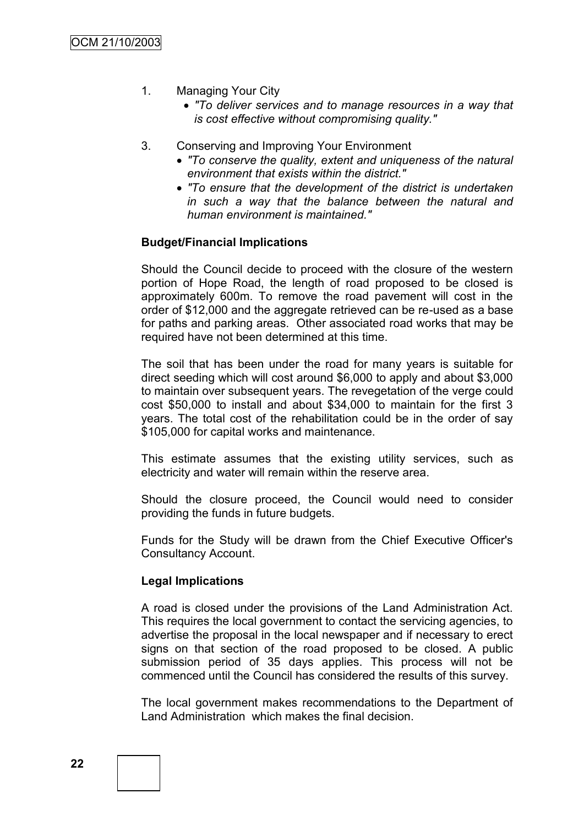- 1. Managing Your City
	- *"To deliver services and to manage resources in a way that is cost effective without compromising quality."*
- 3. Conserving and Improving Your Environment
	- *"To conserve the quality, extent and uniqueness of the natural environment that exists within the district."*
	- *"To ensure that the development of the district is undertaken in such a way that the balance between the natural and human environment is maintained."*

#### **Budget/Financial Implications**

Should the Council decide to proceed with the closure of the western portion of Hope Road, the length of road proposed to be closed is approximately 600m. To remove the road pavement will cost in the order of \$12,000 and the aggregate retrieved can be re-used as a base for paths and parking areas. Other associated road works that may be required have not been determined at this time.

The soil that has been under the road for many years is suitable for direct seeding which will cost around \$6,000 to apply and about \$3,000 to maintain over subsequent years. The revegetation of the verge could cost \$50,000 to install and about \$34,000 to maintain for the first 3 years. The total cost of the rehabilitation could be in the order of say \$105,000 for capital works and maintenance.

This estimate assumes that the existing utility services, such as electricity and water will remain within the reserve area.

Should the closure proceed, the Council would need to consider providing the funds in future budgets.

Funds for the Study will be drawn from the Chief Executive Officer's Consultancy Account.

#### **Legal Implications**

A road is closed under the provisions of the Land Administration Act. This requires the local government to contact the servicing agencies, to advertise the proposal in the local newspaper and if necessary to erect signs on that section of the road proposed to be closed. A public submission period of 35 days applies. This process will not be commenced until the Council has considered the results of this survey.

The local government makes recommendations to the Department of Land Administration which makes the final decision.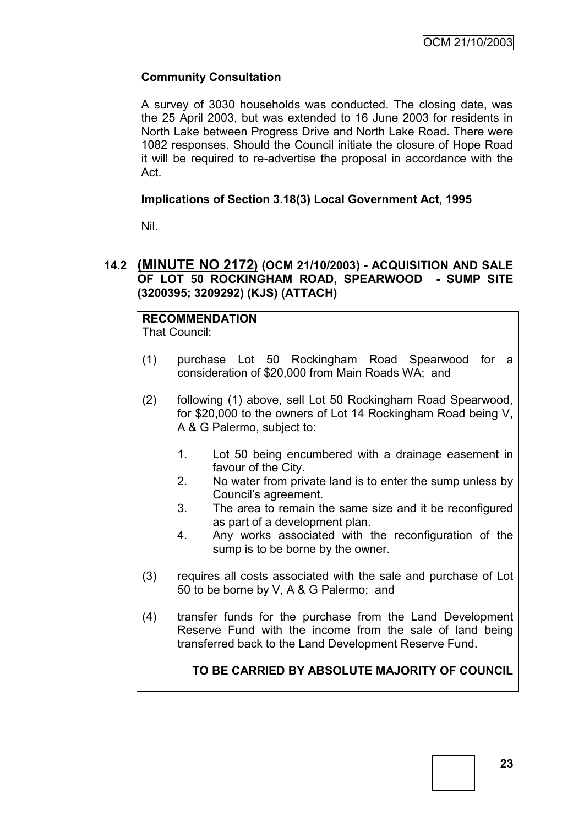## **Community Consultation**

A survey of 3030 households was conducted. The closing date, was the 25 April 2003, but was extended to 16 June 2003 for residents in North Lake between Progress Drive and North Lake Road. There were 1082 responses. Should the Council initiate the closure of Hope Road it will be required to re-advertise the proposal in accordance with the Act.

#### **Implications of Section 3.18(3) Local Government Act, 1995**

Nil.

## **14.2 (MINUTE NO 2172) (OCM 21/10/2003) - ACQUISITION AND SALE OF LOT 50 ROCKINGHAM ROAD, SPEARWOOD - SUMP SITE (3200395; 3209292) (KJS) (ATTACH)**

# **RECOMMENDATION**

That Council:

- (1) purchase Lot 50 Rockingham Road Spearwood for a consideration of \$20,000 from Main Roads WA; and
- (2) following (1) above, sell Lot 50 Rockingham Road Spearwood, for \$20,000 to the owners of Lot 14 Rockingham Road being V, A & G Palermo, subject to:
	- 1. Lot 50 being encumbered with a drainage easement in favour of the City.
	- 2. No water from private land is to enter the sump unless by Council"s agreement.
	- 3. The area to remain the same size and it be reconfigured as part of a development plan.
	- 4. Any works associated with the reconfiguration of the sump is to be borne by the owner.
- (3) requires all costs associated with the sale and purchase of Lot 50 to be borne by V, A & G Palermo; and
- (4) transfer funds for the purchase from the Land Development Reserve Fund with the income from the sale of land being transferred back to the Land Development Reserve Fund.

# **TO BE CARRIED BY ABSOLUTE MAJORITY OF COUNCIL**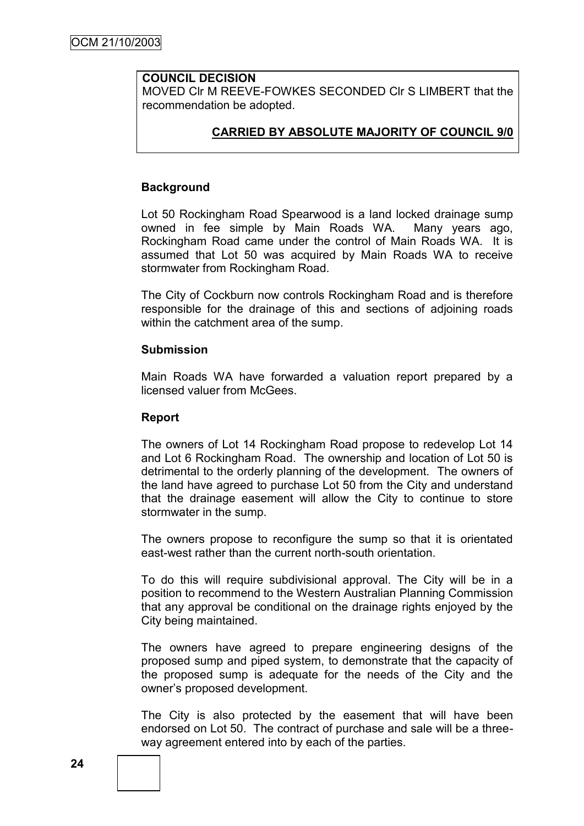# **COUNCIL DECISION**

MOVED Clr M REEVE-FOWKES SECONDED Clr S LIMBERT that the recommendation be adopted.

#### **CARRIED BY ABSOLUTE MAJORITY OF COUNCIL 9/0**

#### **Background**

Lot 50 Rockingham Road Spearwood is a land locked drainage sump owned in fee simple by Main Roads WA. Many years ago, Rockingham Road came under the control of Main Roads WA. It is assumed that Lot 50 was acquired by Main Roads WA to receive stormwater from Rockingham Road.

The City of Cockburn now controls Rockingham Road and is therefore responsible for the drainage of this and sections of adjoining roads within the catchment area of the sump.

#### **Submission**

Main Roads WA have forwarded a valuation report prepared by a licensed valuer from McGees.

#### **Report**

The owners of Lot 14 Rockingham Road propose to redevelop Lot 14 and Lot 6 Rockingham Road. The ownership and location of Lot 50 is detrimental to the orderly planning of the development. The owners of the land have agreed to purchase Lot 50 from the City and understand that the drainage easement will allow the City to continue to store stormwater in the sump.

The owners propose to reconfigure the sump so that it is orientated east-west rather than the current north-south orientation.

To do this will require subdivisional approval. The City will be in a position to recommend to the Western Australian Planning Commission that any approval be conditional on the drainage rights enjoyed by the City being maintained.

The owners have agreed to prepare engineering designs of the proposed sump and piped system, to demonstrate that the capacity of the proposed sump is adequate for the needs of the City and the owner"s proposed development.

The City is also protected by the easement that will have been endorsed on Lot 50. The contract of purchase and sale will be a threeway agreement entered into by each of the parties.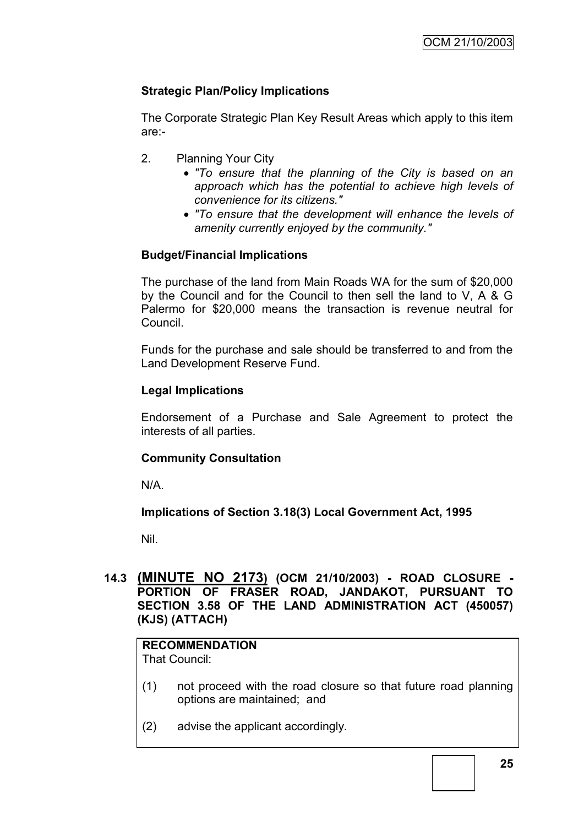# **Strategic Plan/Policy Implications**

The Corporate Strategic Plan Key Result Areas which apply to this item are:-

- 2. Planning Your City
	- *"To ensure that the planning of the City is based on an approach which has the potential to achieve high levels of convenience for its citizens."*
	- *"To ensure that the development will enhance the levels of amenity currently enjoyed by the community."*

# **Budget/Financial Implications**

The purchase of the land from Main Roads WA for the sum of \$20,000 by the Council and for the Council to then sell the land to V, A & G Palermo for \$20,000 means the transaction is revenue neutral for Council.

Funds for the purchase and sale should be transferred to and from the Land Development Reserve Fund.

## **Legal Implications**

Endorsement of a Purchase and Sale Agreement to protect the interests of all parties.

#### **Community Consultation**

N/A.

#### **Implications of Section 3.18(3) Local Government Act, 1995**

Nil.

## **14.3 (MINUTE NO 2173) (OCM 21/10/2003) - ROAD CLOSURE - PORTION OF FRASER ROAD, JANDAKOT, PURSUANT TO SECTION 3.58 OF THE LAND ADMINISTRATION ACT (450057) (KJS) (ATTACH)**

# **RECOMMENDATION**

That Council:

- (1) not proceed with the road closure so that future road planning options are maintained; and
- (2) advise the applicant accordingly.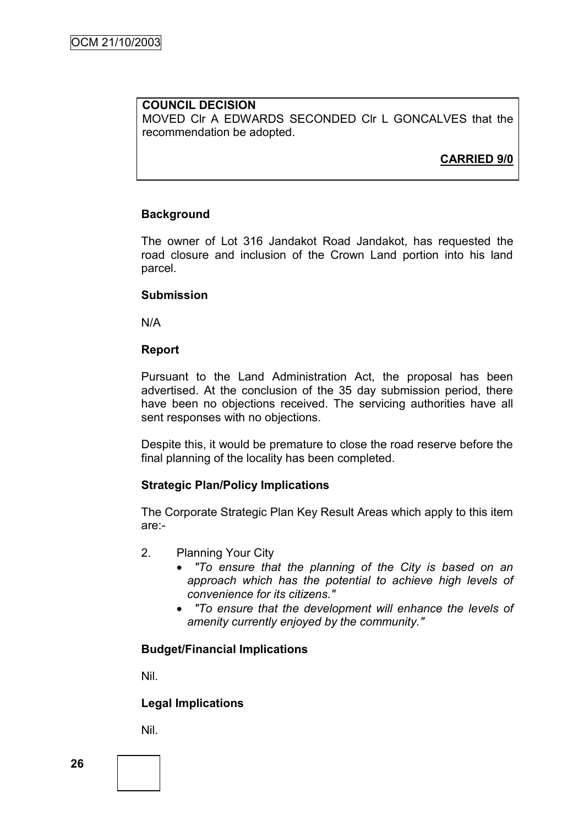#### **COUNCIL DECISION** MOVED Clr A EDWARDS SECONDED Clr L GONCALVES that the recommendation be adopted.

# **CARRIED 9/0**

## **Background**

The owner of Lot 316 Jandakot Road Jandakot, has requested the road closure and inclusion of the Crown Land portion into his land parcel.

#### **Submission**

N/A

#### **Report**

Pursuant to the Land Administration Act, the proposal has been advertised. At the conclusion of the 35 day submission period, there have been no objections received. The servicing authorities have all sent responses with no objections.

Despite this, it would be premature to close the road reserve before the final planning of the locality has been completed.

#### **Strategic Plan/Policy Implications**

The Corporate Strategic Plan Key Result Areas which apply to this item are:-

- 2. Planning Your City
	- *"To ensure that the planning of the City is based on an approach which has the potential to achieve high levels of convenience for its citizens."*
	- *"To ensure that the development will enhance the levels of amenity currently enjoyed by the community."*

#### **Budget/Financial Implications**

Nil.

#### **Legal Implications**

Nil.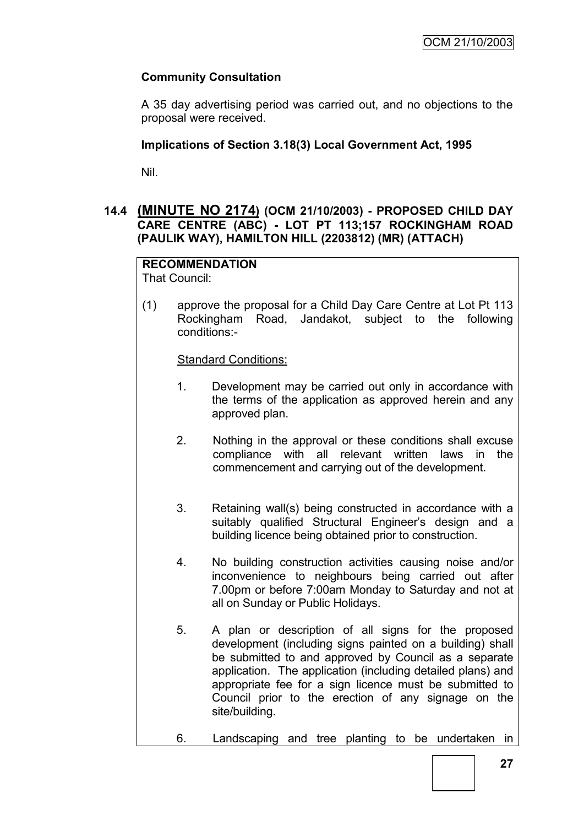# **Community Consultation**

A 35 day advertising period was carried out, and no objections to the proposal were received.

# **Implications of Section 3.18(3) Local Government Act, 1995**

Nil.

# **14.4 (MINUTE NO 2174) (OCM 21/10/2003) - PROPOSED CHILD DAY CARE CENTRE (ABC) - LOT PT 113;157 ROCKINGHAM ROAD (PAULIK WAY), HAMILTON HILL (2203812) (MR) (ATTACH)**

# **RECOMMENDATION**

That Council:

(1) approve the proposal for a Child Day Care Centre at Lot Pt 113 Rockingham Road, Jandakot, subject to the following conditions:-

Standard Conditions:

- 1. Development may be carried out only in accordance with the terms of the application as approved herein and any approved plan.
- 2. Nothing in the approval or these conditions shall excuse compliance with all relevant written laws in the commencement and carrying out of the development.
- 3. Retaining wall(s) being constructed in accordance with a suitably qualified Structural Engineer's design and a building licence being obtained prior to construction.
- 4. No building construction activities causing noise and/or inconvenience to neighbours being carried out after 7.00pm or before 7:00am Monday to Saturday and not at all on Sunday or Public Holidays.
- 5. A plan or description of all signs for the proposed development (including signs painted on a building) shall be submitted to and approved by Council as a separate application. The application (including detailed plans) and appropriate fee for a sign licence must be submitted to Council prior to the erection of any signage on the site/building.
- 6. Landscaping and tree planting to be undertaken in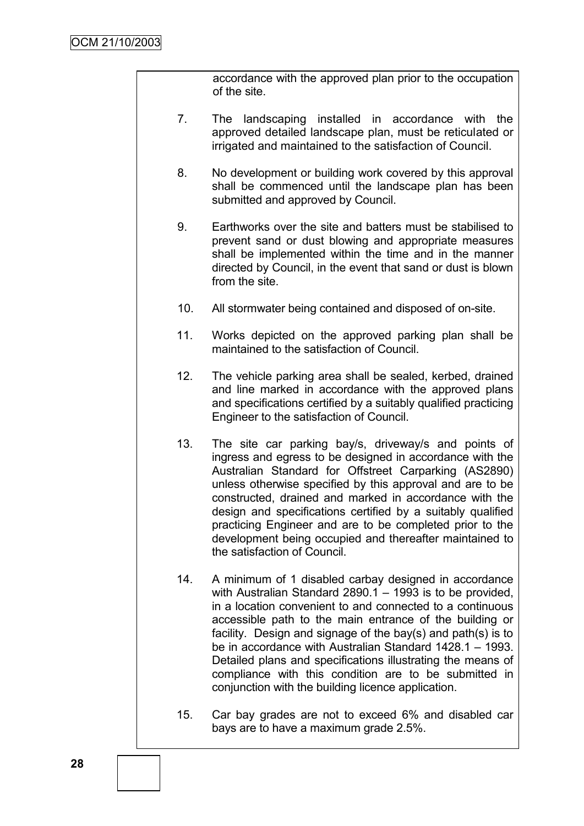accordance with the approved plan prior to the occupation of the site.

- 7. The landscaping installed in accordance with the approved detailed landscape plan, must be reticulated or irrigated and maintained to the satisfaction of Council.
- 8. No development or building work covered by this approval shall be commenced until the landscape plan has been submitted and approved by Council.
- 9. Earthworks over the site and batters must be stabilised to prevent sand or dust blowing and appropriate measures shall be implemented within the time and in the manner directed by Council, in the event that sand or dust is blown from the site.
- 10. All stormwater being contained and disposed of on-site.
- 11. Works depicted on the approved parking plan shall be maintained to the satisfaction of Council.
- 12. The vehicle parking area shall be sealed, kerbed, drained and line marked in accordance with the approved plans and specifications certified by a suitably qualified practicing Engineer to the satisfaction of Council.
- 13. The site car parking bay/s, driveway/s and points of ingress and egress to be designed in accordance with the Australian Standard for Offstreet Carparking (AS2890) unless otherwise specified by this approval and are to be constructed, drained and marked in accordance with the design and specifications certified by a suitably qualified practicing Engineer and are to be completed prior to the development being occupied and thereafter maintained to the satisfaction of Council.
- 14. A minimum of 1 disabled carbay designed in accordance with Australian Standard 2890.1 – 1993 is to be provided, in a location convenient to and connected to a continuous accessible path to the main entrance of the building or facility. Design and signage of the bay(s) and path(s) is to be in accordance with Australian Standard 1428.1 – 1993. Detailed plans and specifications illustrating the means of compliance with this condition are to be submitted in conjunction with the building licence application.
- 15. Car bay grades are not to exceed 6% and disabled car bays are to have a maximum grade 2.5%.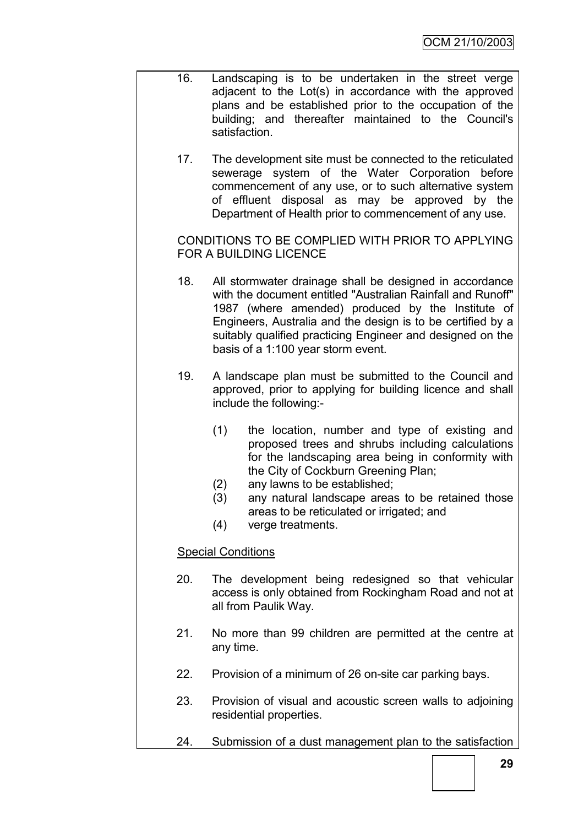- 16. Landscaping is to be undertaken in the street verge adjacent to the Lot(s) in accordance with the approved plans and be established prior to the occupation of the building; and thereafter maintained to the Council's satisfaction.
	- 17. The development site must be connected to the reticulated sewerage system of the Water Corporation before commencement of any use, or to such alternative system of effluent disposal as may be approved by the Department of Health prior to commencement of any use.

CONDITIONS TO BE COMPLIED WITH PRIOR TO APPLYING FOR A BUILDING LICENCE

- 18. All stormwater drainage shall be designed in accordance with the document entitled "Australian Rainfall and Runoff" 1987 (where amended) produced by the Institute of Engineers, Australia and the design is to be certified by a suitably qualified practicing Engineer and designed on the basis of a 1:100 year storm event.
- 19. A landscape plan must be submitted to the Council and approved, prior to applying for building licence and shall include the following:-
	- (1) the location, number and type of existing and proposed trees and shrubs including calculations for the landscaping area being in conformity with the City of Cockburn Greening Plan;
	- (2) any lawns to be established;
	- (3) any natural landscape areas to be retained those areas to be reticulated or irrigated; and
	- (4) verge treatments.

#### Special Conditions

- 20. The development being redesigned so that vehicular access is only obtained from Rockingham Road and not at all from Paulik Way.
- 21. No more than 99 children are permitted at the centre at any time.
- 22. Provision of a minimum of 26 on-site car parking bays.
- 23. Provision of visual and acoustic screen walls to adjoining residential properties.
- 24. Submission of a dust management plan to the satisfaction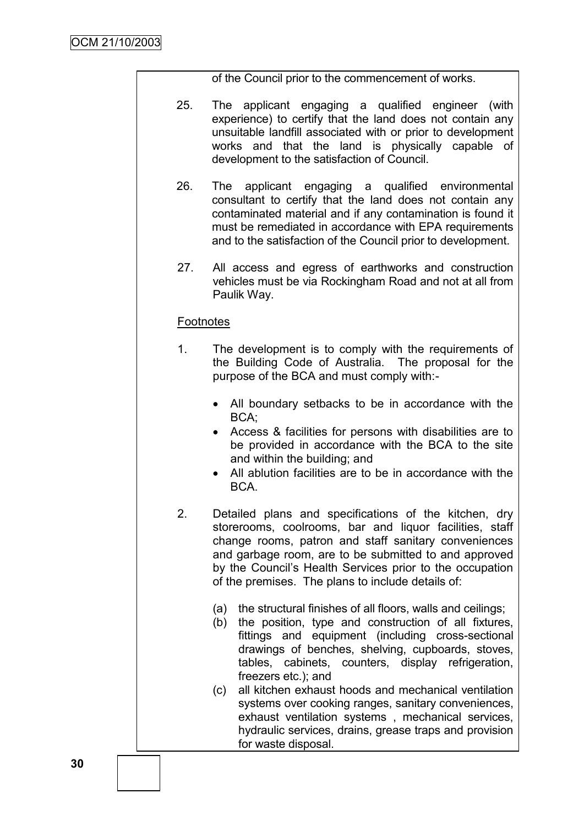of the Council prior to the commencement of works.

- 25. The applicant engaging a qualified engineer (with experience) to certify that the land does not contain any unsuitable landfill associated with or prior to development works and that the land is physically capable of development to the satisfaction of Council.
- 26. The applicant engaging a qualified environmental consultant to certify that the land does not contain any contaminated material and if any contamination is found it must be remediated in accordance with EPA requirements and to the satisfaction of the Council prior to development.
- 27. All access and egress of earthworks and construction vehicles must be via Rockingham Road and not at all from Paulik Way.

## **Footnotes**

- 1. The development is to comply with the requirements of the Building Code of Australia. The proposal for the purpose of the BCA and must comply with:-
	- All boundary setbacks to be in accordance with the BCA;
	- Access & facilities for persons with disabilities are to be provided in accordance with the BCA to the site and within the building; and
	- All ablution facilities are to be in accordance with the BCA.
- 2. Detailed plans and specifications of the kitchen, dry storerooms, coolrooms, bar and liquor facilities, staff change rooms, patron and staff sanitary conveniences and garbage room, are to be submitted to and approved by the Council"s Health Services prior to the occupation of the premises. The plans to include details of:
	- (a) the structural finishes of all floors, walls and ceilings;
	- (b) the position, type and construction of all fixtures, fittings and equipment (including cross-sectional drawings of benches, shelving, cupboards, stoves, tables, cabinets, counters, display refrigeration, freezers etc.); and
	- (c) all kitchen exhaust hoods and mechanical ventilation systems over cooking ranges, sanitary conveniences, exhaust ventilation systems , mechanical services, hydraulic services, drains, grease traps and provision for waste disposal.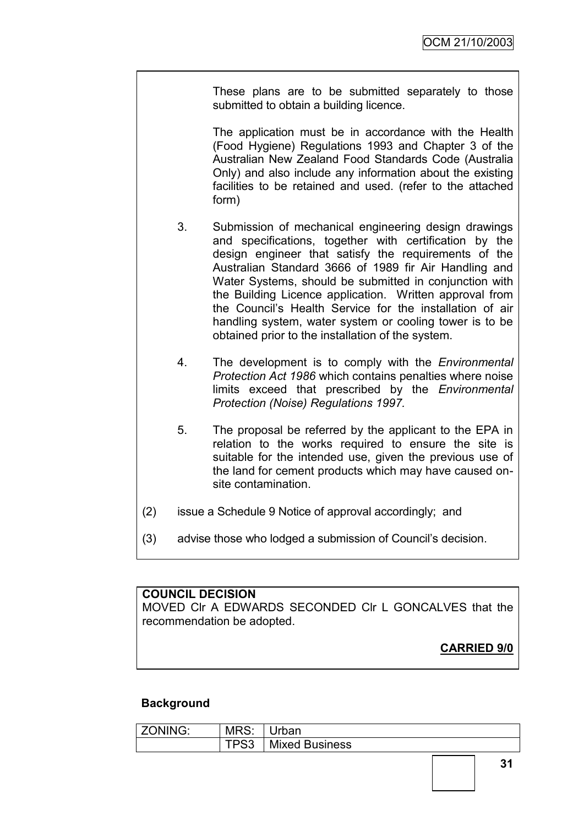These plans are to be submitted separately to those submitted to obtain a building licence.

The application must be in accordance with the Health (Food Hygiene) Regulations 1993 and Chapter 3 of the Australian New Zealand Food Standards Code (Australia Only) and also include any information about the existing facilities to be retained and used. (refer to the attached form)

- 3. Submission of mechanical engineering design drawings and specifications, together with certification by the design engineer that satisfy the requirements of the Australian Standard 3666 of 1989 fir Air Handling and Water Systems, should be submitted in conjunction with the Building Licence application. Written approval from the Council"s Health Service for the installation of air handling system, water system or cooling tower is to be obtained prior to the installation of the system.
- 4. The development is to comply with the *Environmental Protection Act 1986* which contains penalties where noise limits exceed that prescribed by the *Environmental Protection (Noise) Regulations 1997.*
- 5. The proposal be referred by the applicant to the EPA in relation to the works required to ensure the site is suitable for the intended use, given the previous use of the land for cement products which may have caused onsite contamination.
- (2) issue a Schedule 9 Notice of approval accordingly; and
- (3) advise those who lodged a submission of Council"s decision.

#### **COUNCIL DECISION**

MOVED Clr A EDWARDS SECONDED Clr L GONCALVES that the recommendation be adopted.

# **CARRIED 9/0**

#### **Background**

| <b>ZONING:</b><br>MRS: |             | Jrban                 |
|------------------------|-------------|-----------------------|
|                        | <b>TDC3</b> | <b>Mixed Business</b> |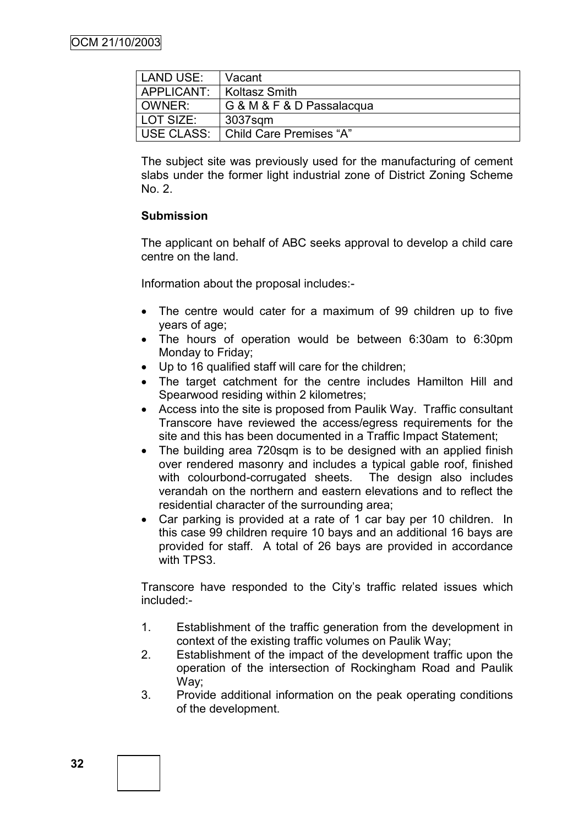| LAND USE:  | Vacant                    |
|------------|---------------------------|
| APPLICANT: | Koltasz Smith             |
| OWNER:     | G & M & F & D Passalacqua |
| LOT SIZE:  | 3037sam                   |
| USE CLASS: | Child Care Premises "A"   |

The subject site was previously used for the manufacturing of cement slabs under the former light industrial zone of District Zoning Scheme No. 2.

#### **Submission**

The applicant on behalf of ABC seeks approval to develop a child care centre on the land.

Information about the proposal includes:-

- The centre would cater for a maximum of 99 children up to five years of age;
- The hours of operation would be between 6:30am to 6:30pm Monday to Friday;
- Up to 16 qualified staff will care for the children;
- The target catchment for the centre includes Hamilton Hill and Spearwood residing within 2 kilometres;
- Access into the site is proposed from Paulik Way. Traffic consultant Transcore have reviewed the access/egress requirements for the site and this has been documented in a Traffic Impact Statement;
- The building area 720sqm is to be designed with an applied finish over rendered masonry and includes a typical gable roof, finished with colourbond-corrugated sheets. The design also includes verandah on the northern and eastern elevations and to reflect the residential character of the surrounding area;
- Car parking is provided at a rate of 1 car bay per 10 children. In this case 99 children require 10 bays and an additional 16 bays are provided for staff. A total of 26 bays are provided in accordance with TPS3.

Transcore have responded to the City"s traffic related issues which included:-

- 1. Establishment of the traffic generation from the development in context of the existing traffic volumes on Paulik Way;
- 2. Establishment of the impact of the development traffic upon the operation of the intersection of Rockingham Road and Paulik Way;
- 3. Provide additional information on the peak operating conditions of the development.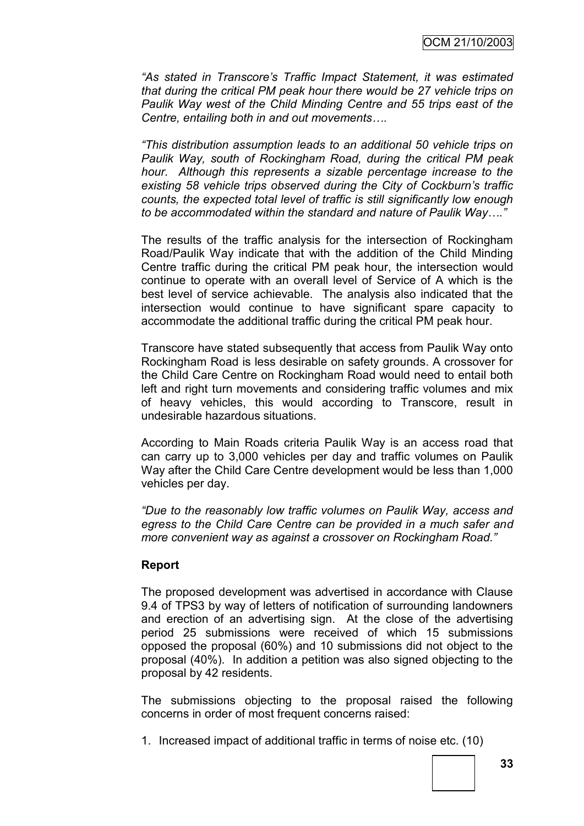*"As stated in Transcore's Traffic Impact Statement, it was estimated that during the critical PM peak hour there would be 27 vehicle trips on Paulik Way west of the Child Minding Centre and 55 trips east of the Centre, entailing both in and out movements….*

*"This distribution assumption leads to an additional 50 vehicle trips on Paulik Way, south of Rockingham Road, during the critical PM peak hour. Although this represents a sizable percentage increase to the existing 58 vehicle trips observed during the City of Cockburn's traffic counts, the expected total level of traffic is still significantly low enough to be accommodated within the standard and nature of Paulik Way…."*

The results of the traffic analysis for the intersection of Rockingham Road/Paulik Way indicate that with the addition of the Child Minding Centre traffic during the critical PM peak hour, the intersection would continue to operate with an overall level of Service of A which is the best level of service achievable. The analysis also indicated that the intersection would continue to have significant spare capacity to accommodate the additional traffic during the critical PM peak hour.

Transcore have stated subsequently that access from Paulik Way onto Rockingham Road is less desirable on safety grounds. A crossover for the Child Care Centre on Rockingham Road would need to entail both left and right turn movements and considering traffic volumes and mix of heavy vehicles, this would according to Transcore, result in undesirable hazardous situations.

According to Main Roads criteria Paulik Way is an access road that can carry up to 3,000 vehicles per day and traffic volumes on Paulik Way after the Child Care Centre development would be less than 1,000 vehicles per day.

*"Due to the reasonably low traffic volumes on Paulik Way, access and egress to the Child Care Centre can be provided in a much safer and more convenient way as against a crossover on Rockingham Road."*

#### **Report**

The proposed development was advertised in accordance with Clause 9.4 of TPS3 by way of letters of notification of surrounding landowners and erection of an advertising sign. At the close of the advertising period 25 submissions were received of which 15 submissions opposed the proposal (60%) and 10 submissions did not object to the proposal (40%). In addition a petition was also signed objecting to the proposal by 42 residents.

The submissions objecting to the proposal raised the following concerns in order of most frequent concerns raised:

1. Increased impact of additional traffic in terms of noise etc. (10)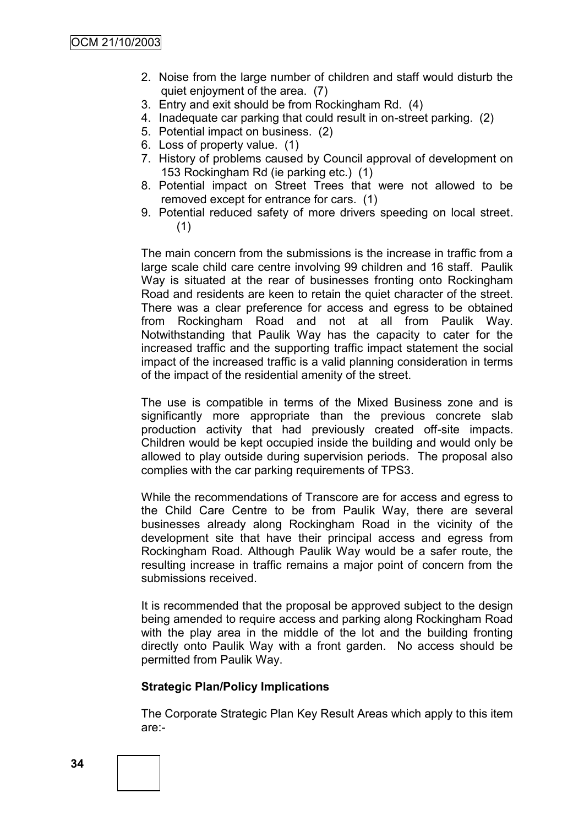- 2. Noise from the large number of children and staff would disturb the quiet enjoyment of the area. (7)
- 3. Entry and exit should be from Rockingham Rd. (4)
- 4. Inadequate car parking that could result in on-street parking. (2)
- 5. Potential impact on business. (2)
- 6. Loss of property value. (1)
- 7. History of problems caused by Council approval of development on 153 Rockingham Rd (ie parking etc.) (1)
- 8. Potential impact on Street Trees that were not allowed to be removed except for entrance for cars. (1)
- 9. Potential reduced safety of more drivers speeding on local street. (1)

The main concern from the submissions is the increase in traffic from a large scale child care centre involving 99 children and 16 staff. Paulik Way is situated at the rear of businesses fronting onto Rockingham Road and residents are keen to retain the quiet character of the street. There was a clear preference for access and egress to be obtained from Rockingham Road and not at all from Paulik Way. Notwithstanding that Paulik Way has the capacity to cater for the increased traffic and the supporting traffic impact statement the social impact of the increased traffic is a valid planning consideration in terms of the impact of the residential amenity of the street.

The use is compatible in terms of the Mixed Business zone and is significantly more appropriate than the previous concrete slab production activity that had previously created off-site impacts. Children would be kept occupied inside the building and would only be allowed to play outside during supervision periods. The proposal also complies with the car parking requirements of TPS3.

While the recommendations of Transcore are for access and egress to the Child Care Centre to be from Paulik Way, there are several businesses already along Rockingham Road in the vicinity of the development site that have their principal access and egress from Rockingham Road. Although Paulik Way would be a safer route, the resulting increase in traffic remains a major point of concern from the submissions received.

It is recommended that the proposal be approved subject to the design being amended to require access and parking along Rockingham Road with the play area in the middle of the lot and the building fronting directly onto Paulik Way with a front garden. No access should be permitted from Paulik Way.

#### **Strategic Plan/Policy Implications**

The Corporate Strategic Plan Key Result Areas which apply to this item are:-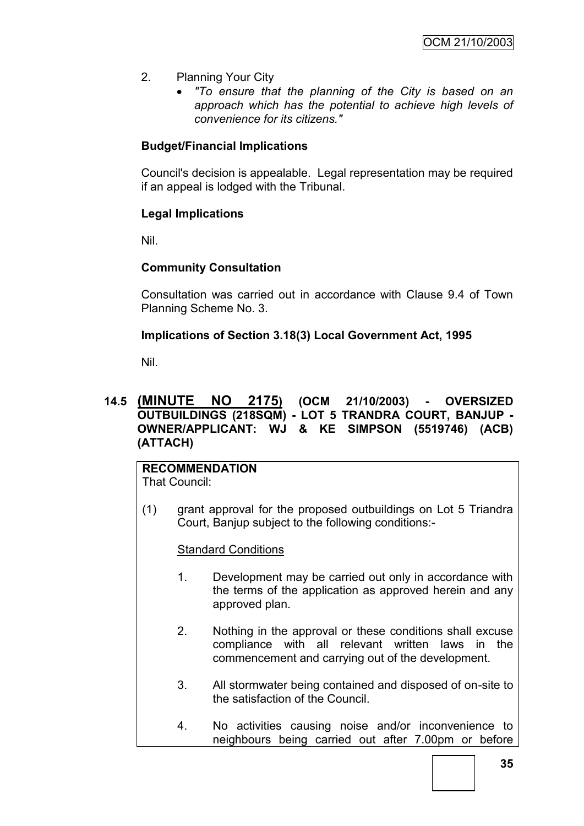- 2. Planning Your City
	- *"To ensure that the planning of the City is based on an approach which has the potential to achieve high levels of convenience for its citizens."*

## **Budget/Financial Implications**

Council's decision is appealable. Legal representation may be required if an appeal is lodged with the Tribunal.

## **Legal Implications**

Nil.

## **Community Consultation**

Consultation was carried out in accordance with Clause 9.4 of Town Planning Scheme No. 3.

## **Implications of Section 3.18(3) Local Government Act, 1995**

Nil.

## **14.5 (MINUTE NO 2175) (OCM 21/10/2003) - OVERSIZED OUTBUILDINGS (218SQM) - LOT 5 TRANDRA COURT, BANJUP - OWNER/APPLICANT: WJ & KE SIMPSON (5519746) (ACB) (ATTACH)**

#### **RECOMMENDATION** That Council:

(1) grant approval for the proposed outbuildings on Lot 5 Triandra Court, Banjup subject to the following conditions:-

**Standard Conditions** 

- 1. Development may be carried out only in accordance with the terms of the application as approved herein and any approved plan.
- 2. Nothing in the approval or these conditions shall excuse compliance with all relevant written laws in the commencement and carrying out of the development.
- 3. All stormwater being contained and disposed of on-site to the satisfaction of the Council.
- 4. No activities causing noise and/or inconvenience to neighbours being carried out after 7.00pm or before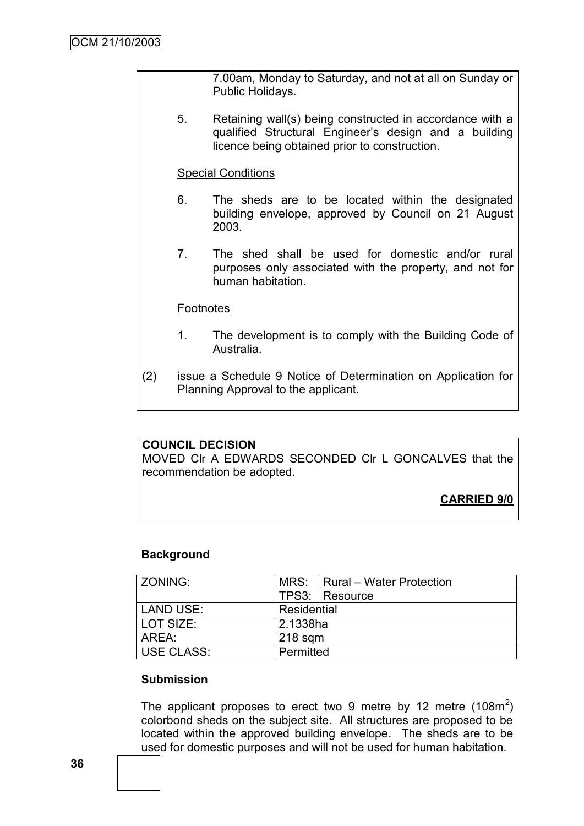7.00am, Monday to Saturday, and not at all on Sunday or Public Holidays.

5. Retaining wall(s) being constructed in accordance with a qualified Structural Engineer"s design and a building licence being obtained prior to construction.

#### Special Conditions

- 6. The sheds are to be located within the designated building envelope, approved by Council on 21 August 2003.
- 7. The shed shall be used for domestic and/or rural purposes only associated with the property, and not for human habitation.

#### **Footnotes**

- 1. The development is to comply with the Building Code of Australia.
- (2) issue a Schedule 9 Notice of Determination on Application for Planning Approval to the applicant.

## **COUNCIL DECISION**

MOVED Clr A EDWARDS SECONDED Clr L GONCALVES that the recommendation be adopted.

**CARRIED 9/0**

#### **Background**

| ZONING:           |             | MRS:   Rural - Water Protection |
|-------------------|-------------|---------------------------------|
|                   |             | TPS3:   Resource                |
| <b>LAND USE:</b>  | Residential |                                 |
| LOT SIZE:         | 2.1338ha    |                                 |
| AREA:             | $218$ sqm   |                                 |
| <b>USE CLASS:</b> | Permitted   |                                 |

#### **Submission**

The applicant proposes to erect two 9 metre by 12 metre (108m<sup>2</sup>) colorbond sheds on the subject site. All structures are proposed to be located within the approved building envelope. The sheds are to be used for domestic purposes and will not be used for human habitation.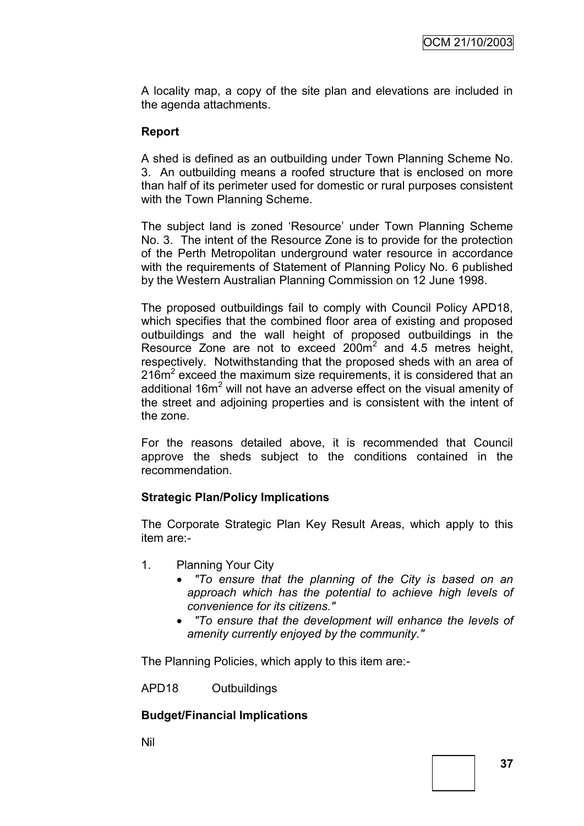A locality map, a copy of the site plan and elevations are included in the agenda attachments.

## **Report**

A shed is defined as an outbuilding under Town Planning Scheme No. 3. An outbuilding means a roofed structure that is enclosed on more than half of its perimeter used for domestic or rural purposes consistent with the Town Planning Scheme.

The subject land is zoned "Resource" under Town Planning Scheme No. 3. The intent of the Resource Zone is to provide for the protection of the Perth Metropolitan underground water resource in accordance with the requirements of Statement of Planning Policy No. 6 published by the Western Australian Planning Commission on 12 June 1998.

The proposed outbuildings fail to comply with Council Policy APD18, which specifies that the combined floor area of existing and proposed outbuildings and the wall height of proposed outbuildings in the Resource Zone are not to exceed  $200m^2$  and 4.5 metres height, respectively. Notwithstanding that the proposed sheds with an area of 216m<sup>2</sup> exceed the maximum size requirements, it is considered that an additional  $16m<sup>2</sup>$  will not have an adverse effect on the visual amenity of the street and adjoining properties and is consistent with the intent of the zone.

For the reasons detailed above, it is recommended that Council approve the sheds subject to the conditions contained in the recommendation.

## **Strategic Plan/Policy Implications**

The Corporate Strategic Plan Key Result Areas, which apply to this item are:-

- 1. Planning Your City
	- *"To ensure that the planning of the City is based on an approach which has the potential to achieve high levels of convenience for its citizens."*
	- *"To ensure that the development will enhance the levels of amenity currently enjoyed by the community."*

The Planning Policies, which apply to this item are:-

APD18 Outbuildings

## **Budget/Financial Implications**

Nil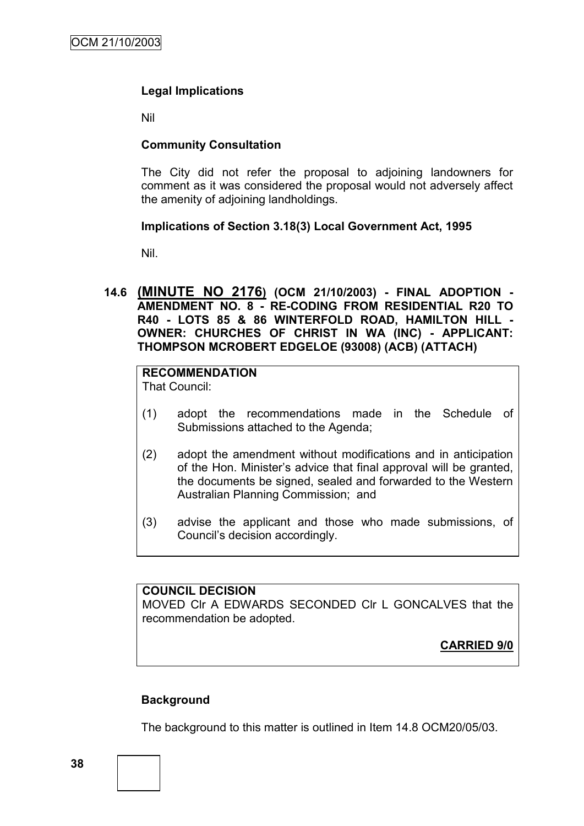## **Legal Implications**

Nil

## **Community Consultation**

The City did not refer the proposal to adjoining landowners for comment as it was considered the proposal would not adversely affect the amenity of adjoining landholdings.

#### **Implications of Section 3.18(3) Local Government Act, 1995**

Nil.

**14.6 (MINUTE NO 2176) (OCM 21/10/2003) - FINAL ADOPTION - AMENDMENT NO. 8 - RE-CODING FROM RESIDENTIAL R20 TO R40 - LOTS 85 & 86 WINTERFOLD ROAD, HAMILTON HILL - OWNER: CHURCHES OF CHRIST IN WA (INC) - APPLICANT: THOMPSON MCROBERT EDGELOE (93008) (ACB) (ATTACH)**

# **RECOMMENDATION**

That Council:

- (1) adopt the recommendations made in the Schedule of Submissions attached to the Agenda;
- (2) adopt the amendment without modifications and in anticipation of the Hon. Minister"s advice that final approval will be granted, the documents be signed, sealed and forwarded to the Western Australian Planning Commission; and
- (3) advise the applicant and those who made submissions, of Council"s decision accordingly.

#### **COUNCIL DECISION**

MOVED Clr A EDWARDS SECONDED Clr L GONCALVES that the recommendation be adopted.

**CARRIED 9/0**

## **Background**

The background to this matter is outlined in Item 14.8 OCM20/05/03.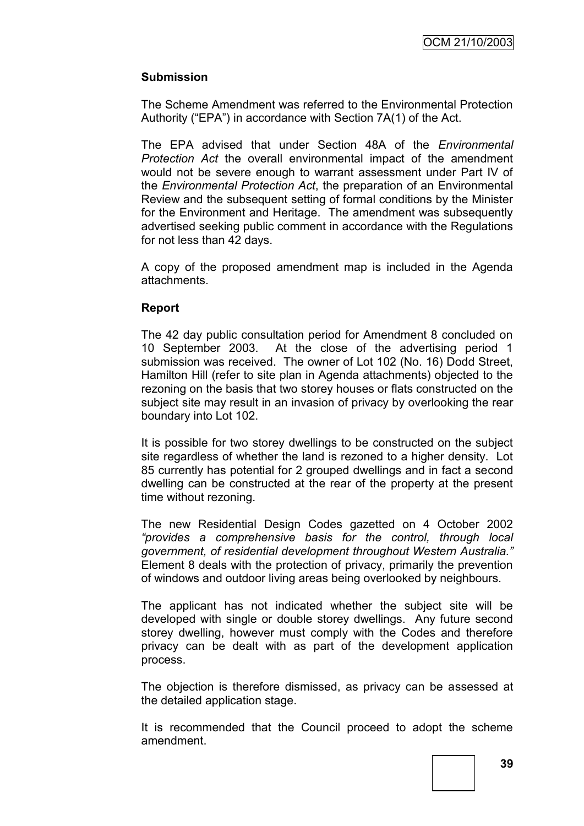## **Submission**

The Scheme Amendment was referred to the Environmental Protection Authority ("EPA") in accordance with Section 7A(1) of the Act.

The EPA advised that under Section 48A of the *Environmental Protection Act* the overall environmental impact of the amendment would not be severe enough to warrant assessment under Part IV of the *Environmental Protection Act*, the preparation of an Environmental Review and the subsequent setting of formal conditions by the Minister for the Environment and Heritage. The amendment was subsequently advertised seeking public comment in accordance with the Regulations for not less than 42 days.

A copy of the proposed amendment map is included in the Agenda attachments.

#### **Report**

The 42 day public consultation period for Amendment 8 concluded on 10 September 2003. At the close of the advertising period 1 submission was received. The owner of Lot 102 (No. 16) Dodd Street, Hamilton Hill (refer to site plan in Agenda attachments) objected to the rezoning on the basis that two storey houses or flats constructed on the subject site may result in an invasion of privacy by overlooking the rear boundary into Lot 102.

It is possible for two storey dwellings to be constructed on the subject site regardless of whether the land is rezoned to a higher density. Lot 85 currently has potential for 2 grouped dwellings and in fact a second dwelling can be constructed at the rear of the property at the present time without rezoning.

The new Residential Design Codes gazetted on 4 October 2002 *"provides a comprehensive basis for the control, through local government, of residential development throughout Western Australia."*  Element 8 deals with the protection of privacy, primarily the prevention of windows and outdoor living areas being overlooked by neighbours.

The applicant has not indicated whether the subject site will be developed with single or double storey dwellings. Any future second storey dwelling, however must comply with the Codes and therefore privacy can be dealt with as part of the development application process.

The objection is therefore dismissed, as privacy can be assessed at the detailed application stage.

It is recommended that the Council proceed to adopt the scheme amendment.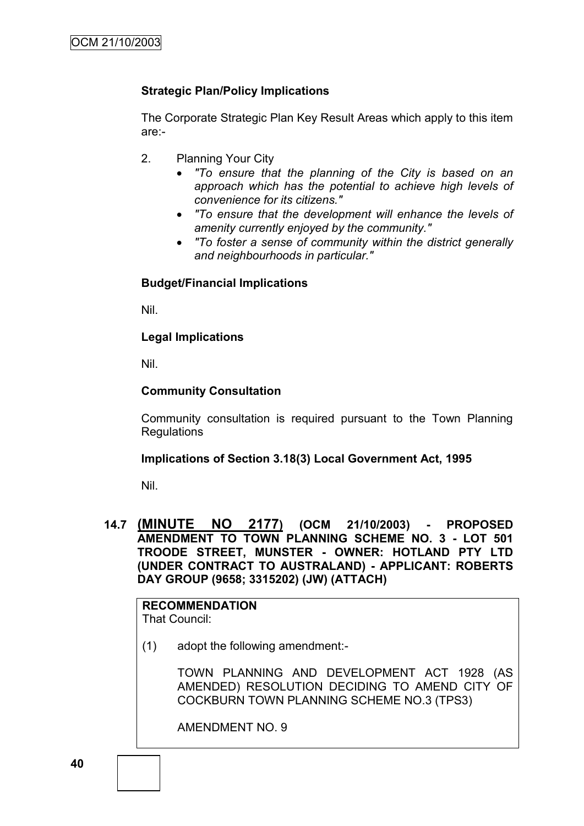## **Strategic Plan/Policy Implications**

The Corporate Strategic Plan Key Result Areas which apply to this item are:-

- 2. Planning Your City
	- *"To ensure that the planning of the City is based on an approach which has the potential to achieve high levels of convenience for its citizens."*
	- *"To ensure that the development will enhance the levels of amenity currently enjoyed by the community."*
	- *"To foster a sense of community within the district generally and neighbourhoods in particular."*

## **Budget/Financial Implications**

Nil.

## **Legal Implications**

Nil.

## **Community Consultation**

Community consultation is required pursuant to the Town Planning Regulations

#### **Implications of Section 3.18(3) Local Government Act, 1995**

Nil.

**14.7 (MINUTE NO 2177) (OCM 21/10/2003) - PROPOSED AMENDMENT TO TOWN PLANNING SCHEME NO. 3 - LOT 501 TROODE STREET, MUNSTER - OWNER: HOTLAND PTY LTD (UNDER CONTRACT TO AUSTRALAND) - APPLICANT: ROBERTS DAY GROUP (9658; 3315202) (JW) (ATTACH)**

**RECOMMENDATION** That Council:

(1) adopt the following amendment:-

TOWN PLANNING AND DEVELOPMENT ACT 1928 (AS AMENDED) RESOLUTION DECIDING TO AMEND CITY OF COCKBURN TOWN PLANNING SCHEME NO.3 (TPS3)

AMENDMENT NO. 9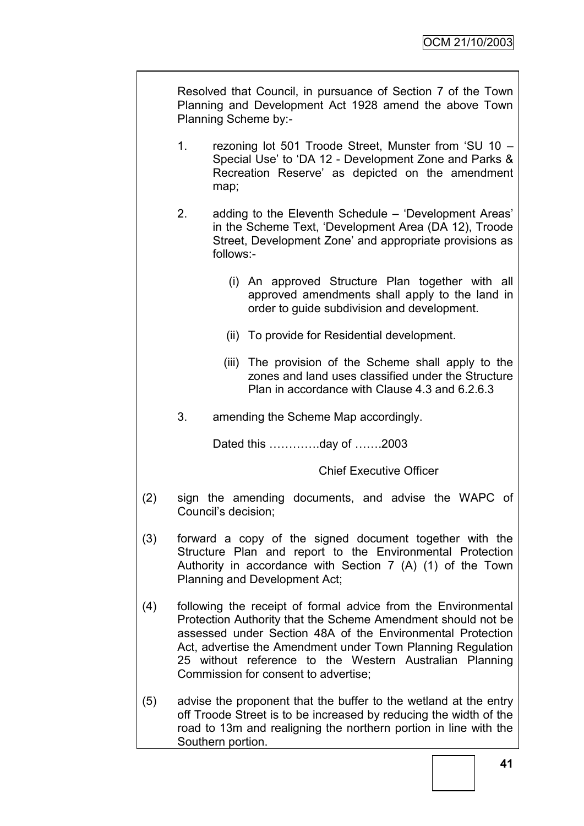Resolved that Council, in pursuance of Section 7 of the Town Planning and Development Act 1928 amend the above Town Planning Scheme by:-

- 1. rezoning lot 501 Troode Street, Munster from "SU 10 Special Use" to "DA 12 - Development Zone and Parks & Recreation Reserve' as depicted on the amendment map;
- 2. adding to the Eleventh Schedule "Development Areas" in the Scheme Text, "Development Area (DA 12), Troode Street, Development Zone" and appropriate provisions as follows:-
	- (i) An approved Structure Plan together with all approved amendments shall apply to the land in order to guide subdivision and development.
	- (ii) To provide for Residential development.
	- (iii) The provision of the Scheme shall apply to the zones and land uses classified under the Structure Plan in accordance with Clause 4.3 and 6.2.6.3
- 3. amending the Scheme Map accordingly.

Dated this ………….day of …….2003

Chief Executive Officer

- (2) sign the amending documents, and advise the WAPC of Council"s decision;
- (3) forward a copy of the signed document together with the Structure Plan and report to the Environmental Protection Authority in accordance with Section 7 (A) (1) of the Town Planning and Development Act;
- (4) following the receipt of formal advice from the Environmental Protection Authority that the Scheme Amendment should not be assessed under Section 48A of the Environmental Protection Act, advertise the Amendment under Town Planning Regulation 25 without reference to the Western Australian Planning Commission for consent to advertise;
- (5) advise the proponent that the buffer to the wetland at the entry off Troode Street is to be increased by reducing the width of the road to 13m and realigning the northern portion in line with the Southern portion.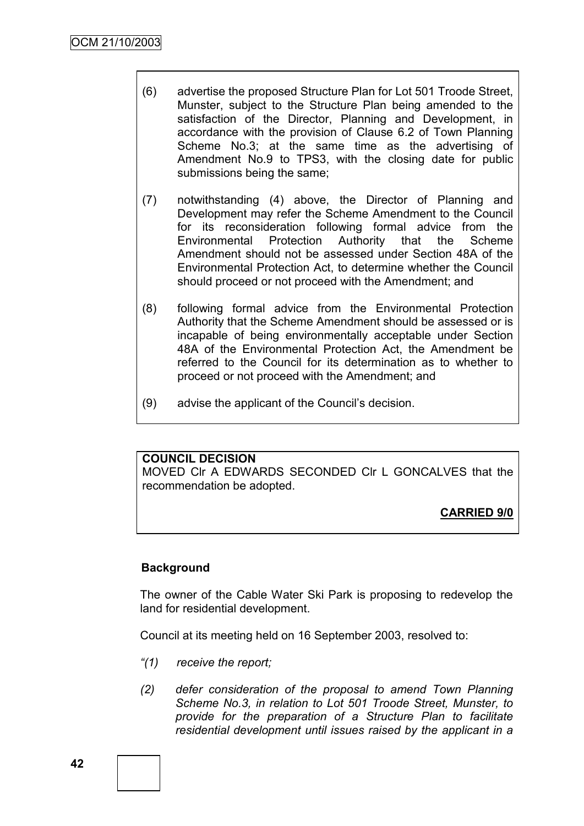- (6) advertise the proposed Structure Plan for Lot 501 Troode Street, Munster, subject to the Structure Plan being amended to the satisfaction of the Director, Planning and Development, in accordance with the provision of Clause 6.2 of Town Planning Scheme No.3; at the same time as the advertising of Amendment No.9 to TPS3, with the closing date for public submissions being the same;
- (7) notwithstanding (4) above, the Director of Planning and Development may refer the Scheme Amendment to the Council for its reconsideration following formal advice from the Environmental Protection Authority that the Scheme Amendment should not be assessed under Section 48A of the Environmental Protection Act, to determine whether the Council should proceed or not proceed with the Amendment; and
- (8) following formal advice from the Environmental Protection Authority that the Scheme Amendment should be assessed or is incapable of being environmentally acceptable under Section 48A of the Environmental Protection Act, the Amendment be referred to the Council for its determination as to whether to proceed or not proceed with the Amendment; and
- (9) advise the applicant of the Council"s decision.

#### **COUNCIL DECISION**

MOVED Clr A EDWARDS SECONDED Clr L GONCALVES that the recommendation be adopted.

**CARRIED 9/0**

## **Background**

The owner of the Cable Water Ski Park is proposing to redevelop the land for residential development.

Council at its meeting held on 16 September 2003, resolved to:

- *"(1) receive the report;*
- *(2) defer consideration of the proposal to amend Town Planning Scheme No.3, in relation to Lot 501 Troode Street, Munster, to provide for the preparation of a Structure Plan to facilitate residential development until issues raised by the applicant in a*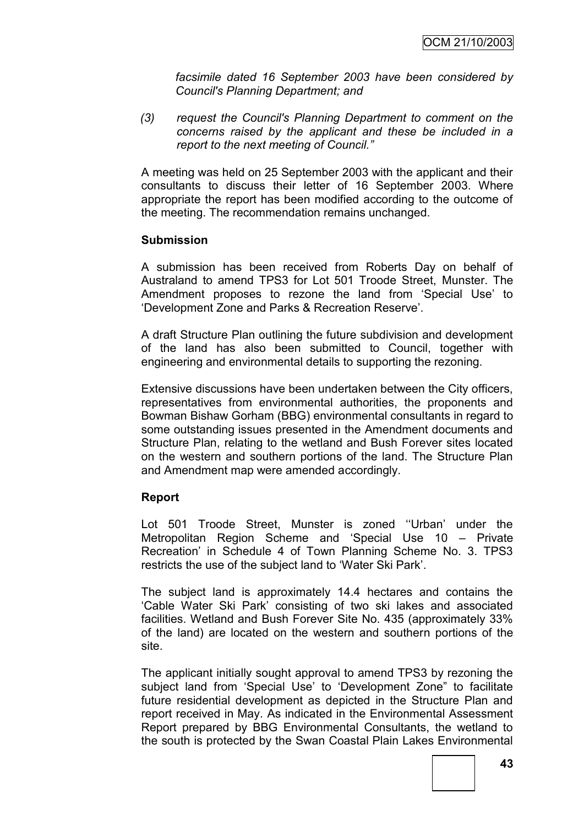*facsimile dated 16 September 2003 have been considered by Council's Planning Department; and*

*(3) request the Council's Planning Department to comment on the concerns raised by the applicant and these be included in a report to the next meeting of Council."*

A meeting was held on 25 September 2003 with the applicant and their consultants to discuss their letter of 16 September 2003. Where appropriate the report has been modified according to the outcome of the meeting. The recommendation remains unchanged.

#### **Submission**

A submission has been received from Roberts Day on behalf of Australand to amend TPS3 for Lot 501 Troode Street, Munster. The Amendment proposes to rezone the land from "Special Use" to "Development Zone and Parks & Recreation Reserve".

A draft Structure Plan outlining the future subdivision and development of the land has also been submitted to Council, together with engineering and environmental details to supporting the rezoning.

Extensive discussions have been undertaken between the City officers, representatives from environmental authorities, the proponents and Bowman Bishaw Gorham (BBG) environmental consultants in regard to some outstanding issues presented in the Amendment documents and Structure Plan, relating to the wetland and Bush Forever sites located on the western and southern portions of the land. The Structure Plan and Amendment map were amended accordingly.

#### **Report**

Lot 501 Troode Street. Munster is zoned "Urban' under the Metropolitan Region Scheme and "Special Use 10 – Private Recreation" in Schedule 4 of Town Planning Scheme No. 3. TPS3 restricts the use of the subject land to "Water Ski Park".

The subject land is approximately 14.4 hectares and contains the "Cable Water Ski Park" consisting of two ski lakes and associated facilities. Wetland and Bush Forever Site No. 435 (approximately 33% of the land) are located on the western and southern portions of the site.

The applicant initially sought approval to amend TPS3 by rezoning the subject land from "Special Use" to "Development Zone" to facilitate future residential development as depicted in the Structure Plan and report received in May. As indicated in the Environmental Assessment Report prepared by BBG Environmental Consultants, the wetland to the south is protected by the Swan Coastal Plain Lakes Environmental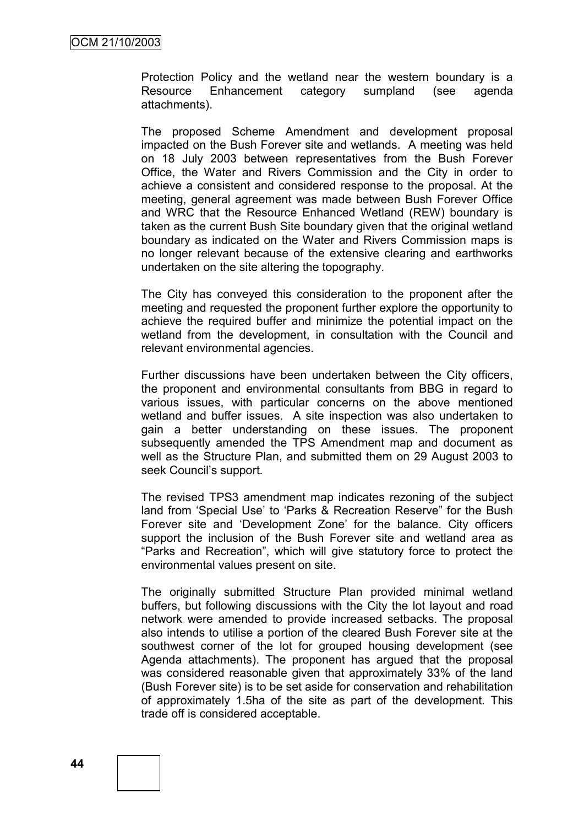Protection Policy and the wetland near the western boundary is a Resource Enhancement category sumpland (see agenda attachments).

The proposed Scheme Amendment and development proposal impacted on the Bush Forever site and wetlands. A meeting was held on 18 July 2003 between representatives from the Bush Forever Office, the Water and Rivers Commission and the City in order to achieve a consistent and considered response to the proposal. At the meeting, general agreement was made between Bush Forever Office and WRC that the Resource Enhanced Wetland (REW) boundary is taken as the current Bush Site boundary given that the original wetland boundary as indicated on the Water and Rivers Commission maps is no longer relevant because of the extensive clearing and earthworks undertaken on the site altering the topography.

The City has conveyed this consideration to the proponent after the meeting and requested the proponent further explore the opportunity to achieve the required buffer and minimize the potential impact on the wetland from the development, in consultation with the Council and relevant environmental agencies.

Further discussions have been undertaken between the City officers, the proponent and environmental consultants from BBG in regard to various issues, with particular concerns on the above mentioned wetland and buffer issues. A site inspection was also undertaken to gain a better understanding on these issues. The proponent subsequently amended the TPS Amendment map and document as well as the Structure Plan, and submitted them on 29 August 2003 to seek Council"s support.

The revised TPS3 amendment map indicates rezoning of the subject land from 'Special Use' to 'Parks & Recreation Reserve" for the Bush Forever site and "Development Zone" for the balance. City officers support the inclusion of the Bush Forever site and wetland area as "Parks and Recreation", which will give statutory force to protect the environmental values present on site.

The originally submitted Structure Plan provided minimal wetland buffers, but following discussions with the City the lot layout and road network were amended to provide increased setbacks. The proposal also intends to utilise a portion of the cleared Bush Forever site at the southwest corner of the lot for grouped housing development (see Agenda attachments). The proponent has argued that the proposal was considered reasonable given that approximately 33% of the land (Bush Forever site) is to be set aside for conservation and rehabilitation of approximately 1.5ha of the site as part of the development. This trade off is considered acceptable.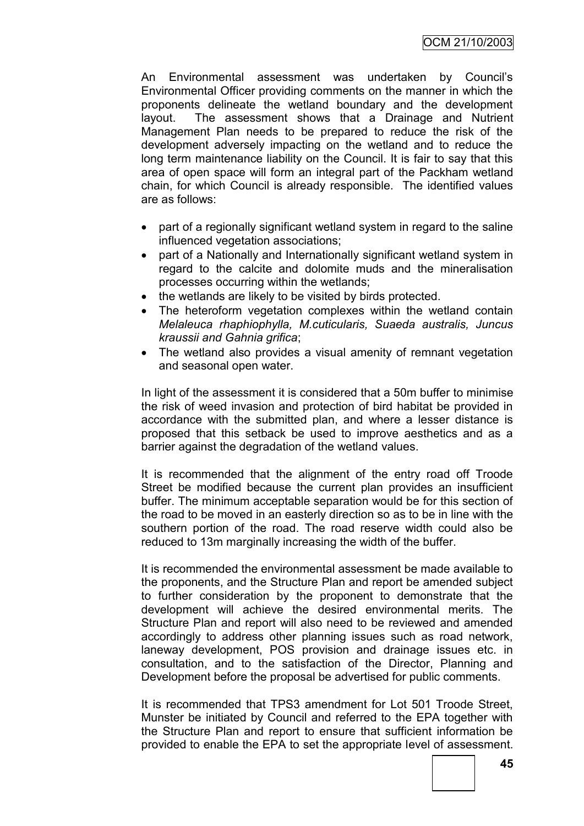An Environmental assessment was undertaken by Council"s Environmental Officer providing comments on the manner in which the proponents delineate the wetland boundary and the development layout. The assessment shows that a Drainage and Nutrient Management Plan needs to be prepared to reduce the risk of the development adversely impacting on the wetland and to reduce the long term maintenance liability on the Council. It is fair to say that this area of open space will form an integral part of the Packham wetland chain, for which Council is already responsible. The identified values are as follows:

- part of a regionally significant wetland system in regard to the saline influenced vegetation associations;
- part of a Nationally and Internationally significant wetland system in regard to the calcite and dolomite muds and the mineralisation processes occurring within the wetlands;
- the wetlands are likely to be visited by birds protected.
- The heteroform vegetation complexes within the wetland contain *Melaleuca rhaphiophylla, M.cuticularis, Suaeda australis, Juncus kraussii and Gahnia grifica*;
- The wetland also provides a visual amenity of remnant vegetation and seasonal open water.

In light of the assessment it is considered that a 50m buffer to minimise the risk of weed invasion and protection of bird habitat be provided in accordance with the submitted plan, and where a lesser distance is proposed that this setback be used to improve aesthetics and as a barrier against the degradation of the wetland values.

It is recommended that the alignment of the entry road off Troode Street be modified because the current plan provides an insufficient buffer. The minimum acceptable separation would be for this section of the road to be moved in an easterly direction so as to be in line with the southern portion of the road. The road reserve width could also be reduced to 13m marginally increasing the width of the buffer.

It is recommended the environmental assessment be made available to the proponents, and the Structure Plan and report be amended subject to further consideration by the proponent to demonstrate that the development will achieve the desired environmental merits. The Structure Plan and report will also need to be reviewed and amended accordingly to address other planning issues such as road network, laneway development, POS provision and drainage issues etc. in consultation, and to the satisfaction of the Director, Planning and Development before the proposal be advertised for public comments.

It is recommended that TPS3 amendment for Lot 501 Troode Street, Munster be initiated by Council and referred to the EPA together with the Structure Plan and report to ensure that sufficient information be provided to enable the EPA to set the appropriate level of assessment.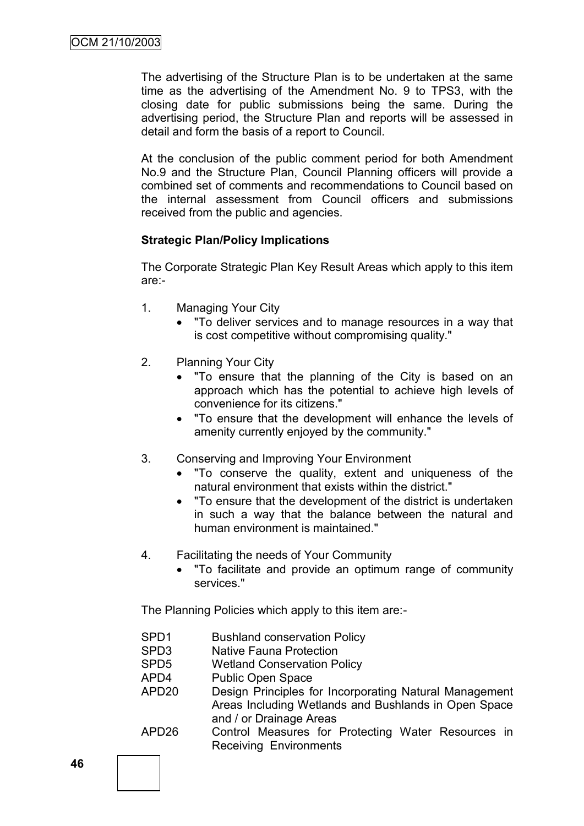The advertising of the Structure Plan is to be undertaken at the same time as the advertising of the Amendment No. 9 to TPS3, with the closing date for public submissions being the same. During the advertising period, the Structure Plan and reports will be assessed in detail and form the basis of a report to Council.

At the conclusion of the public comment period for both Amendment No.9 and the Structure Plan, Council Planning officers will provide a combined set of comments and recommendations to Council based on the internal assessment from Council officers and submissions received from the public and agencies.

## **Strategic Plan/Policy Implications**

The Corporate Strategic Plan Key Result Areas which apply to this item are:-

- 1. Managing Your City
	- "To deliver services and to manage resources in a way that is cost competitive without compromising quality."
- 2. Planning Your City
	- "To ensure that the planning of the City is based on an approach which has the potential to achieve high levels of convenience for its citizens."
	- "To ensure that the development will enhance the levels of amenity currently enjoyed by the community."
- 3. Conserving and Improving Your Environment
	- "To conserve the quality, extent and uniqueness of the natural environment that exists within the district."
	- "To ensure that the development of the district is undertaken in such a way that the balance between the natural and human environment is maintained."
- 4. Facilitating the needs of Your Community
	- "To facilitate and provide an optimum range of community services."

The Planning Policies which apply to this item are:-

SPD1 Bushland conservation Policy SPD3 Native Fauna Protection SPD5 Wetland Conservation Policy APD4 Public Open Space APD20 Design Principles for Incorporating Natural Management Areas Including Wetlands and Bushlands in Open Space and / or Drainage Areas APD26 Control Measures for Protecting Water Resources in Receiving Environments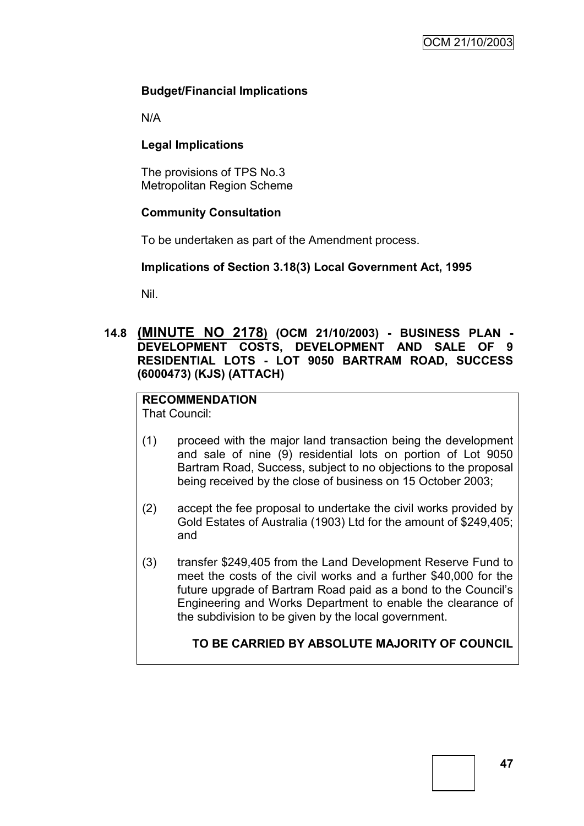## **Budget/Financial Implications**

N/A

## **Legal Implications**

The provisions of TPS No.3 Metropolitan Region Scheme

#### **Community Consultation**

To be undertaken as part of the Amendment process.

#### **Implications of Section 3.18(3) Local Government Act, 1995**

Nil.

**14.8 (MINUTE NO 2178) (OCM 21/10/2003) - BUSINESS PLAN - DEVELOPMENT COSTS, DEVELOPMENT AND SALE OF 9 RESIDENTIAL LOTS - LOT 9050 BARTRAM ROAD, SUCCESS (6000473) (KJS) (ATTACH)**

# **RECOMMENDATION**

That Council:

- (1) proceed with the major land transaction being the development and sale of nine (9) residential lots on portion of Lot 9050 Bartram Road, Success, subject to no objections to the proposal being received by the close of business on 15 October 2003;
- (2) accept the fee proposal to undertake the civil works provided by Gold Estates of Australia (1903) Ltd for the amount of \$249,405; and
- (3) transfer \$249,405 from the Land Development Reserve Fund to meet the costs of the civil works and a further \$40,000 for the future upgrade of Bartram Road paid as a bond to the Council"s Engineering and Works Department to enable the clearance of the subdivision to be given by the local government.

## **TO BE CARRIED BY ABSOLUTE MAJORITY OF COUNCIL**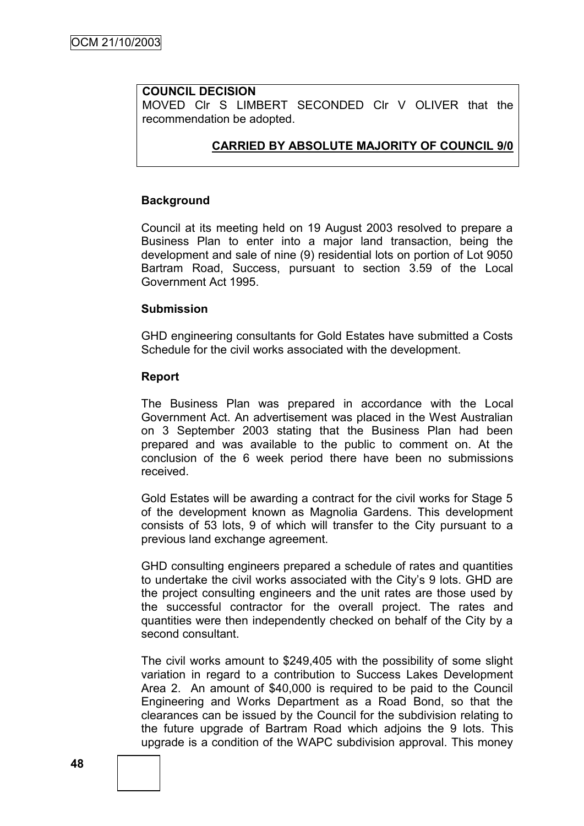## **COUNCIL DECISION**

MOVED CIr S LIMBERT SECONDED CIr V OLIVER that the recommendation be adopted.

## **CARRIED BY ABSOLUTE MAJORITY OF COUNCIL 9/0**

#### **Background**

Council at its meeting held on 19 August 2003 resolved to prepare a Business Plan to enter into a major land transaction, being the development and sale of nine (9) residential lots on portion of Lot 9050 Bartram Road, Success, pursuant to section 3.59 of the Local Government Act 1995.

#### **Submission**

GHD engineering consultants for Gold Estates have submitted a Costs Schedule for the civil works associated with the development.

#### **Report**

The Business Plan was prepared in accordance with the Local Government Act. An advertisement was placed in the West Australian on 3 September 2003 stating that the Business Plan had been prepared and was available to the public to comment on. At the conclusion of the 6 week period there have been no submissions received.

Gold Estates will be awarding a contract for the civil works for Stage 5 of the development known as Magnolia Gardens. This development consists of 53 lots, 9 of which will transfer to the City pursuant to a previous land exchange agreement.

GHD consulting engineers prepared a schedule of rates and quantities to undertake the civil works associated with the City"s 9 lots. GHD are the project consulting engineers and the unit rates are those used by the successful contractor for the overall project. The rates and quantities were then independently checked on behalf of the City by a second consultant.

The civil works amount to \$249,405 with the possibility of some slight variation in regard to a contribution to Success Lakes Development Area 2. An amount of \$40,000 is required to be paid to the Council Engineering and Works Department as a Road Bond, so that the clearances can be issued by the Council for the subdivision relating to the future upgrade of Bartram Road which adjoins the 9 lots. This upgrade is a condition of the WAPC subdivision approval. This money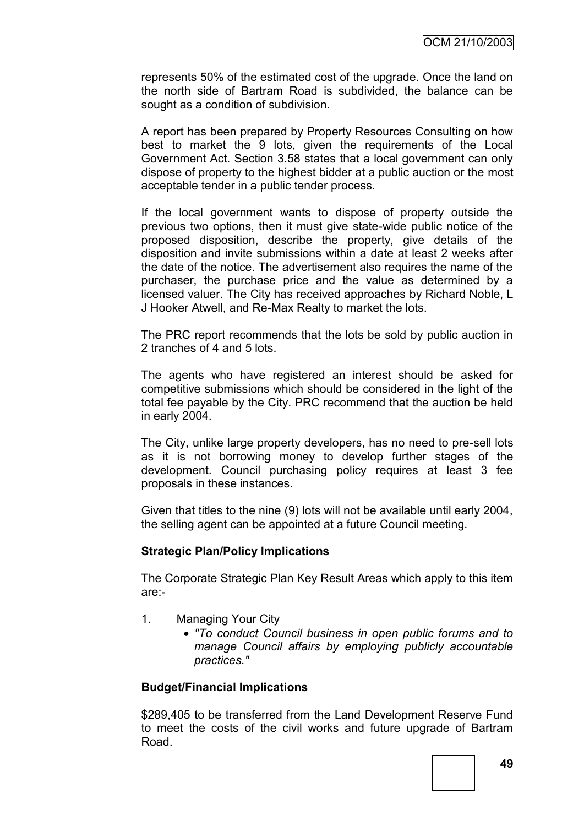represents 50% of the estimated cost of the upgrade. Once the land on the north side of Bartram Road is subdivided, the balance can be sought as a condition of subdivision.

A report has been prepared by Property Resources Consulting on how best to market the 9 lots, given the requirements of the Local Government Act. Section 3.58 states that a local government can only dispose of property to the highest bidder at a public auction or the most acceptable tender in a public tender process.

If the local government wants to dispose of property outside the previous two options, then it must give state-wide public notice of the proposed disposition, describe the property, give details of the disposition and invite submissions within a date at least 2 weeks after the date of the notice. The advertisement also requires the name of the purchaser, the purchase price and the value as determined by a licensed valuer. The City has received approaches by Richard Noble, L J Hooker Atwell, and Re-Max Realty to market the lots.

The PRC report recommends that the lots be sold by public auction in 2 tranches of 4 and 5 lots.

The agents who have registered an interest should be asked for competitive submissions which should be considered in the light of the total fee payable by the City. PRC recommend that the auction be held in early 2004.

The City, unlike large property developers, has no need to pre-sell lots as it is not borrowing money to develop further stages of the development. Council purchasing policy requires at least 3 fee proposals in these instances.

Given that titles to the nine (9) lots will not be available until early 2004, the selling agent can be appointed at a future Council meeting.

#### **Strategic Plan/Policy Implications**

The Corporate Strategic Plan Key Result Areas which apply to this item are:-

- 1. Managing Your City
	- *"To conduct Council business in open public forums and to manage Council affairs by employing publicly accountable practices."*

#### **Budget/Financial Implications**

\$289,405 to be transferred from the Land Development Reserve Fund to meet the costs of the civil works and future upgrade of Bartram Road.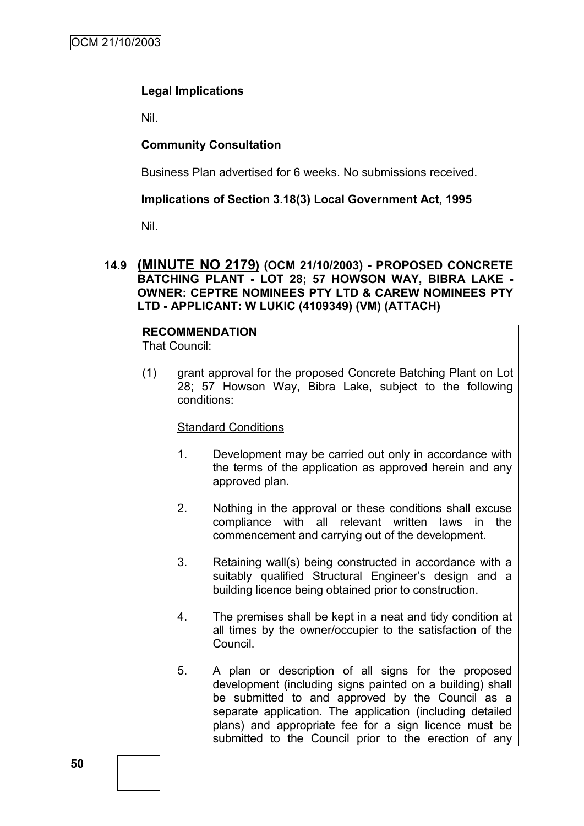## **Legal Implications**

Nil.

## **Community Consultation**

Business Plan advertised for 6 weeks. No submissions received.

## **Implications of Section 3.18(3) Local Government Act, 1995**

Nil.

#### **14.9 (MINUTE NO 2179) (OCM 21/10/2003) - PROPOSED CONCRETE BATCHING PLANT - LOT 28; 57 HOWSON WAY, BIBRA LAKE - OWNER: CEPTRE NOMINEES PTY LTD & CAREW NOMINEES PTY LTD - APPLICANT: W LUKIC (4109349) (VM) (ATTACH)**

#### **RECOMMENDATION** That Council:

(1) grant approval for the proposed Concrete Batching Plant on Lot 28; 57 Howson Way, Bibra Lake, subject to the following conditions:

#### Standard Conditions

- 1. Development may be carried out only in accordance with the terms of the application as approved herein and any approved plan.
- 2. Nothing in the approval or these conditions shall excuse compliance with all relevant written laws in the commencement and carrying out of the development.
- 3. Retaining wall(s) being constructed in accordance with a suitably qualified Structural Engineer's design and a building licence being obtained prior to construction.
- 4. The premises shall be kept in a neat and tidy condition at all times by the owner/occupier to the satisfaction of the Council.
- 5. A plan or description of all signs for the proposed development (including signs painted on a building) shall be submitted to and approved by the Council as a separate application. The application (including detailed plans) and appropriate fee for a sign licence must be submitted to the Council prior to the erection of any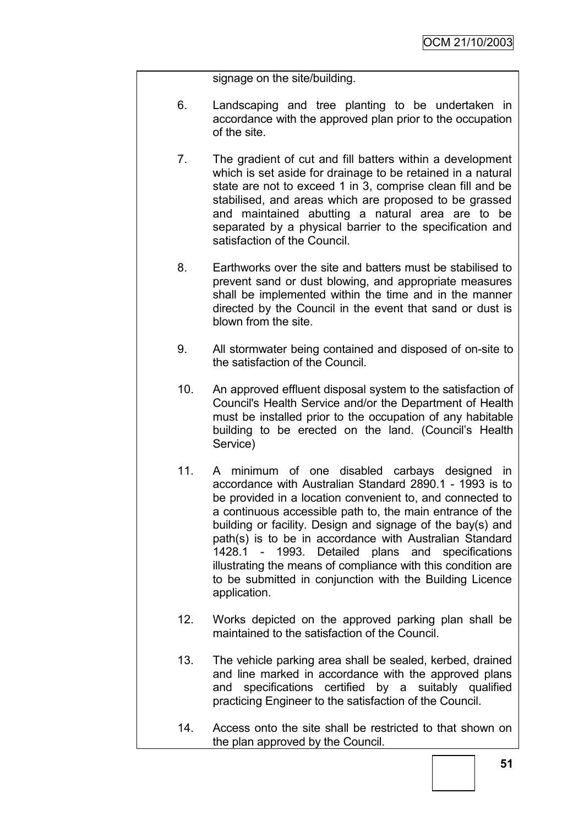signage on the site/building.

- 6. Landscaping and tree planting to be undertaken in accordance with the approved plan prior to the occupation of the site.
- 7. The gradient of cut and fill batters within a development which is set aside for drainage to be retained in a natural state are not to exceed 1 in 3, comprise clean fill and be stabilised, and areas which are proposed to be grassed and maintained abutting a natural area are to be separated by a physical barrier to the specification and satisfaction of the Council.
- 8. Earthworks over the site and batters must be stabilised to prevent sand or dust blowing, and appropriate measures shall be implemented within the time and in the manner directed by the Council in the event that sand or dust is blown from the site.
- 9. All stormwater being contained and disposed of on-site to the satisfaction of the Council.
- 10. An approved effluent disposal system to the satisfaction of Council's Health Service and/or the Department of Health must be installed prior to the occupation of any habitable building to be erected on the land. (Council"s Health Service)
- 11. A minimum of one disabled carbays designed in accordance with Australian Standard 2890.1 - 1993 is to be provided in a location convenient to, and connected to a continuous accessible path to, the main entrance of the building or facility. Design and signage of the bay(s) and path(s) is to be in accordance with Australian Standard 1428.1 - 1993. Detailed plans and specifications illustrating the means of compliance with this condition are to be submitted in conjunction with the Building Licence application.
- 12. Works depicted on the approved parking plan shall be maintained to the satisfaction of the Council.
- 13. The vehicle parking area shall be sealed, kerbed, drained and line marked in accordance with the approved plans and specifications certified by a suitably qualified practicing Engineer to the satisfaction of the Council.
- 14. Access onto the site shall be restricted to that shown on the plan approved by the Council.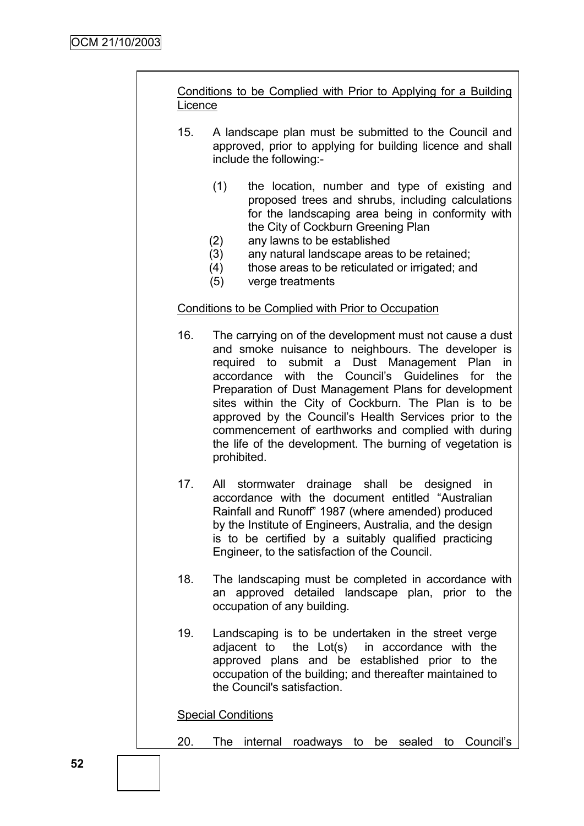# Conditions to be Complied with Prior to Applying for a Building **Licence** 15. A landscape plan must be submitted to the Council and approved, prior to applying for building licence and shall include the following:- (1) the location, number and type of existing and proposed trees and shrubs, including calculations for the landscaping area being in conformity with the City of Cockburn Greening Plan (2) any lawns to be established (3) any natural landscape areas to be retained; (4) those areas to be reticulated or irrigated; and (5) verge treatments Conditions to be Complied with Prior to Occupation 16. The carrying on of the development must not cause a dust and smoke nuisance to neighbours. The developer is required to submit a Dust Management Plan in accordance with the Council"s Guidelines for the Preparation of Dust Management Plans for development sites within the City of Cockburn. The Plan is to be approved by the Council"s Health Services prior to the commencement of earthworks and complied with during the life of the development. The burning of vegetation is prohibited. 17. All stormwater drainage shall be designed in accordance with the document entitled "Australian Rainfall and Runoff" 1987 (where amended) produced by the Institute of Engineers, Australia, and the design is to be certified by a suitably qualified practicing Engineer, to the satisfaction of the Council. 18. The landscaping must be completed in accordance with an approved detailed landscape plan, prior to the occupation of any building. 19. Landscaping is to be undertaken in the street verge adjacent to the Lot(s) in accordance with the approved plans and be established prior to the occupation of the building; and thereafter maintained to the Council's satisfaction. Special Conditions

20. The internal roadways to be sealed to Council"s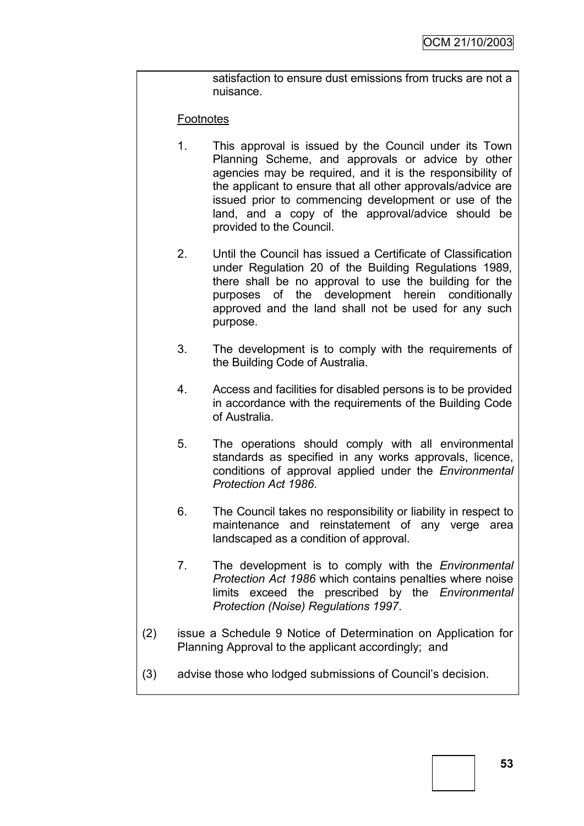satisfaction to ensure dust emissions from trucks are not a nuisance.

#### **Footnotes**

- 1. This approval is issued by the Council under its Town Planning Scheme, and approvals or advice by other agencies may be required, and it is the responsibility of the applicant to ensure that all other approvals/advice are issued prior to commencing development or use of the land, and a copy of the approval/advice should be provided to the Council.
- 2. Until the Council has issued a Certificate of Classification under Regulation 20 of the Building Regulations 1989, there shall be no approval to use the building for the purposes of the development herein conditionally approved and the land shall not be used for any such purpose.
- 3. The development is to comply with the requirements of the Building Code of Australia.
- 4. Access and facilities for disabled persons is to be provided in accordance with the requirements of the Building Code of Australia.
- 5. The operations should comply with all environmental standards as specified in any works approvals, licence, conditions of approval applied under the *Environmental Protection Act 1986*.
- 6. The Council takes no responsibility or liability in respect to maintenance and reinstatement of any verge area landscaped as a condition of approval.
- 7. The development is to comply with the *Environmental Protection Act 1986* which contains penalties where noise limits exceed the prescribed by the *Environmental Protection (Noise) Regulations 1997*.
- (2) issue a Schedule 9 Notice of Determination on Application for Planning Approval to the applicant accordingly; and
- (3) advise those who lodged submissions of Council"s decision.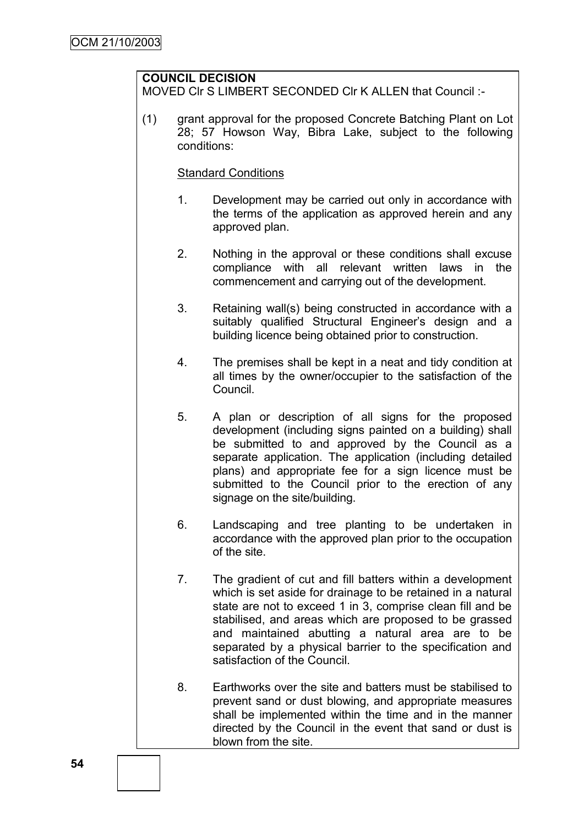## **COUNCIL DECISION**

MOVED CIr S LIMBERT SECONDED CIr K ALLEN that Council :-

(1) grant approval for the proposed Concrete Batching Plant on Lot 28; 57 Howson Way, Bibra Lake, subject to the following conditions:

#### Standard Conditions

- 1. Development may be carried out only in accordance with the terms of the application as approved herein and any approved plan.
- 2. Nothing in the approval or these conditions shall excuse compliance with all relevant written laws in the commencement and carrying out of the development.
- 3. Retaining wall(s) being constructed in accordance with a suitably qualified Structural Engineer's design and a building licence being obtained prior to construction.
- 4. The premises shall be kept in a neat and tidy condition at all times by the owner/occupier to the satisfaction of the Council.
- 5. A plan or description of all signs for the proposed development (including signs painted on a building) shall be submitted to and approved by the Council as a separate application. The application (including detailed plans) and appropriate fee for a sign licence must be submitted to the Council prior to the erection of any signage on the site/building.
- 6. Landscaping and tree planting to be undertaken in accordance with the approved plan prior to the occupation of the site.
- 7. The gradient of cut and fill batters within a development which is set aside for drainage to be retained in a natural state are not to exceed 1 in 3, comprise clean fill and be stabilised, and areas which are proposed to be grassed and maintained abutting a natural area are to be separated by a physical barrier to the specification and satisfaction of the Council.
- 8. Earthworks over the site and batters must be stabilised to prevent sand or dust blowing, and appropriate measures shall be implemented within the time and in the manner directed by the Council in the event that sand or dust is blown from the site.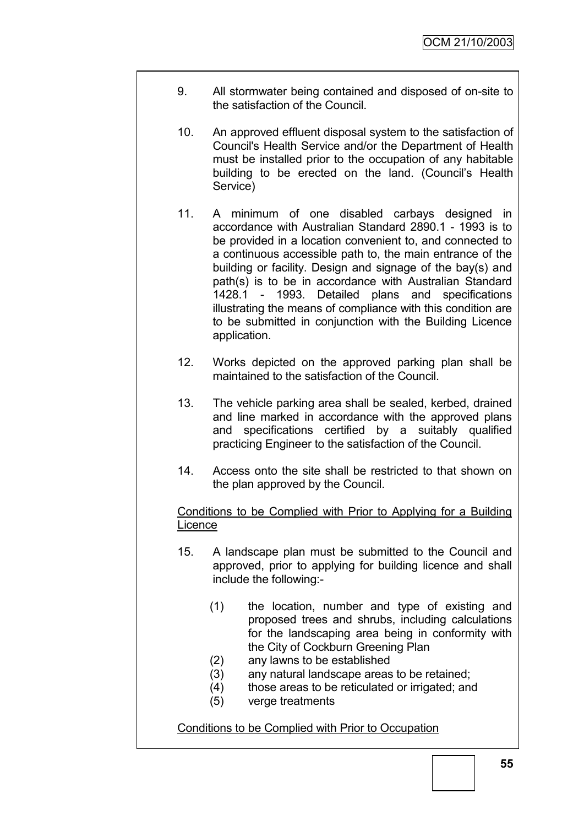- 9. All stormwater being contained and disposed of on-site to the satisfaction of the Council.
- 10. An approved effluent disposal system to the satisfaction of Council's Health Service and/or the Department of Health must be installed prior to the occupation of any habitable building to be erected on the land. (Council"s Health Service)
- 11. A minimum of one disabled carbays designed in accordance with Australian Standard 2890.1 - 1993 is to be provided in a location convenient to, and connected to a continuous accessible path to, the main entrance of the building or facility. Design and signage of the bay(s) and path(s) is to be in accordance with Australian Standard 1428.1 - 1993. Detailed plans and specifications illustrating the means of compliance with this condition are to be submitted in conjunction with the Building Licence application.
- 12. Works depicted on the approved parking plan shall be maintained to the satisfaction of the Council.
- 13. The vehicle parking area shall be sealed, kerbed, drained and line marked in accordance with the approved plans and specifications certified by a suitably qualified practicing Engineer to the satisfaction of the Council.
- 14. Access onto the site shall be restricted to that shown on the plan approved by the Council.

#### Conditions to be Complied with Prior to Applying for a Building Licence

- 15. A landscape plan must be submitted to the Council and approved, prior to applying for building licence and shall include the following:-
	- (1) the location, number and type of existing and proposed trees and shrubs, including calculations for the landscaping area being in conformity with the City of Cockburn Greening Plan
	- (2) any lawns to be established
	- (3) any natural landscape areas to be retained;
	- (4) those areas to be reticulated or irrigated; and
	- (5) verge treatments

## Conditions to be Complied with Prior to Occupation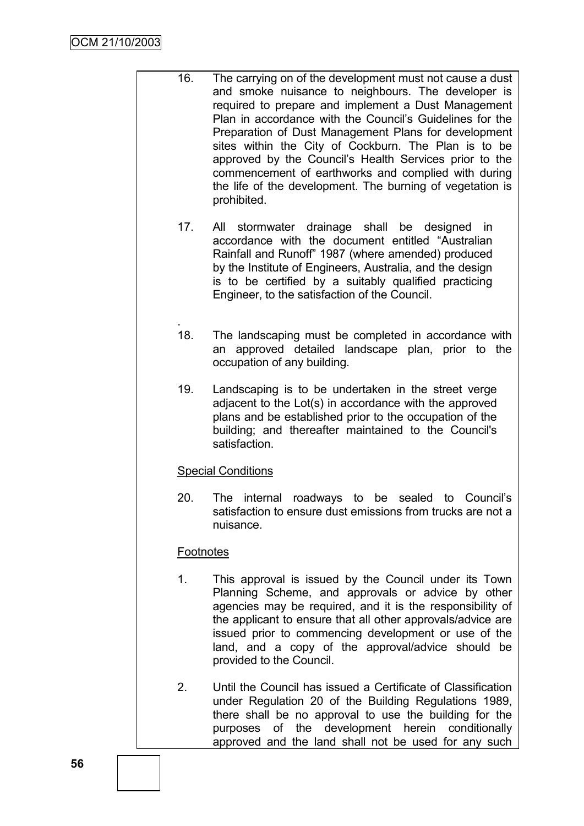- 16. The carrying on of the development must not cause a dust and smoke nuisance to neighbours. The developer is required to prepare and implement a Dust Management Plan in accordance with the Council"s Guidelines for the Preparation of Dust Management Plans for development sites within the City of Cockburn. The Plan is to be approved by the Council"s Health Services prior to the commencement of earthworks and complied with during the life of the development. The burning of vegetation is prohibited.
	- 17. All stormwater drainage shall be designed in accordance with the document entitled "Australian Rainfall and Runoff" 1987 (where amended) produced by the Institute of Engineers, Australia, and the design is to be certified by a suitably qualified practicing Engineer, to the satisfaction of the Council.
	- . 18. The landscaping must be completed in accordance with an approved detailed landscape plan, prior to the occupation of any building.
	- 19. Landscaping is to be undertaken in the street verge adjacent to the Lot(s) in accordance with the approved plans and be established prior to the occupation of the building; and thereafter maintained to the Council's satisfaction.

#### Special Conditions

20. The internal roadways to be sealed to Council"s satisfaction to ensure dust emissions from trucks are not a nuisance.

#### **Footnotes**

- 1. This approval is issued by the Council under its Town Planning Scheme, and approvals or advice by other agencies may be required, and it is the responsibility of the applicant to ensure that all other approvals/advice are issued prior to commencing development or use of the land, and a copy of the approval/advice should be provided to the Council.
- 2. Until the Council has issued a Certificate of Classification under Regulation 20 of the Building Regulations 1989, there shall be no approval to use the building for the purposes of the development herein conditionally approved and the land shall not be used for any such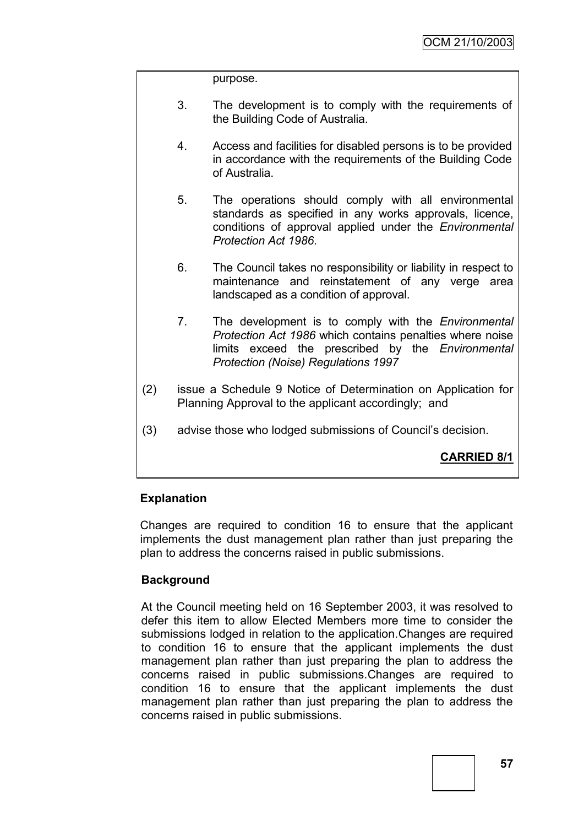purpose.

- 3. The development is to comply with the requirements of the Building Code of Australia.
- 4. Access and facilities for disabled persons is to be provided in accordance with the requirements of the Building Code of Australia.
- 5. The operations should comply with all environmental standards as specified in any works approvals, licence, conditions of approval applied under the *Environmental Protection Act 1986*.
- 6. The Council takes no responsibility or liability in respect to maintenance and reinstatement of any verge area landscaped as a condition of approval.
- 7. The development is to comply with the *Environmental Protection Act 1986* which contains penalties where noise limits exceed the prescribed by the *Environmental Protection (Noise) Regulations 1997*
- (2) issue a Schedule 9 Notice of Determination on Application for Planning Approval to the applicant accordingly; and
- (3) advise those who lodged submissions of Council"s decision.

## **CARRIED 8/1**

#### **Explanation**

Changes are required to condition 16 to ensure that the applicant implements the dust management plan rather than just preparing the plan to address the concerns raised in public submissions.

#### **Background**

At the Council meeting held on 16 September 2003, it was resolved to defer this item to allow Elected Members more time to consider the submissions lodged in relation to the application.Changes are required to condition 16 to ensure that the applicant implements the dust management plan rather than just preparing the plan to address the concerns raised in public submissions.Changes are required to condition 16 to ensure that the applicant implements the dust management plan rather than just preparing the plan to address the concerns raised in public submissions.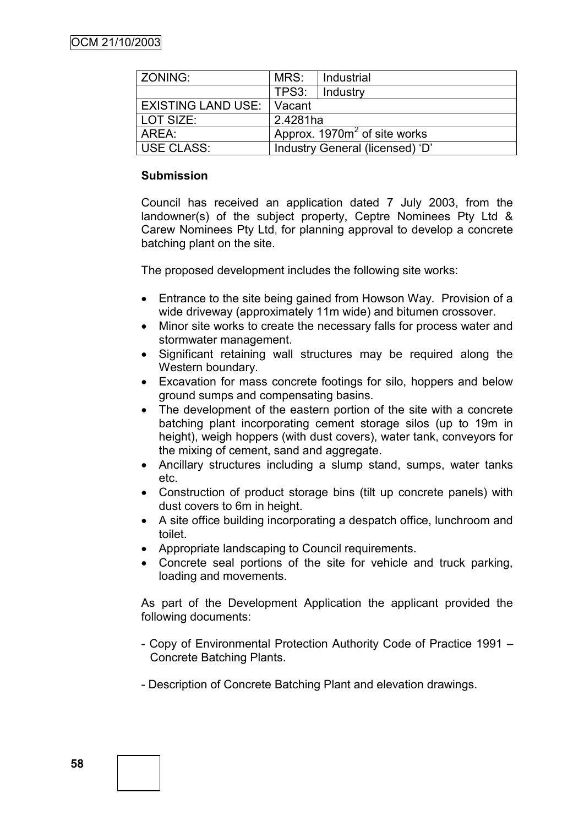| <b>ZONING:</b>              | MRS:                            | Industrial |  |
|-----------------------------|---------------------------------|------------|--|
|                             | TPS3:                           | Industry   |  |
| <b>EXISTING LAND USE: 1</b> | <b>Vacant</b>                   |            |  |
| LOT SIZE:                   | 2.4281ha                        |            |  |
| l AREA:                     | Approx. $1970m^2$ of site works |            |  |
| USE CLASS:                  | Industry General (licensed) 'D' |            |  |

#### **Submission**

Council has received an application dated 7 July 2003, from the landowner(s) of the subject property, Ceptre Nominees Pty Ltd & Carew Nominees Pty Ltd, for planning approval to develop a concrete batching plant on the site.

The proposed development includes the following site works:

- Entrance to the site being gained from Howson Way. Provision of a wide driveway (approximately 11m wide) and bitumen crossover.
- Minor site works to create the necessary falls for process water and stormwater management.
- Significant retaining wall structures may be required along the Western boundary.
- Excavation for mass concrete footings for silo, hoppers and below ground sumps and compensating basins.
- The development of the eastern portion of the site with a concrete batching plant incorporating cement storage silos (up to 19m in height), weigh hoppers (with dust covers), water tank, conveyors for the mixing of cement, sand and aggregate.
- Ancillary structures including a slump stand, sumps, water tanks etc.
- Construction of product storage bins (tilt up concrete panels) with dust covers to 6m in height.
- A site office building incorporating a despatch office, lunchroom and toilet.
- Appropriate landscaping to Council requirements.
- Concrete seal portions of the site for vehicle and truck parking, loading and movements.

As part of the Development Application the applicant provided the following documents:

- Copy of Environmental Protection Authority Code of Practice 1991 Concrete Batching Plants.
- Description of Concrete Batching Plant and elevation drawings.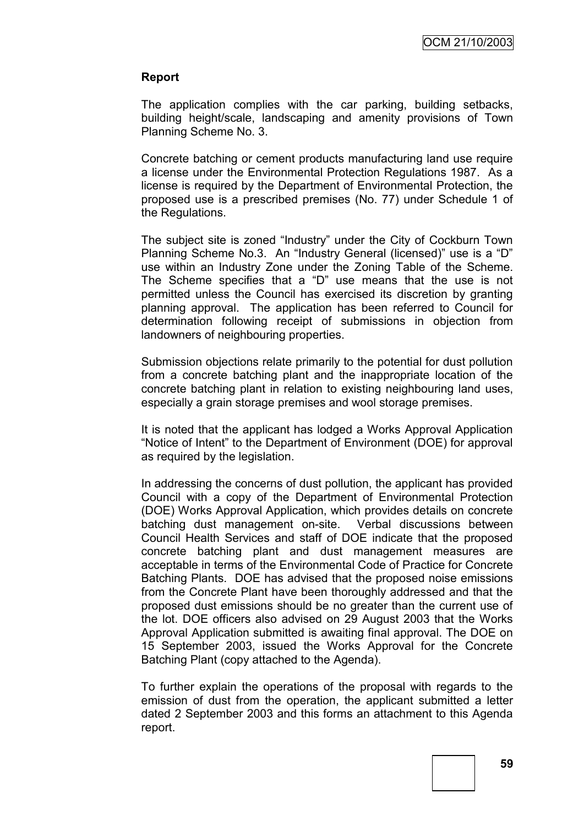#### **Report**

The application complies with the car parking, building setbacks, building height/scale, landscaping and amenity provisions of Town Planning Scheme No. 3.

Concrete batching or cement products manufacturing land use require a license under the Environmental Protection Regulations 1987. As a license is required by the Department of Environmental Protection, the proposed use is a prescribed premises (No. 77) under Schedule 1 of the Regulations.

The subject site is zoned "Industry" under the City of Cockburn Town Planning Scheme No.3. An "Industry General (licensed)" use is a "D" use within an Industry Zone under the Zoning Table of the Scheme. The Scheme specifies that a "D" use means that the use is not permitted unless the Council has exercised its discretion by granting planning approval. The application has been referred to Council for determination following receipt of submissions in objection from landowners of neighbouring properties.

Submission objections relate primarily to the potential for dust pollution from a concrete batching plant and the inappropriate location of the concrete batching plant in relation to existing neighbouring land uses, especially a grain storage premises and wool storage premises.

It is noted that the applicant has lodged a Works Approval Application "Notice of Intent" to the Department of Environment (DOE) for approval as required by the legislation.

In addressing the concerns of dust pollution, the applicant has provided Council with a copy of the Department of Environmental Protection (DOE) Works Approval Application, which provides details on concrete batching dust management on-site. Verbal discussions between Council Health Services and staff of DOE indicate that the proposed concrete batching plant and dust management measures are acceptable in terms of the Environmental Code of Practice for Concrete Batching Plants. DOE has advised that the proposed noise emissions from the Concrete Plant have been thoroughly addressed and that the proposed dust emissions should be no greater than the current use of the lot. DOE officers also advised on 29 August 2003 that the Works Approval Application submitted is awaiting final approval. The DOE on 15 September 2003, issued the Works Approval for the Concrete Batching Plant (copy attached to the Agenda).

To further explain the operations of the proposal with regards to the emission of dust from the operation, the applicant submitted a letter dated 2 September 2003 and this forms an attachment to this Agenda report.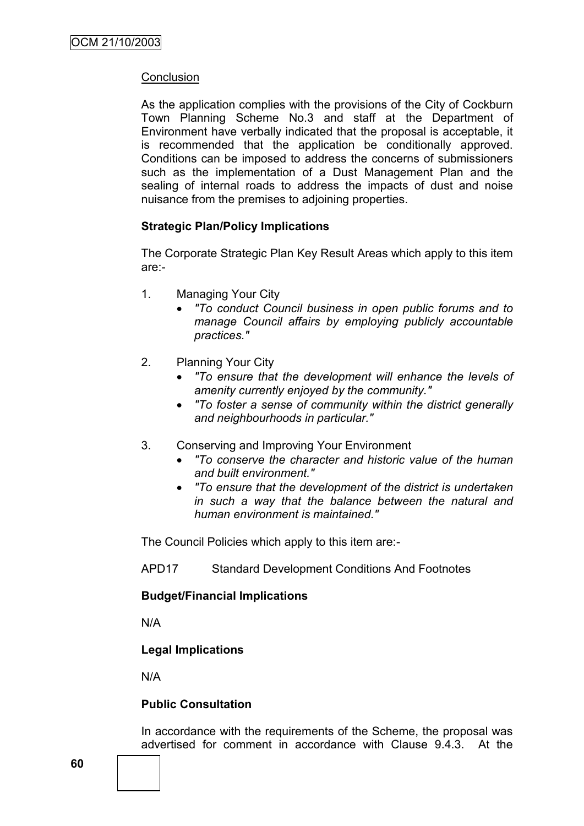## **Conclusion**

As the application complies with the provisions of the City of Cockburn Town Planning Scheme No.3 and staff at the Department of Environment have verbally indicated that the proposal is acceptable, it is recommended that the application be conditionally approved. Conditions can be imposed to address the concerns of submissioners such as the implementation of a Dust Management Plan and the sealing of internal roads to address the impacts of dust and noise nuisance from the premises to adjoining properties.

## **Strategic Plan/Policy Implications**

The Corporate Strategic Plan Key Result Areas which apply to this item are:-

- 1. Managing Your City
	- *"To conduct Council business in open public forums and to manage Council affairs by employing publicly accountable practices."*
- 2. Planning Your City
	- *"To ensure that the development will enhance the levels of amenity currently enjoyed by the community."*
	- *"To foster a sense of community within the district generally and neighbourhoods in particular."*
- 3. Conserving and Improving Your Environment
	- *"To conserve the character and historic value of the human and built environment."*
	- *"To ensure that the development of the district is undertaken in such a way that the balance between the natural and human environment is maintained."*

The Council Policies which apply to this item are:-

APD17 Standard Development Conditions And Footnotes

#### **Budget/Financial Implications**

N/A

#### **Legal Implications**

N/A

#### **Public Consultation**

In accordance with the requirements of the Scheme, the proposal was advertised for comment in accordance with Clause 9.4.3. At the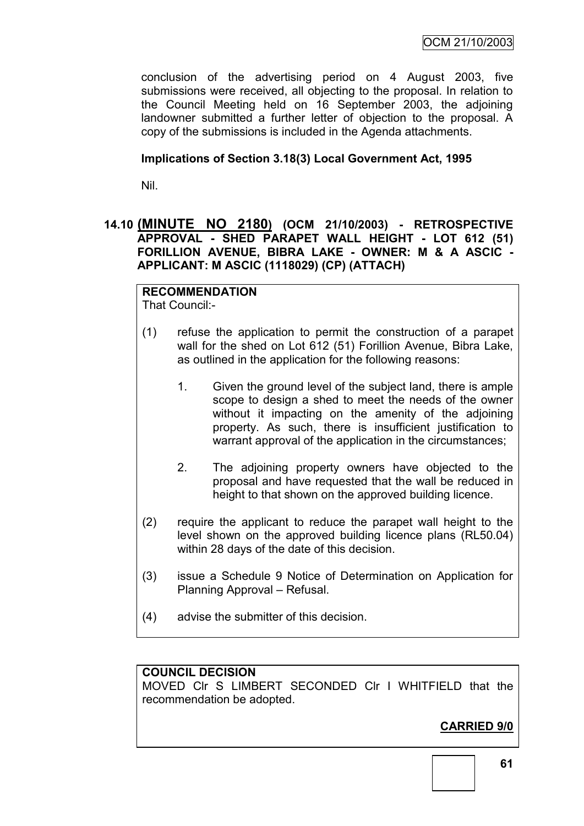OCM 21/10/2003

conclusion of the advertising period on 4 August 2003, five submissions were received, all objecting to the proposal. In relation to the Council Meeting held on 16 September 2003, the adjoining landowner submitted a further letter of objection to the proposal. A copy of the submissions is included in the Agenda attachments.

#### **Implications of Section 3.18(3) Local Government Act, 1995**

Nil.

## **14.10 (MINUTE NO 2180) (OCM 21/10/2003) - RETROSPECTIVE APPROVAL - SHED PARAPET WALL HEIGHT - LOT 612 (51) FORILLION AVENUE, BIBRA LAKE - OWNER: M & A ASCIC - APPLICANT: M ASCIC (1118029) (CP) (ATTACH)**

## **RECOMMENDATION**

That Council:-

- (1) refuse the application to permit the construction of a parapet wall for the shed on Lot 612 (51) Forillion Avenue, Bibra Lake, as outlined in the application for the following reasons:
	- 1. Given the ground level of the subject land, there is ample scope to design a shed to meet the needs of the owner without it impacting on the amenity of the adjoining property. As such, there is insufficient justification to warrant approval of the application in the circumstances;
	- 2. The adjoining property owners have objected to the proposal and have requested that the wall be reduced in height to that shown on the approved building licence.
- (2) require the applicant to reduce the parapet wall height to the level shown on the approved building licence plans (RL50.04) within 28 days of the date of this decision.
- (3) issue a Schedule 9 Notice of Determination on Application for Planning Approval – Refusal.
- (4) advise the submitter of this decision.

## **COUNCIL DECISION**

MOVED Clr S LIMBERT SECONDED Clr I WHITFIELD that the recommendation be adopted.

## **CARRIED 9/0**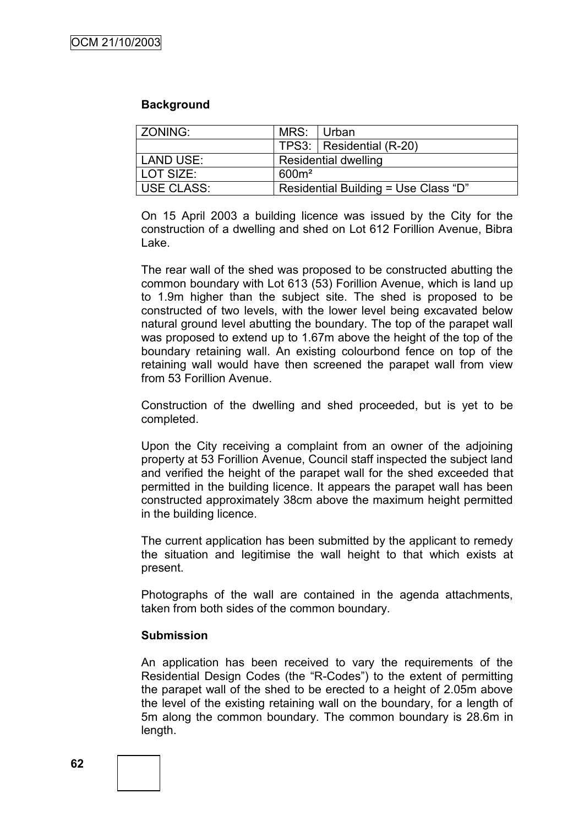#### **Background**

| ZONING:    | MRS:                                 | ⊟ Urban                  |
|------------|--------------------------------------|--------------------------|
|            |                                      | TPS3: Residential (R-20) |
| LAND USE:  | Residential dwelling                 |                          |
| LOT SIZE:  | $600m^2$                             |                          |
| USE CLASS: | Residential Building = Use Class "D" |                          |

On 15 April 2003 a building licence was issued by the City for the construction of a dwelling and shed on Lot 612 Forillion Avenue, Bibra Lake.

The rear wall of the shed was proposed to be constructed abutting the common boundary with Lot 613 (53) Forillion Avenue, which is land up to 1.9m higher than the subject site. The shed is proposed to be constructed of two levels, with the lower level being excavated below natural ground level abutting the boundary. The top of the parapet wall was proposed to extend up to 1.67m above the height of the top of the boundary retaining wall. An existing colourbond fence on top of the retaining wall would have then screened the parapet wall from view from 53 Forillion Avenue.

Construction of the dwelling and shed proceeded, but is yet to be completed.

Upon the City receiving a complaint from an owner of the adjoining property at 53 Forillion Avenue, Council staff inspected the subject land and verified the height of the parapet wall for the shed exceeded that permitted in the building licence. It appears the parapet wall has been constructed approximately 38cm above the maximum height permitted in the building licence.

The current application has been submitted by the applicant to remedy the situation and legitimise the wall height to that which exists at present.

Photographs of the wall are contained in the agenda attachments, taken from both sides of the common boundary.

#### **Submission**

An application has been received to vary the requirements of the Residential Design Codes (the "R-Codes") to the extent of permitting the parapet wall of the shed to be erected to a height of 2.05m above the level of the existing retaining wall on the boundary, for a length of 5m along the common boundary. The common boundary is 28.6m in length.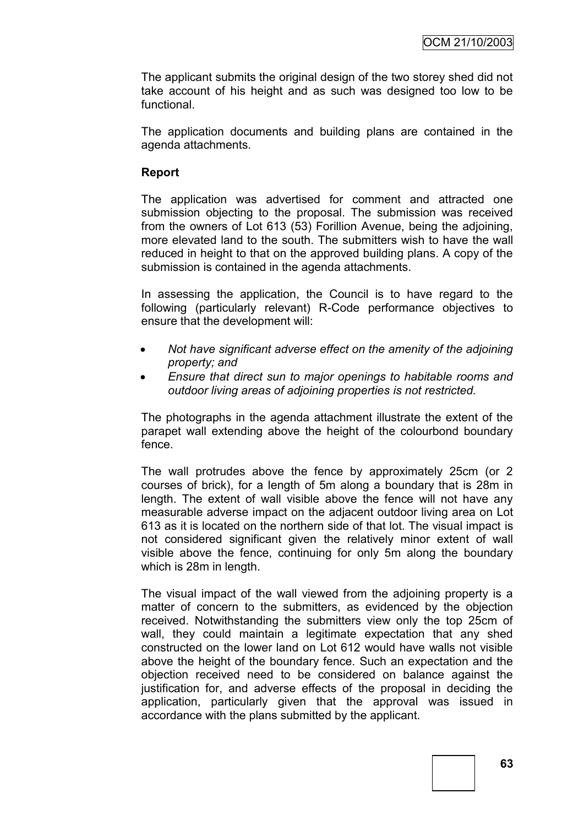The applicant submits the original design of the two storey shed did not take account of his height and as such was designed too low to be functional.

The application documents and building plans are contained in the agenda attachments.

#### **Report**

The application was advertised for comment and attracted one submission objecting to the proposal. The submission was received from the owners of Lot 613 (53) Forillion Avenue, being the adjoining, more elevated land to the south. The submitters wish to have the wall reduced in height to that on the approved building plans. A copy of the submission is contained in the agenda attachments.

In assessing the application, the Council is to have regard to the following (particularly relevant) R-Code performance objectives to ensure that the development will:

- *Not have significant adverse effect on the amenity of the adjoining property; and*
- *Ensure that direct sun to major openings to habitable rooms and outdoor living areas of adjoining properties is not restricted.*

The photographs in the agenda attachment illustrate the extent of the parapet wall extending above the height of the colourbond boundary fence.

The wall protrudes above the fence by approximately 25cm (or 2 courses of brick), for a length of 5m along a boundary that is 28m in length. The extent of wall visible above the fence will not have any measurable adverse impact on the adjacent outdoor living area on Lot 613 as it is located on the northern side of that lot. The visual impact is not considered significant given the relatively minor extent of wall visible above the fence, continuing for only 5m along the boundary which is 28m in length.

The visual impact of the wall viewed from the adjoining property is a matter of concern to the submitters, as evidenced by the objection received. Notwithstanding the submitters view only the top 25cm of wall, they could maintain a legitimate expectation that any shed constructed on the lower land on Lot 612 would have walls not visible above the height of the boundary fence. Such an expectation and the objection received need to be considered on balance against the justification for, and adverse effects of the proposal in deciding the application, particularly given that the approval was issued in accordance with the plans submitted by the applicant.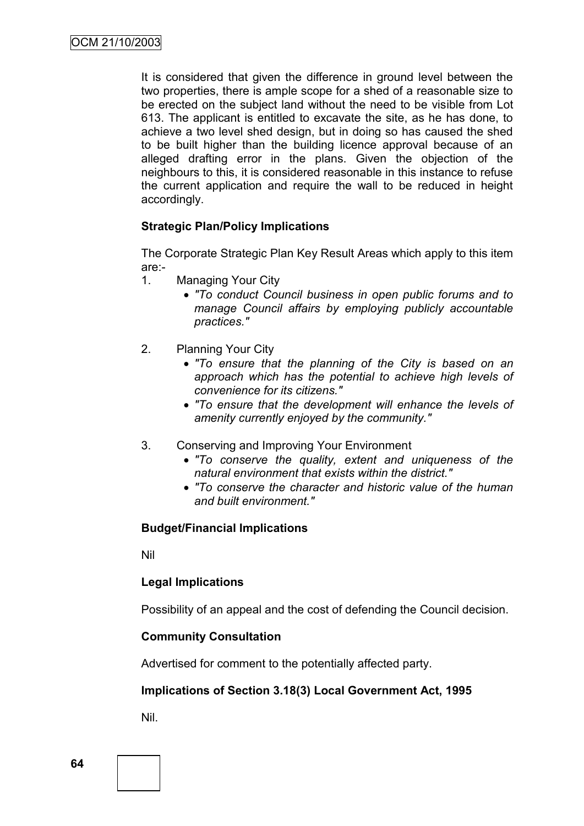It is considered that given the difference in ground level between the two properties, there is ample scope for a shed of a reasonable size to be erected on the subject land without the need to be visible from Lot 613. The applicant is entitled to excavate the site, as he has done, to achieve a two level shed design, but in doing so has caused the shed to be built higher than the building licence approval because of an alleged drafting error in the plans. Given the objection of the neighbours to this, it is considered reasonable in this instance to refuse the current application and require the wall to be reduced in height accordingly.

#### **Strategic Plan/Policy Implications**

The Corporate Strategic Plan Key Result Areas which apply to this item are:-

- 1. Managing Your City
	- *"To conduct Council business in open public forums and to manage Council affairs by employing publicly accountable practices."*
- 2. Planning Your City
	- *"To ensure that the planning of the City is based on an approach which has the potential to achieve high levels of convenience for its citizens."*
	- *"To ensure that the development will enhance the levels of amenity currently enjoyed by the community."*
- 3. Conserving and Improving Your Environment
	- *"To conserve the quality, extent and uniqueness of the natural environment that exists within the district."*
	- *"To conserve the character and historic value of the human and built environment."*

#### **Budget/Financial Implications**

Nil

#### **Legal Implications**

Possibility of an appeal and the cost of defending the Council decision.

#### **Community Consultation**

Advertised for comment to the potentially affected party.

#### **Implications of Section 3.18(3) Local Government Act, 1995**

Nil.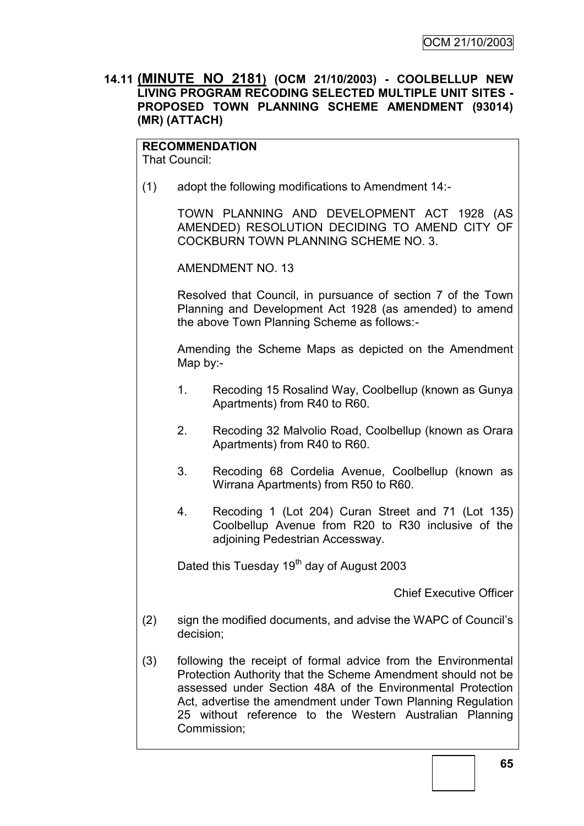## **14.11 (MINUTE NO 2181) (OCM 21/10/2003) - COOLBELLUP NEW LIVING PROGRAM RECODING SELECTED MULTIPLE UNIT SITES - PROPOSED TOWN PLANNING SCHEME AMENDMENT (93014) (MR) (ATTACH)**

## **RECOMMENDATION**

That Council:

(1) adopt the following modifications to Amendment 14:-

TOWN PLANNING AND DEVELOPMENT ACT 1928 (AS AMENDED) RESOLUTION DECIDING TO AMEND CITY OF COCKBURN TOWN PLANNING SCHEME NO. 3.

AMENDMENT NO. 13

Resolved that Council, in pursuance of section 7 of the Town Planning and Development Act 1928 (as amended) to amend the above Town Planning Scheme as follows:-

Amending the Scheme Maps as depicted on the Amendment Map by:-

- 1. Recoding 15 Rosalind Way, Coolbellup (known as Gunya Apartments) from R40 to R60.
- 2. Recoding 32 Malvolio Road, Coolbellup (known as Orara Apartments) from R40 to R60.
- 3. Recoding 68 Cordelia Avenue, Coolbellup (known as Wirrana Apartments) from R50 to R60.
- 4. Recoding 1 (Lot 204) Curan Street and 71 (Lot 135) Coolbellup Avenue from R20 to R30 inclusive of the adjoining Pedestrian Accessway.

Dated this Tuesday  $19<sup>th</sup>$  day of August 2003

Chief Executive Officer

- (2) sign the modified documents, and advise the WAPC of Council"s decision;
- (3) following the receipt of formal advice from the Environmental Protection Authority that the Scheme Amendment should not be assessed under Section 48A of the Environmental Protection Act, advertise the amendment under Town Planning Regulation 25 without reference to the Western Australian Planning Commission;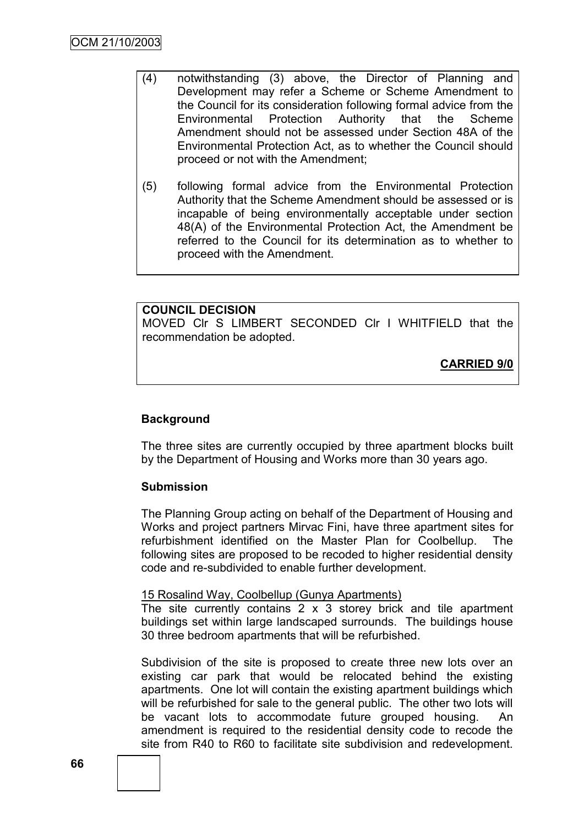- (4) notwithstanding (3) above, the Director of Planning and Development may refer a Scheme or Scheme Amendment to the Council for its consideration following formal advice from the Environmental Protection Authority that the Scheme Amendment should not be assessed under Section 48A of the Environmental Protection Act, as to whether the Council should proceed or not with the Amendment;
- (5) following formal advice from the Environmental Protection Authority that the Scheme Amendment should be assessed or is incapable of being environmentally acceptable under section 48(A) of the Environmental Protection Act, the Amendment be referred to the Council for its determination as to whether to proceed with the Amendment.

**COUNCIL DECISION** MOVED Clr S LIMBERT SECONDED Clr I WHITFIELD that the recommendation be adopted.

**CARRIED 9/0**

## **Background**

The three sites are currently occupied by three apartment blocks built by the Department of Housing and Works more than 30 years ago.

#### **Submission**

The Planning Group acting on behalf of the Department of Housing and Works and project partners Mirvac Fini, have three apartment sites for refurbishment identified on the Master Plan for Coolbellup. The following sites are proposed to be recoded to higher residential density code and re-subdivided to enable further development.

#### 15 Rosalind Way, Coolbellup (Gunya Apartments)

The site currently contains  $2 \times 3$  storey brick and tile apartment buildings set within large landscaped surrounds. The buildings house 30 three bedroom apartments that will be refurbished.

Subdivision of the site is proposed to create three new lots over an existing car park that would be relocated behind the existing apartments. One lot will contain the existing apartment buildings which will be refurbished for sale to the general public. The other two lots will be vacant lots to accommodate future grouped housing. An amendment is required to the residential density code to recode the site from R40 to R60 to facilitate site subdivision and redevelopment.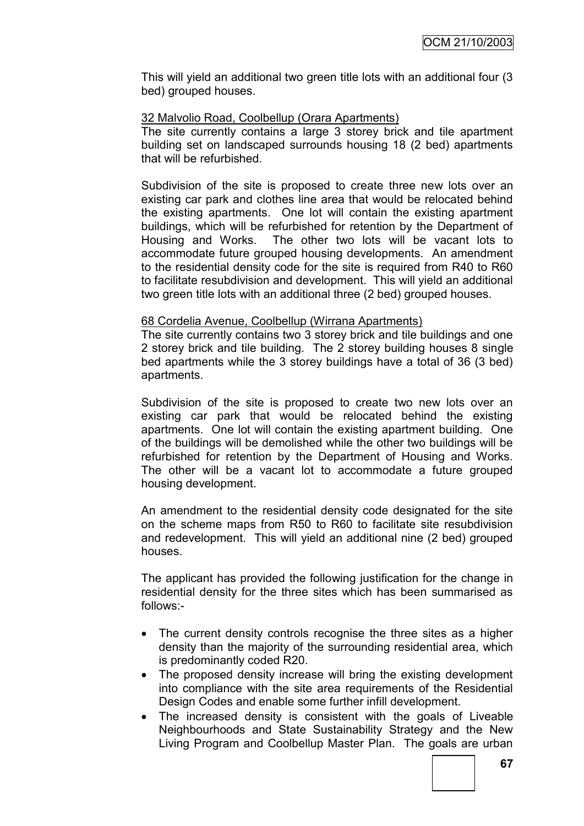This will yield an additional two green title lots with an additional four (3 bed) grouped houses.

#### 32 Malvolio Road, Coolbellup (Orara Apartments)

The site currently contains a large 3 storey brick and tile apartment building set on landscaped surrounds housing 18 (2 bed) apartments that will be refurbished.

Subdivision of the site is proposed to create three new lots over an existing car park and clothes line area that would be relocated behind the existing apartments. One lot will contain the existing apartment buildings, which will be refurbished for retention by the Department of Housing and Works. The other two lots will be vacant lots to accommodate future grouped housing developments. An amendment to the residential density code for the site is required from R40 to R60 to facilitate resubdivision and development. This will yield an additional two green title lots with an additional three (2 bed) grouped houses.

#### 68 Cordelia Avenue, Coolbellup (Wirrana Apartments)

The site currently contains two 3 storey brick and tile buildings and one 2 storey brick and tile building. The 2 storey building houses 8 single bed apartments while the 3 storey buildings have a total of 36 (3 bed) apartments.

Subdivision of the site is proposed to create two new lots over an existing car park that would be relocated behind the existing apartments. One lot will contain the existing apartment building. One of the buildings will be demolished while the other two buildings will be refurbished for retention by the Department of Housing and Works. The other will be a vacant lot to accommodate a future grouped housing development.

An amendment to the residential density code designated for the site on the scheme maps from R50 to R60 to facilitate site resubdivision and redevelopment. This will yield an additional nine (2 bed) grouped houses.

The applicant has provided the following justification for the change in residential density for the three sites which has been summarised as follows:-

- The current density controls recognise the three sites as a higher density than the majority of the surrounding residential area, which is predominantly coded R20.
- The proposed density increase will bring the existing development into compliance with the site area requirements of the Residential Design Codes and enable some further infill development.
- The increased density is consistent with the goals of Liveable Neighbourhoods and State Sustainability Strategy and the New Living Program and Coolbellup Master Plan. The goals are urban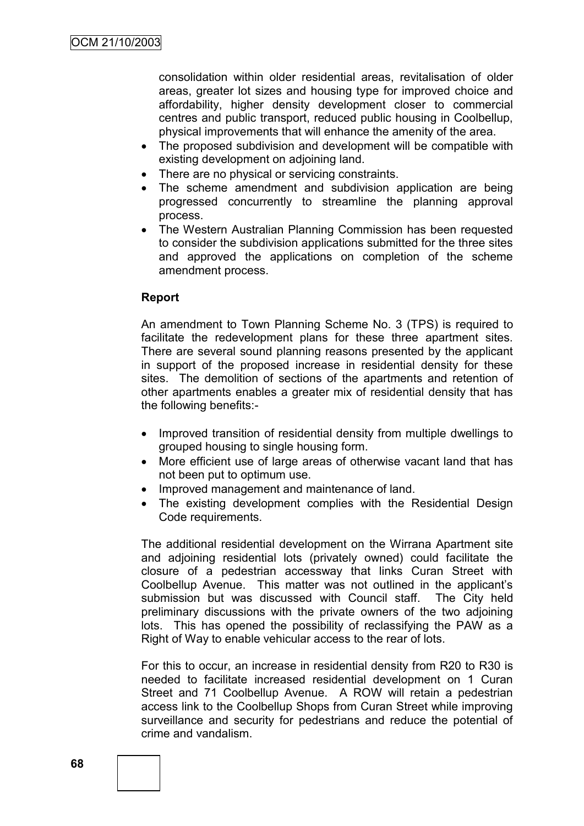consolidation within older residential areas, revitalisation of older areas, greater lot sizes and housing type for improved choice and affordability, higher density development closer to commercial centres and public transport, reduced public housing in Coolbellup, physical improvements that will enhance the amenity of the area.

- The proposed subdivision and development will be compatible with existing development on adjoining land.
- There are no physical or servicing constraints.
- The scheme amendment and subdivision application are being progressed concurrently to streamline the planning approval process.
- The Western Australian Planning Commission has been requested to consider the subdivision applications submitted for the three sites and approved the applications on completion of the scheme amendment process.

#### **Report**

An amendment to Town Planning Scheme No. 3 (TPS) is required to facilitate the redevelopment plans for these three apartment sites. There are several sound planning reasons presented by the applicant in support of the proposed increase in residential density for these sites. The demolition of sections of the apartments and retention of other apartments enables a greater mix of residential density that has the following benefits:-

- Improved transition of residential density from multiple dwellings to grouped housing to single housing form.
- More efficient use of large areas of otherwise vacant land that has not been put to optimum use.
- Improved management and maintenance of land.
- The existing development complies with the Residential Design Code requirements.

The additional residential development on the Wirrana Apartment site and adjoining residential lots (privately owned) could facilitate the closure of a pedestrian accessway that links Curan Street with Coolbellup Avenue. This matter was not outlined in the applicant"s submission but was discussed with Council staff. The City held preliminary discussions with the private owners of the two adjoining lots. This has opened the possibility of reclassifying the PAW as a Right of Way to enable vehicular access to the rear of lots.

For this to occur, an increase in residential density from R20 to R30 is needed to facilitate increased residential development on 1 Curan Street and 71 Coolbellup Avenue. A ROW will retain a pedestrian access link to the Coolbellup Shops from Curan Street while improving surveillance and security for pedestrians and reduce the potential of crime and vandalism.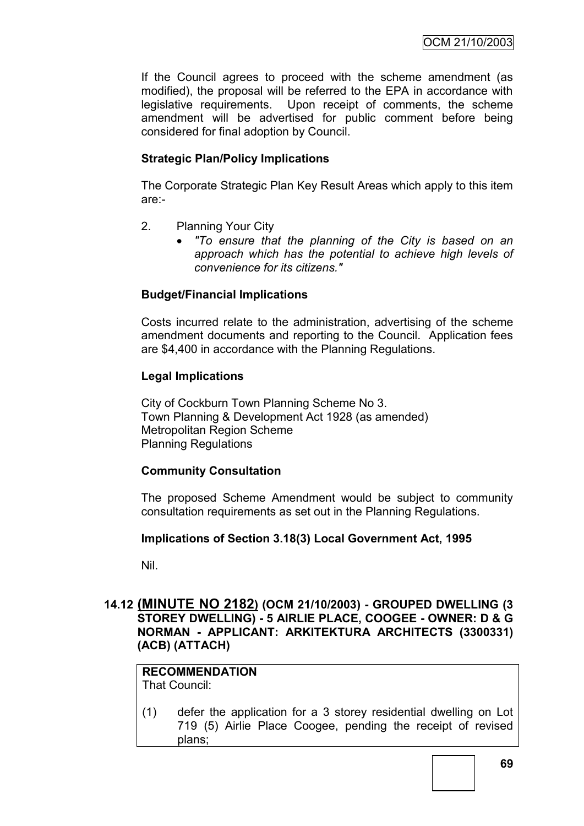If the Council agrees to proceed with the scheme amendment (as modified), the proposal will be referred to the EPA in accordance with legislative requirements. Upon receipt of comments, the scheme amendment will be advertised for public comment before being considered for final adoption by Council.

# **Strategic Plan/Policy Implications**

The Corporate Strategic Plan Key Result Areas which apply to this item are:-

- 2. Planning Your City
	- *"To ensure that the planning of the City is based on an approach which has the potential to achieve high levels of convenience for its citizens."*

# **Budget/Financial Implications**

Costs incurred relate to the administration, advertising of the scheme amendment documents and reporting to the Council. Application fees are \$4,400 in accordance with the Planning Regulations.

# **Legal Implications**

City of Cockburn Town Planning Scheme No 3. Town Planning & Development Act 1928 (as amended) Metropolitan Region Scheme Planning Regulations

# **Community Consultation**

The proposed Scheme Amendment would be subject to community consultation requirements as set out in the Planning Regulations.

# **Implications of Section 3.18(3) Local Government Act, 1995**

Nil.

# **14.12 (MINUTE NO 2182) (OCM 21/10/2003) - GROUPED DWELLING (3 STOREY DWELLING) - 5 AIRLIE PLACE, COOGEE - OWNER: D & G NORMAN - APPLICANT: ARKITEKTURA ARCHITECTS (3300331) (ACB) (ATTACH)**

# **RECOMMENDATION**

That Council:

(1) defer the application for a 3 storey residential dwelling on Lot 719 (5) Airlie Place Coogee, pending the receipt of revised plans;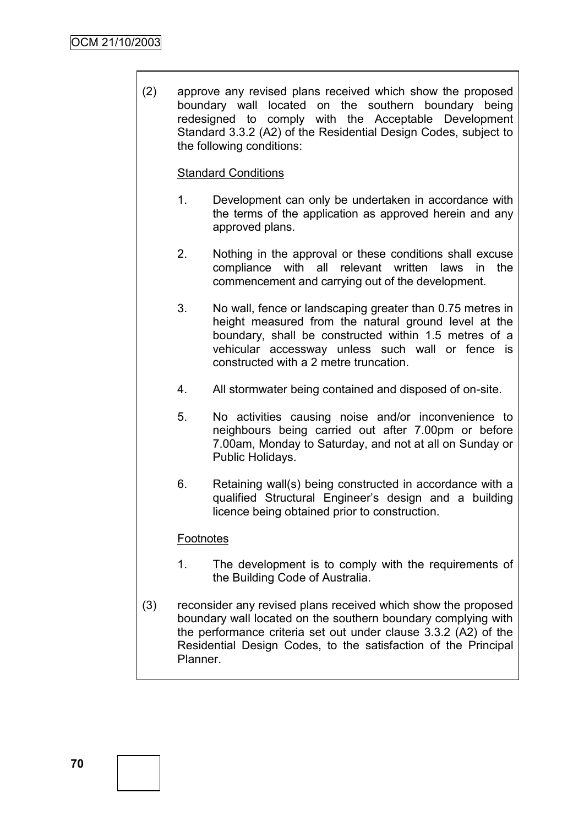(2) approve any revised plans received which show the proposed boundary wall located on the southern boundary being redesigned to comply with the Acceptable Development Standard 3.3.2 (A2) of the Residential Design Codes, subject to the following conditions:

# Standard Conditions

- 1. Development can only be undertaken in accordance with the terms of the application as approved herein and any approved plans.
- 2. Nothing in the approval or these conditions shall excuse compliance with all relevant written laws in the commencement and carrying out of the development.
- 3. No wall, fence or landscaping greater than 0.75 metres in height measured from the natural ground level at the boundary, shall be constructed within 1.5 metres of a vehicular accessway unless such wall or fence is constructed with a 2 metre truncation.
- 4. All stormwater being contained and disposed of on-site.
- 5. No activities causing noise and/or inconvenience to neighbours being carried out after 7.00pm or before 7.00am, Monday to Saturday, and not at all on Sunday or Public Holidays.
- 6. Retaining wall(s) being constructed in accordance with a qualified Structural Engineer"s design and a building licence being obtained prior to construction.

# **Footnotes**

- 1. The development is to comply with the requirements of the Building Code of Australia.
- (3) reconsider any revised plans received which show the proposed boundary wall located on the southern boundary complying with the performance criteria set out under clause 3.3.2 (A2) of the Residential Design Codes, to the satisfaction of the Principal Planner.

**70**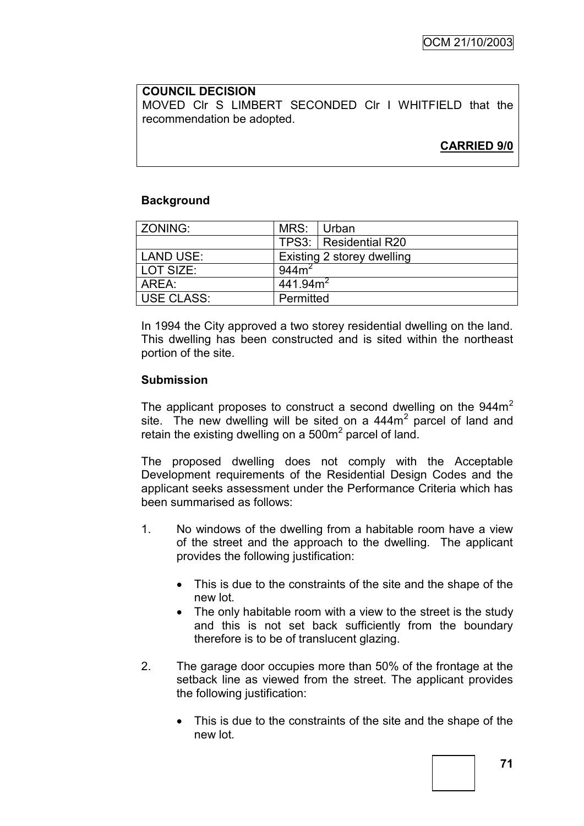# **COUNCIL DECISION**

MOVED Clr S LIMBERT SECONDED Clr I WHITFIELD that the recommendation be adopted.

# **CARRIED 9/0**

# **Background**

| ZONING:    | MRS: Urban                 |                         |  |
|------------|----------------------------|-------------------------|--|
|            |                            | TPS3:   Residential R20 |  |
| LAND USE:  | Existing 2 storey dwelling |                         |  |
| LOT SIZE:  | 944m <sup>2</sup>          |                         |  |
| AREA:      | 441.94m <sup>2</sup>       |                         |  |
| USE CLASS: | Permitted                  |                         |  |

In 1994 the City approved a two storey residential dwelling on the land. This dwelling has been constructed and is sited within the northeast portion of the site.

# **Submission**

The applicant proposes to construct a second dwelling on the  $944m<sup>2</sup>$ site. The new dwelling will be sited on a  $444m<sup>2</sup>$  parcel of land and retain the existing dwelling on a 500 $m<sup>2</sup>$  parcel of land.

The proposed dwelling does not comply with the Acceptable Development requirements of the Residential Design Codes and the applicant seeks assessment under the Performance Criteria which has been summarised as follows:

- 1. No windows of the dwelling from a habitable room have a view of the street and the approach to the dwelling. The applicant provides the following justification:
	- This is due to the constraints of the site and the shape of the new lot*.*
	- The only habitable room with a view to the street is the study and this is not set back sufficiently from the boundary therefore is to be of translucent glazing.
- 2. The garage door occupies more than 50% of the frontage at the setback line as viewed from the street. The applicant provides the following justification:
	- This is due to the constraints of the site and the shape of the new lot*.*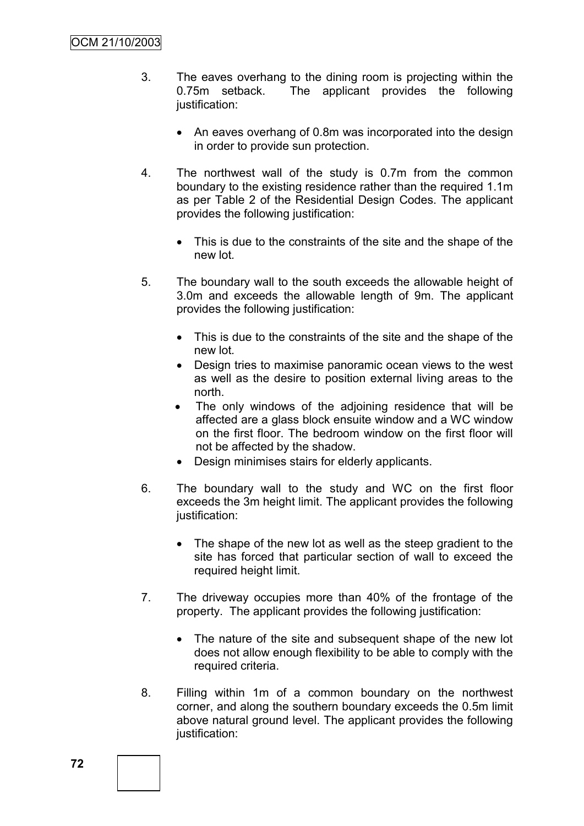- 3. The eaves overhang to the dining room is projecting within the 0.75m setback. The applicant provides the following justification:
	- An eaves overhang of 0.8m was incorporated into the design in order to provide sun protection.
- 4. The northwest wall of the study is 0.7m from the common boundary to the existing residence rather than the required 1.1m as per Table 2 of the Residential Design Codes. The applicant provides the following justification:
	- This is due to the constraints of the site and the shape of the new lot*.*
- 5. The boundary wall to the south exceeds the allowable height of 3.0m and exceeds the allowable length of 9m. The applicant provides the following justification:
	- This is due to the constraints of the site and the shape of the new lot*.*
	- Design tries to maximise panoramic ocean views to the west as well as the desire to position external living areas to the north.
	- The only windows of the adjoining residence that will be affected are a glass block ensuite window and a WC window on the first floor. The bedroom window on the first floor will not be affected by the shadow.
	- Design minimises stairs for elderly applicants.
- 6. The boundary wall to the study and WC on the first floor exceeds the 3m height limit. The applicant provides the following justification:
	- The shape of the new lot as well as the steep gradient to the site has forced that particular section of wall to exceed the required height limit.
- 7. The driveway occupies more than 40% of the frontage of the property. The applicant provides the following justification:
	- The nature of the site and subsequent shape of the new lot does not allow enough flexibility to be able to comply with the required criteria.
- 8. Filling within 1m of a common boundary on the northwest corner, and along the southern boundary exceeds the 0.5m limit above natural ground level. The applicant provides the following justification: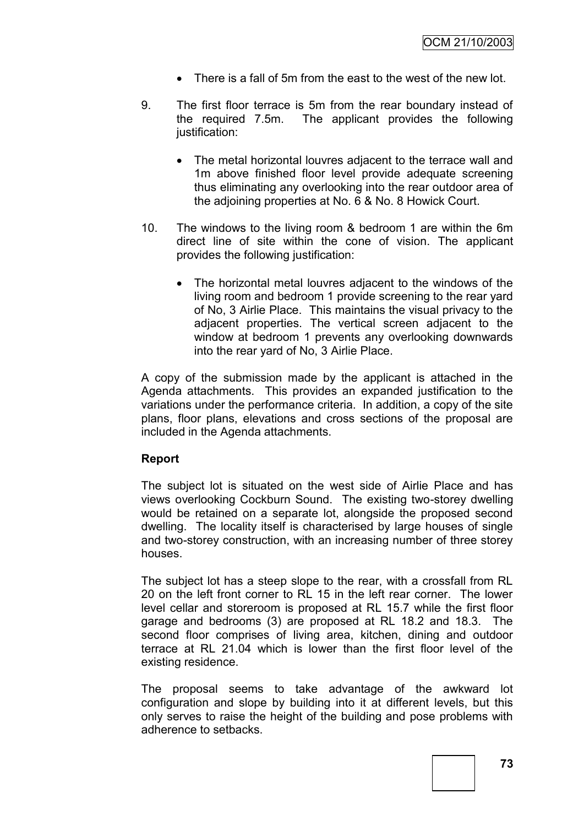- There is a fall of 5m from the east to the west of the new lot.
- 9. The first floor terrace is 5m from the rear boundary instead of the required 7.5m. The applicant provides the following justification:
	- The metal horizontal louvres adjacent to the terrace wall and 1m above finished floor level provide adequate screening thus eliminating any overlooking into the rear outdoor area of the adjoining properties at No. 6 & No. 8 Howick Court.
- 10. The windows to the living room & bedroom 1 are within the 6m direct line of site within the cone of vision. The applicant provides the following justification:
	- The horizontal metal louvres adjacent to the windows of the living room and bedroom 1 provide screening to the rear yard of No, 3 Airlie Place. This maintains the visual privacy to the adjacent properties. The vertical screen adjacent to the window at bedroom 1 prevents any overlooking downwards into the rear yard of No, 3 Airlie Place.

A copy of the submission made by the applicant is attached in the Agenda attachments. This provides an expanded justification to the variations under the performance criteria. In addition, a copy of the site plans, floor plans, elevations and cross sections of the proposal are included in the Agenda attachments.

# **Report**

The subject lot is situated on the west side of Airlie Place and has views overlooking Cockburn Sound. The existing two-storey dwelling would be retained on a separate lot, alongside the proposed second dwelling. The locality itself is characterised by large houses of single and two-storey construction, with an increasing number of three storey houses.

The subject lot has a steep slope to the rear, with a crossfall from RL 20 on the left front corner to RL 15 in the left rear corner. The lower level cellar and storeroom is proposed at RL 15.7 while the first floor garage and bedrooms (3) are proposed at RL 18.2 and 18.3. The second floor comprises of living area, kitchen, dining and outdoor terrace at RL 21.04 which is lower than the first floor level of the existing residence.

The proposal seems to take advantage of the awkward lot configuration and slope by building into it at different levels, but this only serves to raise the height of the building and pose problems with adherence to setbacks.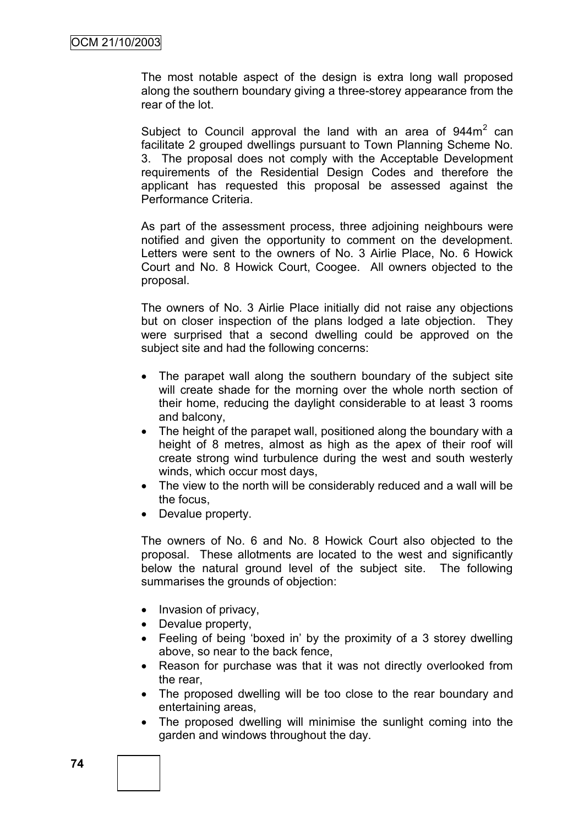The most notable aspect of the design is extra long wall proposed along the southern boundary giving a three-storey appearance from the rear of the lot.

Subject to Council approval the land with an area of  $944m<sup>2</sup>$  can facilitate 2 grouped dwellings pursuant to Town Planning Scheme No. 3. The proposal does not comply with the Acceptable Development requirements of the Residential Design Codes and therefore the applicant has requested this proposal be assessed against the Performance Criteria.

As part of the assessment process, three adjoining neighbours were notified and given the opportunity to comment on the development. Letters were sent to the owners of No. 3 Airlie Place, No. 6 Howick Court and No. 8 Howick Court, Coogee. All owners objected to the proposal.

The owners of No. 3 Airlie Place initially did not raise any objections but on closer inspection of the plans lodged a late objection. They were surprised that a second dwelling could be approved on the subject site and had the following concerns:

- The parapet wall along the southern boundary of the subject site will create shade for the morning over the whole north section of their home, reducing the daylight considerable to at least 3 rooms and balcony,
- The height of the parapet wall, positioned along the boundary with a height of 8 metres, almost as high as the apex of their roof will create strong wind turbulence during the west and south westerly winds, which occur most days,
- The view to the north will be considerably reduced and a wall will be the focus,
- Devalue property.

The owners of No. 6 and No. 8 Howick Court also objected to the proposal. These allotments are located to the west and significantly below the natural ground level of the subject site. The following summarises the grounds of objection:

- Invasion of privacy,
- Devalue property,
- Feeling of being "boxed in" by the proximity of a 3 storey dwelling above, so near to the back fence,
- Reason for purchase was that it was not directly overlooked from the rear,
- The proposed dwelling will be too close to the rear boundary and entertaining areas,
- The proposed dwelling will minimise the sunlight coming into the garden and windows throughout the day.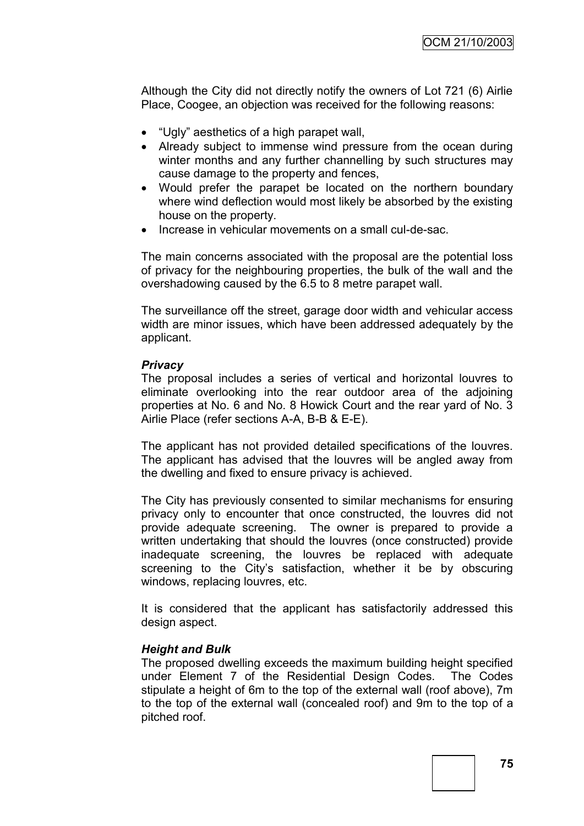Although the City did not directly notify the owners of Lot 721 (6) Airlie Place, Coogee, an objection was received for the following reasons:

- "Ugly" aesthetics of a high parapet wall,
- Already subject to immense wind pressure from the ocean during winter months and any further channelling by such structures may cause damage to the property and fences,
- Would prefer the parapet be located on the northern boundary where wind deflection would most likely be absorbed by the existing house on the property.
- Increase in vehicular movements on a small cul-de-sac.

The main concerns associated with the proposal are the potential loss of privacy for the neighbouring properties, the bulk of the wall and the overshadowing caused by the 6.5 to 8 metre parapet wall.

The surveillance off the street, garage door width and vehicular access width are minor issues, which have been addressed adequately by the applicant.

#### *Privacy*

The proposal includes a series of vertical and horizontal louvres to eliminate overlooking into the rear outdoor area of the adjoining properties at No. 6 and No. 8 Howick Court and the rear yard of No. 3 Airlie Place (refer sections A-A, B-B & E-E).

The applicant has not provided detailed specifications of the louvres. The applicant has advised that the louvres will be angled away from the dwelling and fixed to ensure privacy is achieved.

The City has previously consented to similar mechanisms for ensuring privacy only to encounter that once constructed, the louvres did not provide adequate screening. The owner is prepared to provide a written undertaking that should the louvres (once constructed) provide inadequate screening, the louvres be replaced with adequate screening to the City's satisfaction, whether it be by obscuring windows, replacing louvres, etc.

It is considered that the applicant has satisfactorily addressed this design aspect.

# *Height and Bulk*

The proposed dwelling exceeds the maximum building height specified under Element 7 of the Residential Design Codes. The Codes stipulate a height of 6m to the top of the external wall (roof above), 7m to the top of the external wall (concealed roof) and 9m to the top of a pitched roof.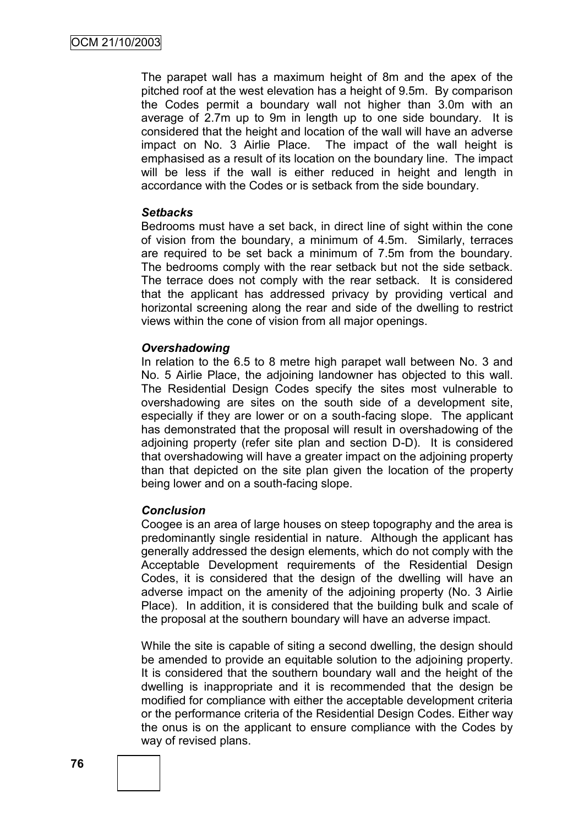The parapet wall has a maximum height of 8m and the apex of the pitched roof at the west elevation has a height of 9.5m. By comparison the Codes permit a boundary wall not higher than 3.0m with an average of 2.7m up to 9m in length up to one side boundary. It is considered that the height and location of the wall will have an adverse impact on No. 3 Airlie Place. The impact of the wall height is emphasised as a result of its location on the boundary line. The impact will be less if the wall is either reduced in height and length in accordance with the Codes or is setback from the side boundary.

#### *Setbacks*

Bedrooms must have a set back, in direct line of sight within the cone of vision from the boundary, a minimum of 4.5m. Similarly, terraces are required to be set back a minimum of 7.5m from the boundary. The bedrooms comply with the rear setback but not the side setback. The terrace does not comply with the rear setback. It is considered that the applicant has addressed privacy by providing vertical and horizontal screening along the rear and side of the dwelling to restrict views within the cone of vision from all major openings.

#### *Overshadowing*

In relation to the 6.5 to 8 metre high parapet wall between No. 3 and No. 5 Airlie Place, the adjoining landowner has objected to this wall. The Residential Design Codes specify the sites most vulnerable to overshadowing are sites on the south side of a development site, especially if they are lower or on a south-facing slope. The applicant has demonstrated that the proposal will result in overshadowing of the adjoining property (refer site plan and section D-D). It is considered that overshadowing will have a greater impact on the adjoining property than that depicted on the site plan given the location of the property being lower and on a south-facing slope.

# *Conclusion*

Coogee is an area of large houses on steep topography and the area is predominantly single residential in nature. Although the applicant has generally addressed the design elements, which do not comply with the Acceptable Development requirements of the Residential Design Codes, it is considered that the design of the dwelling will have an adverse impact on the amenity of the adjoining property (No. 3 Airlie Place). In addition, it is considered that the building bulk and scale of the proposal at the southern boundary will have an adverse impact.

While the site is capable of siting a second dwelling, the design should be amended to provide an equitable solution to the adjoining property. It is considered that the southern boundary wall and the height of the dwelling is inappropriate and it is recommended that the design be modified for compliance with either the acceptable development criteria or the performance criteria of the Residential Design Codes. Either way the onus is on the applicant to ensure compliance with the Codes by way of revised plans.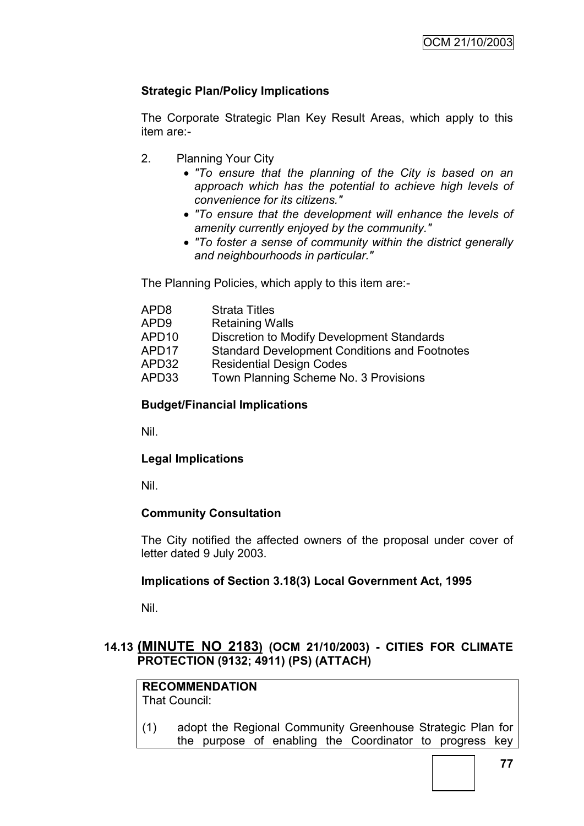# **Strategic Plan/Policy Implications**

The Corporate Strategic Plan Key Result Areas, which apply to this item are:-

- 2. Planning Your City
	- *"To ensure that the planning of the City is based on an approach which has the potential to achieve high levels of convenience for its citizens."*
	- *"To ensure that the development will enhance the levels of amenity currently enjoyed by the community."*
	- *"To foster a sense of community within the district generally and neighbourhoods in particular."*

The Planning Policies, which apply to this item are:-

| APD8  | <b>Strata Titles</b>                                 |
|-------|------------------------------------------------------|
| APD9  | <b>Retaining Walls</b>                               |
| APD10 | Discretion to Modify Development Standards           |
| APD17 | <b>Standard Development Conditions and Footnotes</b> |
| APD32 | <b>Residential Design Codes</b>                      |
| APD33 | Town Planning Scheme No. 3 Provisions                |

# **Budget/Financial Implications**

Nil.

# **Legal Implications**

Nil.

# **Community Consultation**

The City notified the affected owners of the proposal under cover of letter dated 9 July 2003.

# **Implications of Section 3.18(3) Local Government Act, 1995**

Nil.

# **14.13 (MINUTE NO 2183) (OCM 21/10/2003) - CITIES FOR CLIMATE PROTECTION (9132; 4911) (PS) (ATTACH)**

#### **RECOMMENDATION** That Council:

(1) adopt the Regional Community Greenhouse Strategic Plan for the purpose of enabling the Coordinator to progress key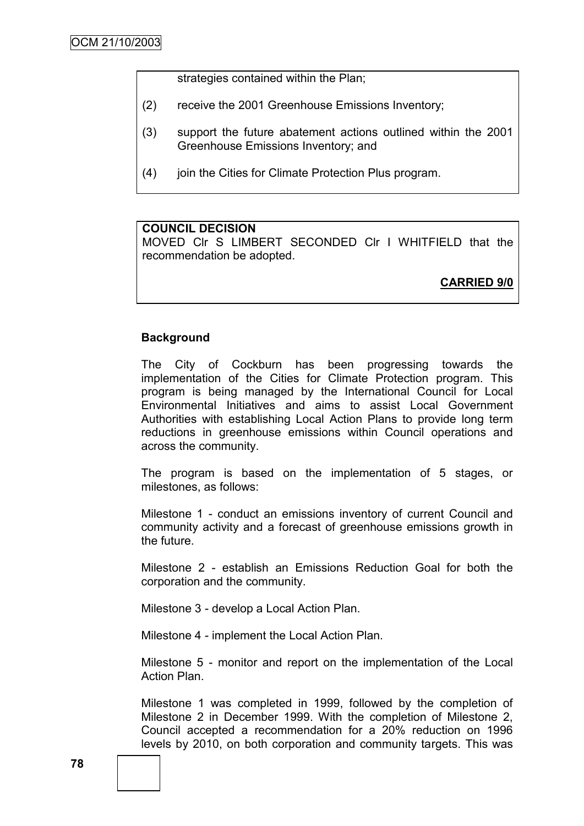strategies contained within the Plan;

- (2) receive the 2001 Greenhouse Emissions Inventory;
- (3) support the future abatement actions outlined within the 2001 Greenhouse Emissions Inventory; and
- (4) join the Cities for Climate Protection Plus program.

#### **COUNCIL DECISION**

MOVED Clr S LIMBERT SECONDED Clr I WHITFIELD that the recommendation be adopted.

**CARRIED 9/0**

#### **Background**

The City of Cockburn has been progressing towards the implementation of the Cities for Climate Protection program. This program is being managed by the International Council for Local Environmental Initiatives and aims to assist Local Government Authorities with establishing Local Action Plans to provide long term reductions in greenhouse emissions within Council operations and across the community.

The program is based on the implementation of 5 stages, or milestones, as follows:

Milestone 1 - conduct an emissions inventory of current Council and community activity and a forecast of greenhouse emissions growth in the future.

Milestone 2 - establish an Emissions Reduction Goal for both the corporation and the community.

Milestone 3 - develop a Local Action Plan.

Milestone 4 - implement the Local Action Plan.

Milestone 5 - monitor and report on the implementation of the Local Action Plan.

Milestone 1 was completed in 1999, followed by the completion of Milestone 2 in December 1999. With the completion of Milestone 2, Council accepted a recommendation for a 20% reduction on 1996 levels by 2010, on both corporation and community targets. This was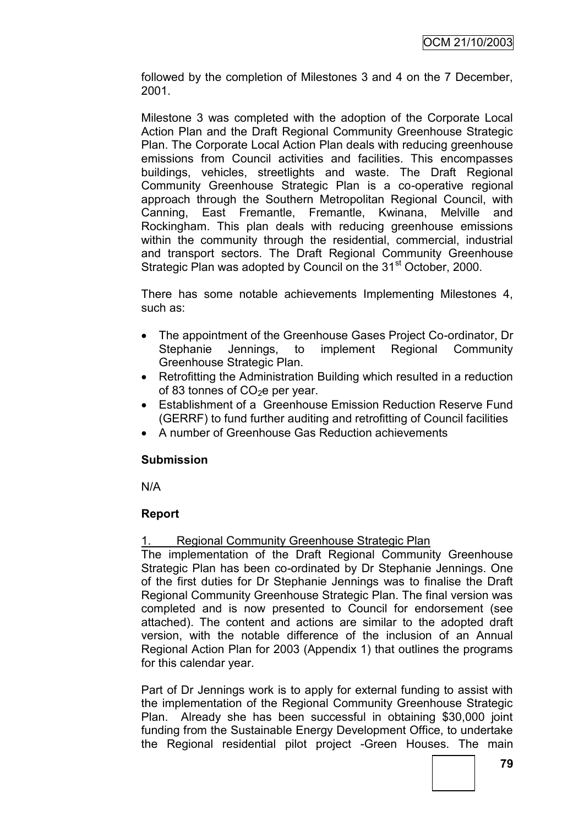followed by the completion of Milestones 3 and 4 on the 7 December, 2001.

Milestone 3 was completed with the adoption of the Corporate Local Action Plan and the Draft Regional Community Greenhouse Strategic Plan. The Corporate Local Action Plan deals with reducing greenhouse emissions from Council activities and facilities. This encompasses buildings, vehicles, streetlights and waste. The Draft Regional Community Greenhouse Strategic Plan is a co-operative regional approach through the Southern Metropolitan Regional Council, with Canning, East Fremantle, Fremantle, Kwinana, Melville and Rockingham. This plan deals with reducing greenhouse emissions within the community through the residential, commercial, industrial and transport sectors. The Draft Regional Community Greenhouse Strategic Plan was adopted by Council on the 31<sup>st</sup> October, 2000.

There has some notable achievements Implementing Milestones 4, such as:

- The appointment of the Greenhouse Gases Project Co-ordinator, Dr Stephanie Jennings, to implement Regional Community Greenhouse Strategic Plan.
- Retrofitting the Administration Building which resulted in a reduction of 83 tonnes of  $CO<sub>2</sub>e$  per year.
- Establishment of a Greenhouse Emission Reduction Reserve Fund (GERRF) to fund further auditing and retrofitting of Council facilities
- A number of Greenhouse Gas Reduction achievements

# **Submission**

N/A

# **Report**

# Regional Community Greenhouse Strategic Plan

The implementation of the Draft Regional Community Greenhouse Strategic Plan has been co-ordinated by Dr Stephanie Jennings. One of the first duties for Dr Stephanie Jennings was to finalise the Draft Regional Community Greenhouse Strategic Plan. The final version was completed and is now presented to Council for endorsement (see attached). The content and actions are similar to the adopted draft version, with the notable difference of the inclusion of an Annual Regional Action Plan for 2003 (Appendix 1) that outlines the programs for this calendar year.

Part of Dr Jennings work is to apply for external funding to assist with the implementation of the Regional Community Greenhouse Strategic Plan. Already she has been successful in obtaining \$30,000 joint funding from the Sustainable Energy Development Office, to undertake the Regional residential pilot project -Green Houses. The main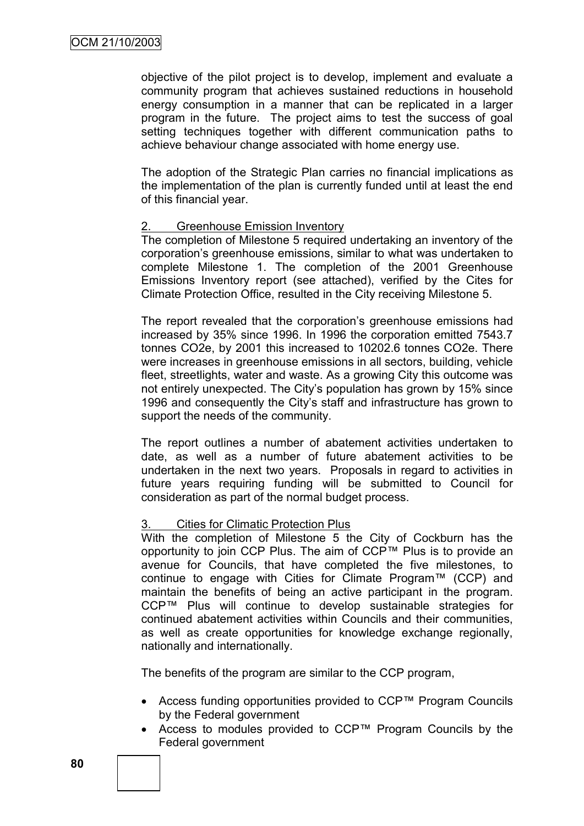objective of the pilot project is to develop, implement and evaluate a community program that achieves sustained reductions in household energy consumption in a manner that can be replicated in a larger program in the future. The project aims to test the success of goal setting techniques together with different communication paths to achieve behaviour change associated with home energy use.

The adoption of the Strategic Plan carries no financial implications as the implementation of the plan is currently funded until at least the end of this financial year.

#### 2. Greenhouse Emission Inventory

The completion of Milestone 5 required undertaking an inventory of the corporation"s greenhouse emissions, similar to what was undertaken to complete Milestone 1. The completion of the 2001 Greenhouse Emissions Inventory report (see attached), verified by the Cites for Climate Protection Office, resulted in the City receiving Milestone 5.

The report revealed that the corporation"s greenhouse emissions had increased by 35% since 1996. In 1996 the corporation emitted 7543.7 tonnes CO2e, by 2001 this increased to 10202.6 tonnes CO2e. There were increases in greenhouse emissions in all sectors, building, vehicle fleet, streetlights, water and waste. As a growing City this outcome was not entirely unexpected. The City's population has grown by 15% since 1996 and consequently the City"s staff and infrastructure has grown to support the needs of the community.

The report outlines a number of abatement activities undertaken to date, as well as a number of future abatement activities to be undertaken in the next two years. Proposals in regard to activities in future years requiring funding will be submitted to Council for consideration as part of the normal budget process.

#### 3. Cities for Climatic Protection Plus

With the completion of Milestone 5 the City of Cockburn has the opportunity to join CCP Plus. The aim of CCP™ Plus is to provide an avenue for Councils, that have completed the five milestones, to continue to engage with Cities for Climate Program™ (CCP) and maintain the benefits of being an active participant in the program. CCP™ Plus will continue to develop sustainable strategies for continued abatement activities within Councils and their communities, as well as create opportunities for knowledge exchange regionally, nationally and internationally.

The benefits of the program are similar to the CCP program,

- Access funding opportunities provided to CCP™ Program Councils by the Federal government
- Access to modules provided to CCP™ Program Councils by the Federal government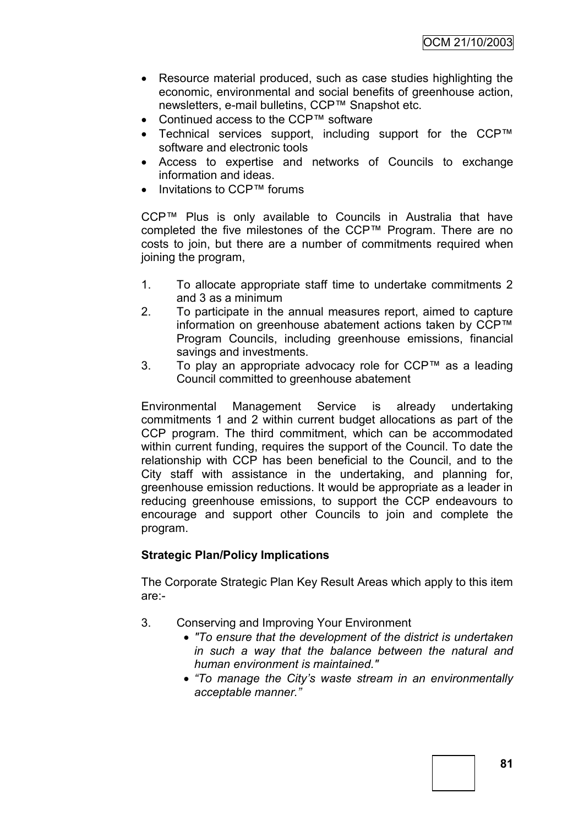- Resource material produced, such as case studies highlighting the economic, environmental and social benefits of greenhouse action, newsletters, e-mail bulletins, CCP™ Snapshot etc.
- Continued access to the CCP™ software
- Technical services support, including support for the CCP™ software and electronic tools
- Access to expertise and networks of Councils to exchange information and ideas.
- Invitations to CCP™ forums

CCP™ Plus is only available to Councils in Australia that have completed the five milestones of the CCP™ Program. There are no costs to join, but there are a number of commitments required when joining the program,

- 1. To allocate appropriate staff time to undertake commitments 2 and 3 as a minimum
- 2. To participate in the annual measures report, aimed to capture information on greenhouse abatement actions taken by CCP™ Program Councils, including greenhouse emissions, financial savings and investments.
- 3. To play an appropriate advocacy role for CCP™ as a leading Council committed to greenhouse abatement

Environmental Management Service is already undertaking commitments 1 and 2 within current budget allocations as part of the CCP program. The third commitment, which can be accommodated within current funding, requires the support of the Council. To date the relationship with CCP has been beneficial to the Council, and to the City staff with assistance in the undertaking, and planning for, greenhouse emission reductions. It would be appropriate as a leader in reducing greenhouse emissions, to support the CCP endeavours to encourage and support other Councils to join and complete the program.

# **Strategic Plan/Policy Implications**

The Corporate Strategic Plan Key Result Areas which apply to this item are:-

- 3. Conserving and Improving Your Environment
	- *"To ensure that the development of the district is undertaken in such a way that the balance between the natural and human environment is maintained."*
	- *"To manage the City's waste stream in an environmentally acceptable manner."*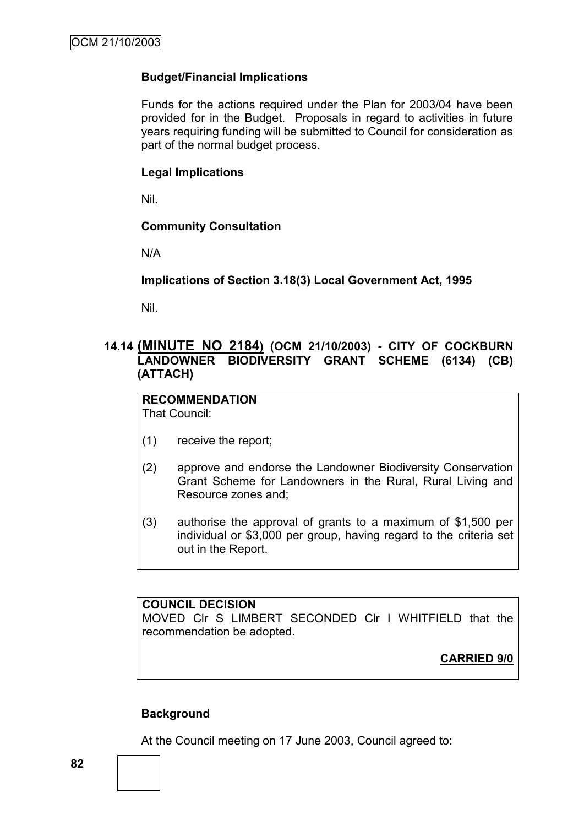# **Budget/Financial Implications**

Funds for the actions required under the Plan for 2003/04 have been provided for in the Budget. Proposals in regard to activities in future years requiring funding will be submitted to Council for consideration as part of the normal budget process.

# **Legal Implications**

Nil.

# **Community Consultation**

N/A

**Implications of Section 3.18(3) Local Government Act, 1995**

Nil.

# **14.14 (MINUTE NO 2184) (OCM 21/10/2003) - CITY OF COCKBURN LANDOWNER BIODIVERSITY GRANT SCHEME (6134) (CB) (ATTACH)**

#### **RECOMMENDATION** That Council:

- (1) receive the report;
- (2) approve and endorse the Landowner Biodiversity Conservation Grant Scheme for Landowners in the Rural, Rural Living and Resource zones and;
- (3) authorise the approval of grants to a maximum of \$1,500 per individual or \$3,000 per group, having regard to the criteria set out in the Report.

# **COUNCIL DECISION** MOVED Clr S LIMBERT SECONDED Clr I WHITFIELD that the recommendation be adopted.

# **CARRIED 9/0**

# **Background**

At the Council meeting on 17 June 2003, Council agreed to: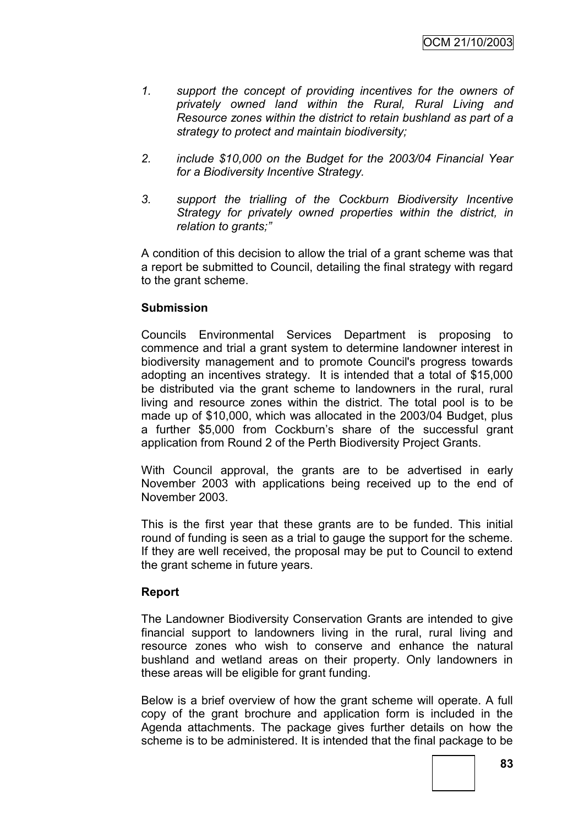- *1. support the concept of providing incentives for the owners of privately owned land within the Rural, Rural Living and Resource zones within the district to retain bushland as part of a strategy to protect and maintain biodiversity;*
- *2. include \$10,000 on the Budget for the 2003/04 Financial Year for a Biodiversity Incentive Strategy.*
- *3. support the trialling of the Cockburn Biodiversity Incentive Strategy for privately owned properties within the district, in relation to grants;"*

A condition of this decision to allow the trial of a grant scheme was that a report be submitted to Council, detailing the final strategy with regard to the grant scheme.

# **Submission**

Councils Environmental Services Department is proposing to commence and trial a grant system to determine landowner interest in biodiversity management and to promote Council's progress towards adopting an incentives strategy. It is intended that a total of \$15,000 be distributed via the grant scheme to landowners in the rural, rural living and resource zones within the district. The total pool is to be made up of \$10,000, which was allocated in the 2003/04 Budget, plus a further \$5,000 from Cockburn's share of the successful grant application from Round 2 of the Perth Biodiversity Project Grants.

With Council approval, the grants are to be advertised in early November 2003 with applications being received up to the end of November 2003.

This is the first year that these grants are to be funded. This initial round of funding is seen as a trial to gauge the support for the scheme. If they are well received, the proposal may be put to Council to extend the grant scheme in future years.

# **Report**

The Landowner Biodiversity Conservation Grants are intended to give financial support to landowners living in the rural, rural living and resource zones who wish to conserve and enhance the natural bushland and wetland areas on their property. Only landowners in these areas will be eligible for grant funding.

Below is a brief overview of how the grant scheme will operate. A full copy of the grant brochure and application form is included in the Agenda attachments. The package gives further details on how the scheme is to be administered. It is intended that the final package to be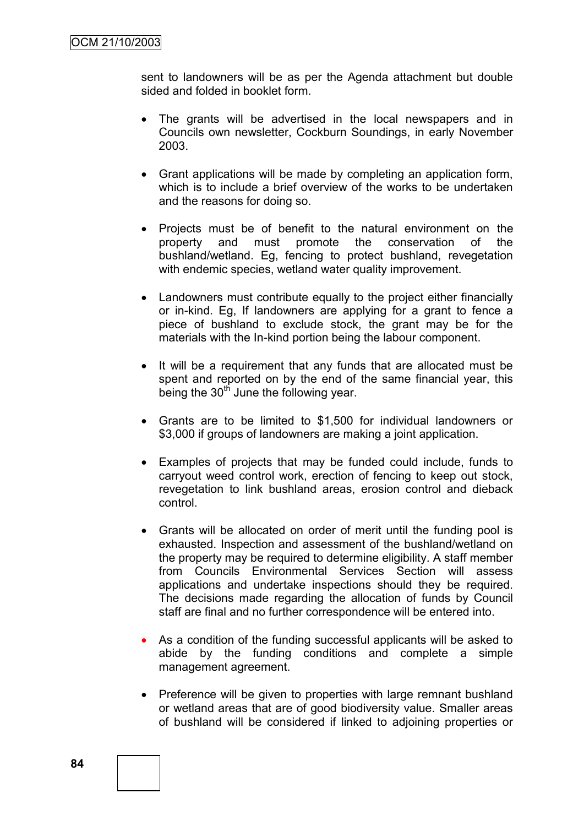sent to landowners will be as per the Agenda attachment but double sided and folded in booklet form.

- The grants will be advertised in the local newspapers and in Councils own newsletter, Cockburn Soundings, in early November 2003.
- Grant applications will be made by completing an application form, which is to include a brief overview of the works to be undertaken and the reasons for doing so.
- Projects must be of benefit to the natural environment on the property and must promote the conservation of the bushland/wetland. Eg, fencing to protect bushland, revegetation with endemic species, wetland water quality improvement.
- Landowners must contribute equally to the project either financially or in-kind. Eg, If landowners are applying for a grant to fence a piece of bushland to exclude stock, the grant may be for the materials with the In-kind portion being the labour component.
- It will be a requirement that any funds that are allocated must be spent and reported on by the end of the same financial year, this being the  $30<sup>th</sup>$  June the following year.
- Grants are to be limited to \$1,500 for individual landowners or \$3,000 if groups of landowners are making a joint application.
- Examples of projects that may be funded could include, funds to carryout weed control work, erection of fencing to keep out stock, revegetation to link bushland areas, erosion control and dieback control.
- Grants will be allocated on order of merit until the funding pool is exhausted. Inspection and assessment of the bushland/wetland on the property may be required to determine eligibility. A staff member from Councils Environmental Services Section will assess applications and undertake inspections should they be required. The decisions made regarding the allocation of funds by Council staff are final and no further correspondence will be entered into.
- As a condition of the funding successful applicants will be asked to abide by the funding conditions and complete a simple management agreement.
- Preference will be given to properties with large remnant bushland or wetland areas that are of good biodiversity value. Smaller areas of bushland will be considered if linked to adjoining properties or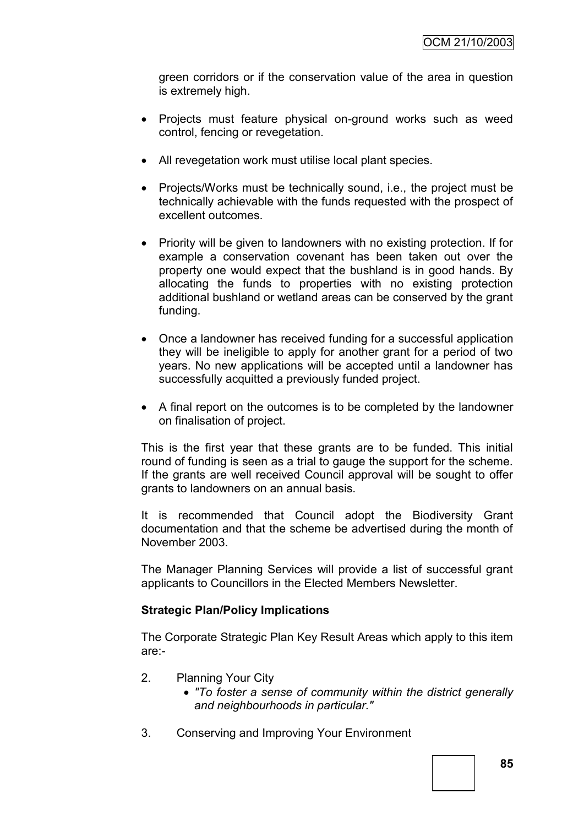green corridors or if the conservation value of the area in question is extremely high.

- Projects must feature physical on-ground works such as weed control, fencing or revegetation.
- All revegetation work must utilise local plant species.
- Projects/Works must be technically sound, i.e., the project must be technically achievable with the funds requested with the prospect of excellent outcomes.
- Priority will be given to landowners with no existing protection. If for example a conservation covenant has been taken out over the property one would expect that the bushland is in good hands. By allocating the funds to properties with no existing protection additional bushland or wetland areas can be conserved by the grant funding.
- Once a landowner has received funding for a successful application they will be ineligible to apply for another grant for a period of two years. No new applications will be accepted until a landowner has successfully acquitted a previously funded project.
- A final report on the outcomes is to be completed by the landowner on finalisation of project.

This is the first year that these grants are to be funded. This initial round of funding is seen as a trial to gauge the support for the scheme. If the grants are well received Council approval will be sought to offer grants to landowners on an annual basis.

It is recommended that Council adopt the Biodiversity Grant documentation and that the scheme be advertised during the month of November 2003.

The Manager Planning Services will provide a list of successful grant applicants to Councillors in the Elected Members Newsletter.

# **Strategic Plan/Policy Implications**

The Corporate Strategic Plan Key Result Areas which apply to this item are:-

- 2. Planning Your City
	- *"To foster a sense of community within the district generally and neighbourhoods in particular."*
- 3. Conserving and Improving Your Environment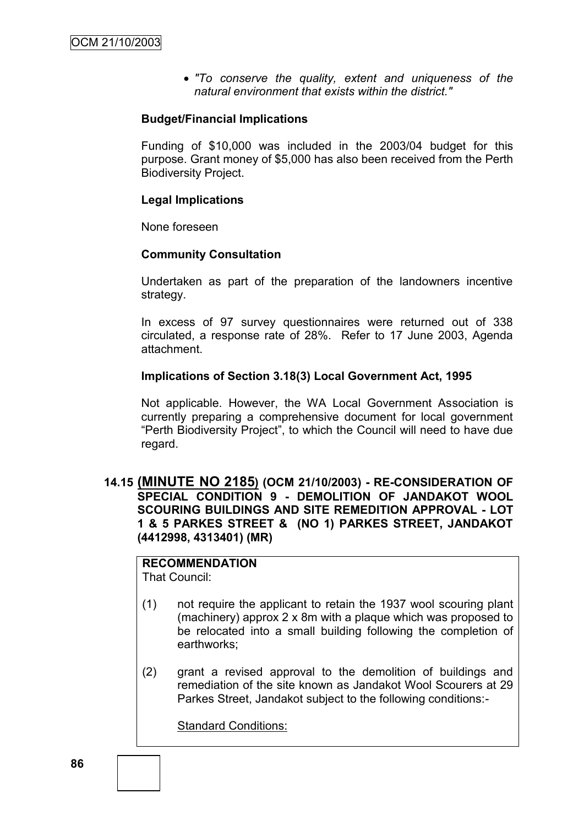*"To conserve the quality, extent and uniqueness of the natural environment that exists within the district."*

### **Budget/Financial Implications**

Funding of \$10,000 was included in the 2003/04 budget for this purpose. Grant money of \$5,000 has also been received from the Perth Biodiversity Project.

### **Legal Implications**

None foreseen

#### **Community Consultation**

Undertaken as part of the preparation of the landowners incentive strategy.

In excess of 97 survey questionnaires were returned out of 338 circulated, a response rate of 28%. Refer to 17 June 2003, Agenda attachment.

#### **Implications of Section 3.18(3) Local Government Act, 1995**

Not applicable. However, the WA Local Government Association is currently preparing a comprehensive document for local government "Perth Biodiversity Project", to which the Council will need to have due regard.

# **14.15 (MINUTE NO 2185) (OCM 21/10/2003) - RE-CONSIDERATION OF SPECIAL CONDITION 9 - DEMOLITION OF JANDAKOT WOOL SCOURING BUILDINGS AND SITE REMEDITION APPROVAL - LOT 1 & 5 PARKES STREET & (NO 1) PARKES STREET, JANDAKOT (4412998, 4313401) (MR)**

# **RECOMMENDATION**

That Council:

- (1) not require the applicant to retain the 1937 wool scouring plant (machinery) approx 2 x 8m with a plaque which was proposed to be relocated into a small building following the completion of earthworks;
- (2) grant a revised approval to the demolition of buildings and remediation of the site known as Jandakot Wool Scourers at 29 Parkes Street, Jandakot subject to the following conditions:-

Standard Conditions: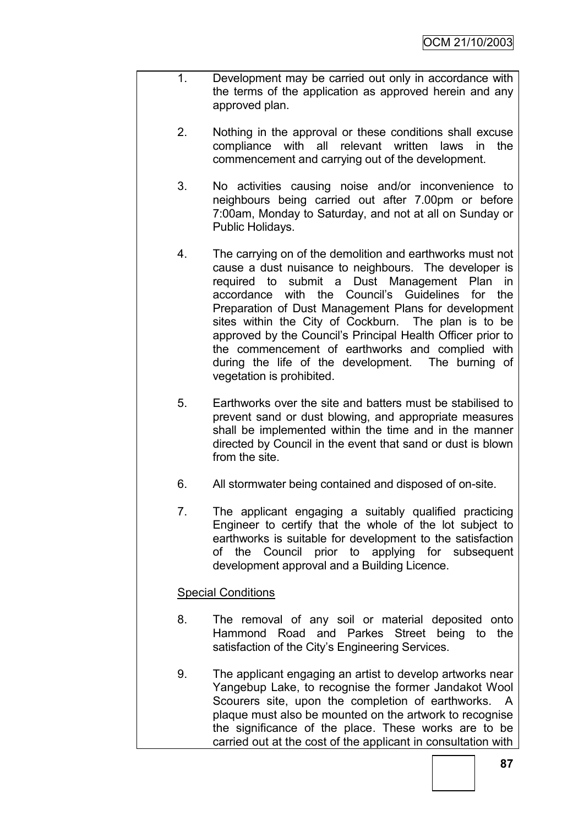- 1. Development may be carried out only in accordance with the terms of the application as approved herein and any approved plan.
	- 2. Nothing in the approval or these conditions shall excuse compliance with all relevant written laws in the commencement and carrying out of the development.
	- 3. No activities causing noise and/or inconvenience to neighbours being carried out after 7.00pm or before 7:00am, Monday to Saturday, and not at all on Sunday or Public Holidays.
	- 4. The carrying on of the demolition and earthworks must not cause a dust nuisance to neighbours. The developer is required to submit a Dust Management Plan in accordance with the Council"s Guidelines for the Preparation of Dust Management Plans for development sites within the City of Cockburn. The plan is to be approved by the Council"s Principal Health Officer prior to the commencement of earthworks and complied with during the life of the development. The burning of vegetation is prohibited.
	- 5. Earthworks over the site and batters must be stabilised to prevent sand or dust blowing, and appropriate measures shall be implemented within the time and in the manner directed by Council in the event that sand or dust is blown from the site.
	- 6. All stormwater being contained and disposed of on-site.
	- 7. The applicant engaging a suitably qualified practicing Engineer to certify that the whole of the lot subject to earthworks is suitable for development to the satisfaction of the Council prior to applying for subsequent development approval and a Building Licence.

# Special Conditions

- 8. The removal of any soil or material deposited onto Hammond Road and Parkes Street being to the satisfaction of the City's Engineering Services.
- 9. The applicant engaging an artist to develop artworks near Yangebup Lake, to recognise the former Jandakot Wool Scourers site, upon the completion of earthworks. A plaque must also be mounted on the artwork to recognise the significance of the place. These works are to be carried out at the cost of the applicant in consultation with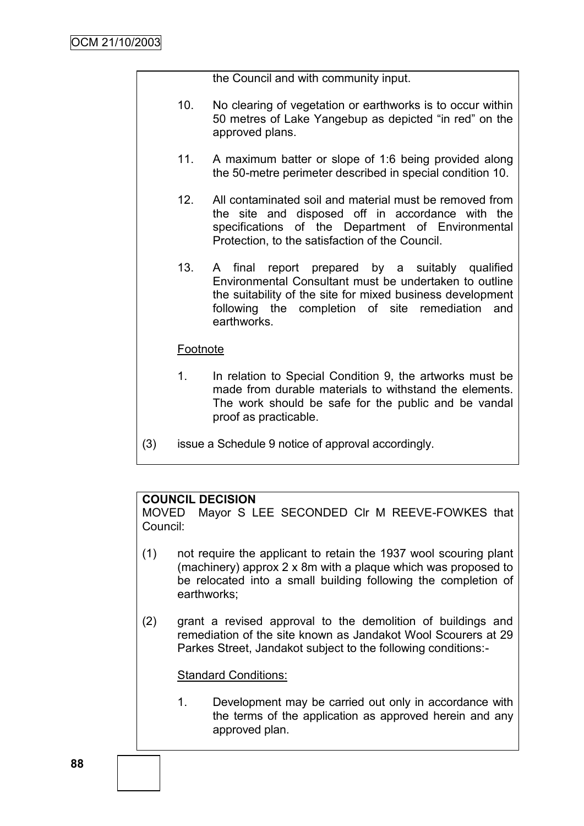the Council and with community input.

- 10. No clearing of vegetation or earthworks is to occur within 50 metres of Lake Yangebup as depicted "in red" on the approved plans.
- 11. A maximum batter or slope of 1:6 being provided along the 50-metre perimeter described in special condition 10.
- 12. All contaminated soil and material must be removed from the site and disposed off in accordance with the specifications of the Department of Environmental Protection, to the satisfaction of the Council.
- 13. A final report prepared by a suitably qualified Environmental Consultant must be undertaken to outline the suitability of the site for mixed business development following the completion of site remediation and earthworks.

# Footnote

- 1. In relation to Special Condition 9, the artworks must be made from durable materials to withstand the elements. The work should be safe for the public and be vandal proof as practicable.
- (3) issue a Schedule 9 notice of approval accordingly.

# **COUNCIL DECISION**

MOVED Mayor S LEE SECONDED Clr M REEVE-FOWKES that Council:

- (1) not require the applicant to retain the 1937 wool scouring plant (machinery) approx 2 x 8m with a plaque which was proposed to be relocated into a small building following the completion of earthworks;
- (2) grant a revised approval to the demolition of buildings and remediation of the site known as Jandakot Wool Scourers at 29 Parkes Street, Jandakot subject to the following conditions:-

Standard Conditions:

1. Development may be carried out only in accordance with the terms of the application as approved herein and any approved plan.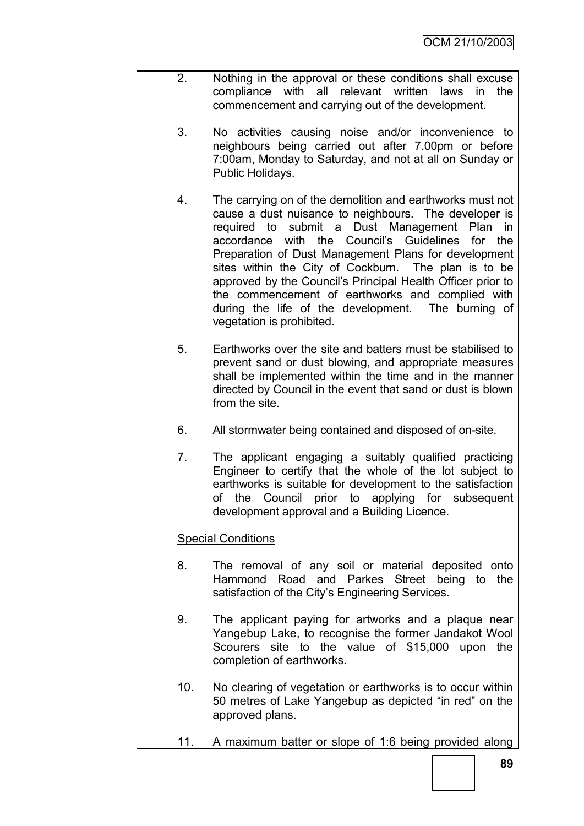- 2. Nothing in the approval or these conditions shall excuse compliance with all relevant written laws in the commencement and carrying out of the development.
	- 3. No activities causing noise and/or inconvenience to neighbours being carried out after 7.00pm or before 7:00am, Monday to Saturday, and not at all on Sunday or Public Holidays.
	- 4. The carrying on of the demolition and earthworks must not cause a dust nuisance to neighbours. The developer is required to submit a Dust Management Plan in accordance with the Council"s Guidelines for the Preparation of Dust Management Plans for development sites within the City of Cockburn. The plan is to be approved by the Council"s Principal Health Officer prior to the commencement of earthworks and complied with during the life of the development. The burning of vegetation is prohibited.
	- 5. Earthworks over the site and batters must be stabilised to prevent sand or dust blowing, and appropriate measures shall be implemented within the time and in the manner directed by Council in the event that sand or dust is blown from the site.
	- 6. All stormwater being contained and disposed of on-site.
	- 7. The applicant engaging a suitably qualified practicing Engineer to certify that the whole of the lot subject to earthworks is suitable for development to the satisfaction of the Council prior to applying for subsequent development approval and a Building Licence.

# Special Conditions

- 8. The removal of any soil or material deposited onto Hammond Road and Parkes Street being to the satisfaction of the City's Engineering Services.
- 9. The applicant paying for artworks and a plaque near Yangebup Lake, to recognise the former Jandakot Wool Scourers site to the value of \$15,000 upon the completion of earthworks.
- 10. No clearing of vegetation or earthworks is to occur within 50 metres of Lake Yangebup as depicted "in red" on the approved plans.
- 11. A maximum batter or slope of 1:6 being provided along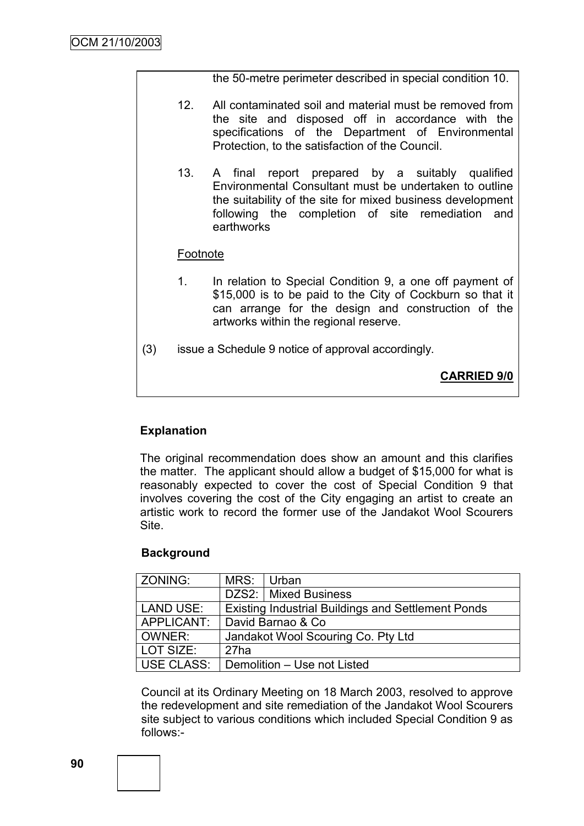the 50-metre perimeter described in special condition 10.

- 12. All contaminated soil and material must be removed from the site and disposed off in accordance with the specifications of the Department of Environmental Protection, to the satisfaction of the Council.
- 13. A final report prepared by a suitably qualified Environmental Consultant must be undertaken to outline the suitability of the site for mixed business development following the completion of site remediation and earthworks

# Footnote

- 1. In relation to Special Condition 9, a one off payment of \$15,000 is to be paid to the City of Cockburn so that it can arrange for the design and construction of the artworks within the regional reserve.
- (3) issue a Schedule 9 notice of approval accordingly.

**CARRIED 9/0**

# **Explanation**

The original recommendation does show an amount and this clarifies the matter. The applicant should allow a budget of \$15,000 for what is reasonably expected to cover the cost of Special Condition 9 that involves covering the cost of the City engaging an artist to create an artistic work to record the former use of the Jandakot Wool Scourers **Site** 

# **Background**

| ZONING:           | MRS:                               | Urban                                                     |  |
|-------------------|------------------------------------|-----------------------------------------------------------|--|
|                   |                                    | DZS2:   Mixed Business                                    |  |
| <b>LAND USE:</b>  |                                    | <b>Existing Industrial Buildings and Settlement Ponds</b> |  |
| APPLICANT:        | David Barnao & Co                  |                                                           |  |
| OWNER:            | Jandakot Wool Scouring Co. Pty Ltd |                                                           |  |
| LOT SIZE:         | 27ha                               |                                                           |  |
| <b>USE CLASS:</b> |                                    | Demolition - Use not Listed                               |  |

Council at its Ordinary Meeting on 18 March 2003, resolved to approve the redevelopment and site remediation of the Jandakot Wool Scourers site subject to various conditions which included Special Condition 9 as follows:-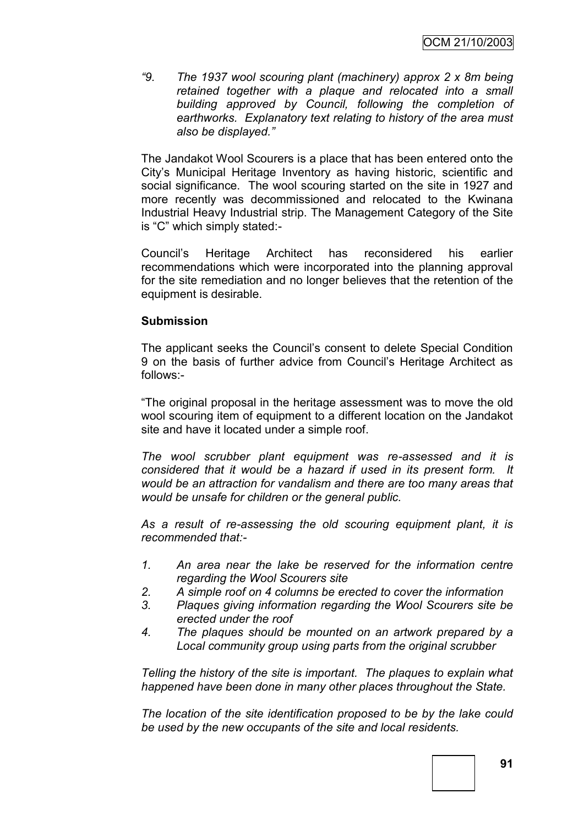*"9. The 1937 wool scouring plant (machinery) approx 2 x 8m being retained together with a plaque and relocated into a small building approved by Council, following the completion of earthworks. Explanatory text relating to history of the area must also be displayed."*

The Jandakot Wool Scourers is a place that has been entered onto the City"s Municipal Heritage Inventory as having historic, scientific and social significance. The wool scouring started on the site in 1927 and more recently was decommissioned and relocated to the Kwinana Industrial Heavy Industrial strip. The Management Category of the Site is "C" which simply stated:-

Council"s Heritage Architect has reconsidered his earlier recommendations which were incorporated into the planning approval for the site remediation and no longer believes that the retention of the equipment is desirable.

#### **Submission**

The applicant seeks the Council"s consent to delete Special Condition 9 on the basis of further advice from Council"s Heritage Architect as follows:-

"The original proposal in the heritage assessment was to move the old wool scouring item of equipment to a different location on the Jandakot site and have it located under a simple roof.

*The wool scrubber plant equipment was re-assessed and it is considered that it would be a hazard if used in its present form. It would be an attraction for vandalism and there are too many areas that would be unsafe for children or the general public.*

*As a result of re-assessing the old scouring equipment plant, it is recommended that:-*

- *1. An area near the lake be reserved for the information centre regarding the Wool Scourers site*
- *2. A simple roof on 4 columns be erected to cover the information*
- *3. Plaques giving information regarding the Wool Scourers site be erected under the roof*
- *4. The plaques should be mounted on an artwork prepared by a Local community group using parts from the original scrubber*

*Telling the history of the site is important. The plaques to explain what happened have been done in many other places throughout the State.*

*The location of the site identification proposed to be by the lake could be used by the new occupants of the site and local residents.*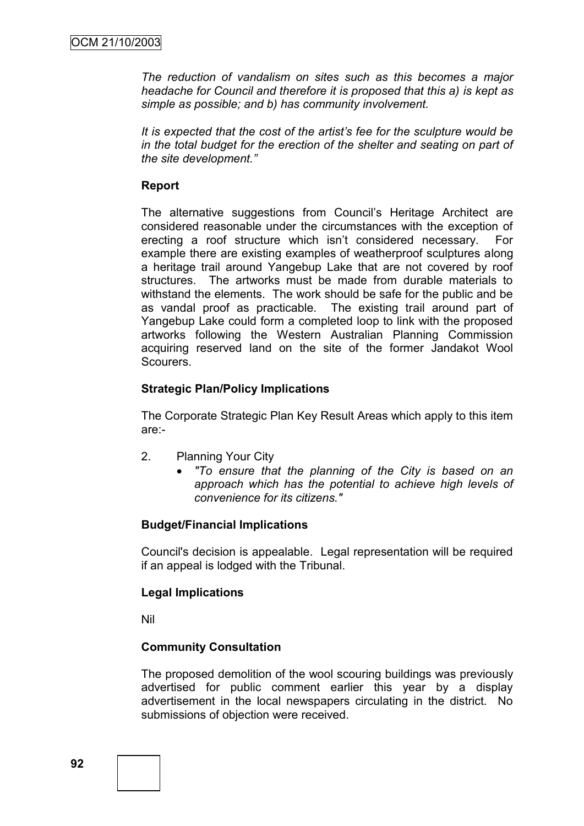*The reduction of vandalism on sites such as this becomes a major headache for Council and therefore it is proposed that this a) is kept as simple as possible; and b) has community involvement.*

*It is expected that the cost of the artist's fee for the sculpture would be in the total budget for the erection of the shelter and seating on part of the site development."*

# **Report**

The alternative suggestions from Council"s Heritage Architect are considered reasonable under the circumstances with the exception of erecting a roof structure which isn't considered necessary. For example there are existing examples of weatherproof sculptures along a heritage trail around Yangebup Lake that are not covered by roof structures. The artworks must be made from durable materials to withstand the elements. The work should be safe for the public and be as vandal proof as practicable. The existing trail around part of Yangebup Lake could form a completed loop to link with the proposed artworks following the Western Australian Planning Commission acquiring reserved land on the site of the former Jandakot Wool Scourers.

# **Strategic Plan/Policy Implications**

The Corporate Strategic Plan Key Result Areas which apply to this item are:-

- 2. Planning Your City
	- *"To ensure that the planning of the City is based on an approach which has the potential to achieve high levels of convenience for its citizens."*

# **Budget/Financial Implications**

Council's decision is appealable. Legal representation will be required if an appeal is lodged with the Tribunal.

# **Legal Implications**

Nil

# **Community Consultation**

The proposed demolition of the wool scouring buildings was previously advertised for public comment earlier this year by a display advertisement in the local newspapers circulating in the district. No submissions of objection were received.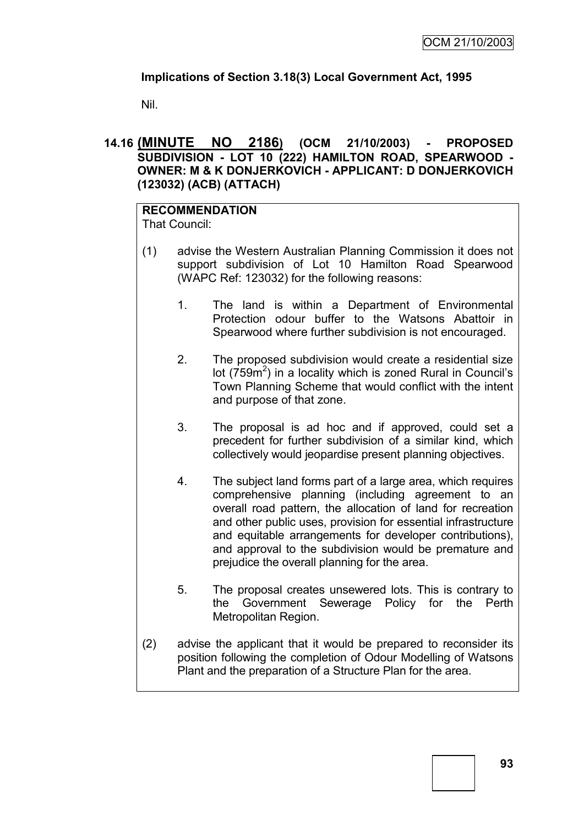# **Implications of Section 3.18(3) Local Government Act, 1995**

Nil.

# **14.16 (MINUTE NO 2186) (OCM 21/10/2003) - PROPOSED SUBDIVISION - LOT 10 (222) HAMILTON ROAD, SPEARWOOD - OWNER: M & K DONJERKOVICH - APPLICANT: D DONJERKOVICH (123032) (ACB) (ATTACH)**

#### **RECOMMENDATION** That Council:

- (1) advise the Western Australian Planning Commission it does not support subdivision of Lot 10 Hamilton Road Spearwood (WAPC Ref: 123032) for the following reasons:
	- 1. The land is within a Department of Environmental Protection odour buffer to the Watsons Abattoir in Spearwood where further subdivision is not encouraged.
	- 2. The proposed subdivision would create a residential size lot ( $759m^2$ ) in a locality which is zoned Rural in Council's Town Planning Scheme that would conflict with the intent and purpose of that zone.
	- 3. The proposal is ad hoc and if approved, could set a precedent for further subdivision of a similar kind, which collectively would jeopardise present planning objectives.
	- 4. The subject land forms part of a large area, which requires comprehensive planning (including agreement to an overall road pattern, the allocation of land for recreation and other public uses, provision for essential infrastructure and equitable arrangements for developer contributions), and approval to the subdivision would be premature and prejudice the overall planning for the area.
	- 5. The proposal creates unsewered lots. This is contrary to the Government Sewerage Policy for the Perth Metropolitan Region.
- (2) advise the applicant that it would be prepared to reconsider its position following the completion of Odour Modelling of Watsons Plant and the preparation of a Structure Plan for the area.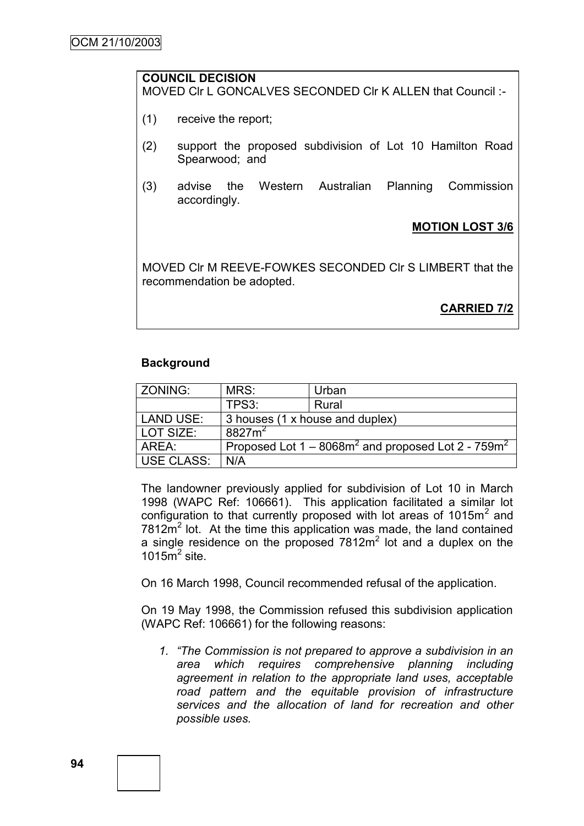# **COUNCIL DECISION** MOVED Clr L GONCALVES SECONDED Clr K ALLEN that Council :-

- (1) receive the report;
- (2) support the proposed subdivision of Lot 10 Hamilton Road Spearwood; and
- (3) advise the Western Australian Planning Commission accordingly.

# **MOTION LOST 3/6**

MOVED Clr M REEVE-FOWKES SECONDED Clr S LIMBERT that the recommendation be adopted.

**CARRIED 7/2**

# **Background**

| ZONING:           | MRS:                            | Urban                                                    |  |
|-------------------|---------------------------------|----------------------------------------------------------|--|
|                   | TPS3:                           | Rural                                                    |  |
| LAND USE:         | 3 houses (1 x house and duplex) |                                                          |  |
| LOT SIZE:         | $8827m^2$                       |                                                          |  |
| AREA:             |                                 | Proposed Lot $1 - 8068m^2$ and proposed Lot 2 - $759m^2$ |  |
| <b>USE CLASS:</b> | N/A                             |                                                          |  |

The landowner previously applied for subdivision of Lot 10 in March 1998 (WAPC Ref: 106661). This application facilitated a similar lot configuration to that currently proposed with lot areas of 1015 $m<sup>2</sup>$  and  $7812m<sup>2</sup>$  lot. At the time this application was made, the land contained a single residence on the proposed  $7812m^2$  lot and a duplex on the 1015 $\mathrm{m}^2$  site.

On 16 March 1998, Council recommended refusal of the application.

On 19 May 1998, the Commission refused this subdivision application (WAPC Ref: 106661) for the following reasons:

*1. "The Commission is not prepared to approve a subdivision in an area which requires comprehensive planning including agreement in relation to the appropriate land uses, acceptable road pattern and the equitable provision of infrastructure services and the allocation of land for recreation and other possible uses.*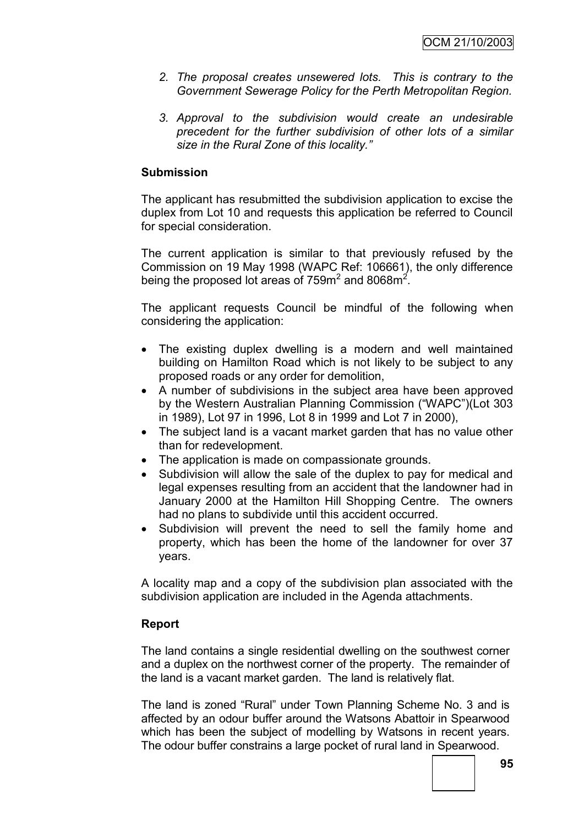- *2. The proposal creates unsewered lots. This is contrary to the Government Sewerage Policy for the Perth Metropolitan Region.*
- *3. Approval to the subdivision would create an undesirable precedent for the further subdivision of other lots of a similar size in the Rural Zone of this locality."*

### **Submission**

The applicant has resubmitted the subdivision application to excise the duplex from Lot 10 and requests this application be referred to Council for special consideration.

The current application is similar to that previously refused by the Commission on 19 May 1998 (WAPC Ref: 106661), the only difference being the proposed lot areas of 759m<sup>2</sup> and 8068m<sup>2</sup>.

The applicant requests Council be mindful of the following when considering the application:

- The existing duplex dwelling is a modern and well maintained building on Hamilton Road which is not likely to be subject to any proposed roads or any order for demolition,
- A number of subdivisions in the subject area have been approved by the Western Australian Planning Commission ("WAPC")(Lot 303 in 1989), Lot 97 in 1996, Lot 8 in 1999 and Lot 7 in 2000),
- The subject land is a vacant market garden that has no value other than for redevelopment.
- The application is made on compassionate grounds.
- Subdivision will allow the sale of the duplex to pay for medical and legal expenses resulting from an accident that the landowner had in January 2000 at the Hamilton Hill Shopping Centre. The owners had no plans to subdivide until this accident occurred.
- Subdivision will prevent the need to sell the family home and property, which has been the home of the landowner for over 37 years.

A locality map and a copy of the subdivision plan associated with the subdivision application are included in the Agenda attachments.

#### **Report**

The land contains a single residential dwelling on the southwest corner and a duplex on the northwest corner of the property. The remainder of the land is a vacant market garden. The land is relatively flat.

The land is zoned "Rural" under Town Planning Scheme No. 3 and is affected by an odour buffer around the Watsons Abattoir in Spearwood which has been the subject of modelling by Watsons in recent years. The odour buffer constrains a large pocket of rural land in Spearwood.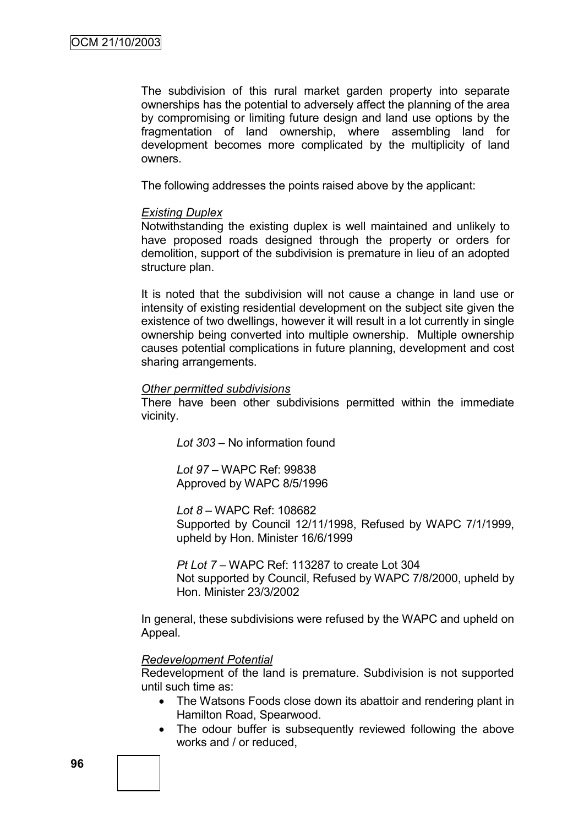The subdivision of this rural market garden property into separate ownerships has the potential to adversely affect the planning of the area by compromising or limiting future design and land use options by the fragmentation of land ownership, where assembling land for development becomes more complicated by the multiplicity of land owners.

The following addresses the points raised above by the applicant:

#### *Existing Duplex*

Notwithstanding the existing duplex is well maintained and unlikely to have proposed roads designed through the property or orders for demolition, support of the subdivision is premature in lieu of an adopted structure plan.

It is noted that the subdivision will not cause a change in land use or intensity of existing residential development on the subject site given the existence of two dwellings, however it will result in a lot currently in single ownership being converted into multiple ownership. Multiple ownership causes potential complications in future planning, development and cost sharing arrangements.

#### *Other permitted subdivisions*

There have been other subdivisions permitted within the immediate vicinity.

*Lot 303* – No information found

*Lot 97 –* WAPC Ref: 99838 Approved by WAPC 8/5/1996

*Lot 8 –* WAPC Ref: 108682 Supported by Council 12/11/1998, Refused by WAPC 7/1/1999, upheld by Hon. Minister 16/6/1999

*Pt Lot 7* – WAPC Ref: 113287 to create Lot 304 Not supported by Council, Refused by WAPC 7/8/2000, upheld by Hon. Minister 23/3/2002

In general, these subdivisions were refused by the WAPC and upheld on Appeal.

#### *Redevelopment Potential*

Redevelopment of the land is premature. Subdivision is not supported until such time as:

- The Watsons Foods close down its abattoir and rendering plant in Hamilton Road, Spearwood.
- The odour buffer is subsequently reviewed following the above works and / or reduced,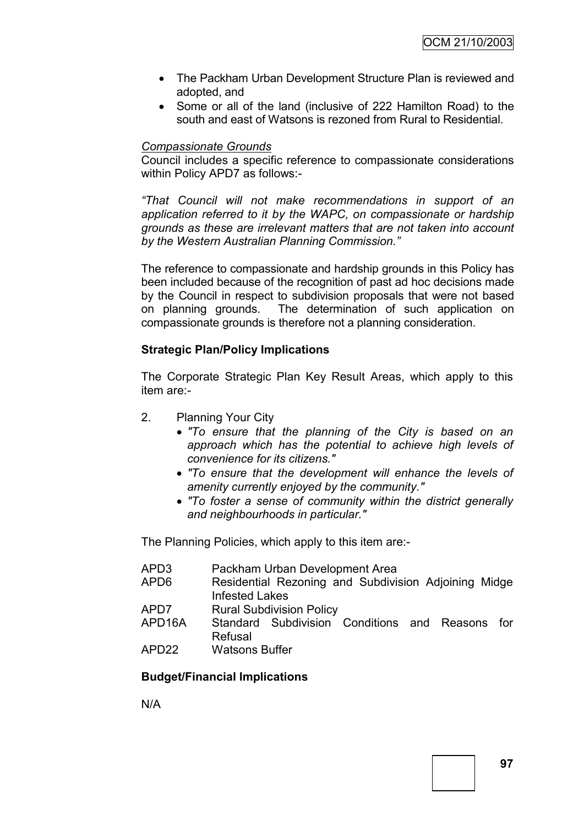- The Packham Urban Development Structure Plan is reviewed and adopted, and
- Some or all of the land (inclusive of 222 Hamilton Road) to the south and east of Watsons is rezoned from Rural to Residential.

# *Compassionate Grounds*

Council includes a specific reference to compassionate considerations within Policy APD7 as follows:-

*"That Council will not make recommendations in support of an application referred to it by the WAPC, on compassionate or hardship grounds as these are irrelevant matters that are not taken into account by the Western Australian Planning Commission."*

The reference to compassionate and hardship grounds in this Policy has been included because of the recognition of past ad hoc decisions made by the Council in respect to subdivision proposals that were not based on planning grounds. The determination of such application on compassionate grounds is therefore not a planning consideration.

# **Strategic Plan/Policy Implications**

The Corporate Strategic Plan Key Result Areas, which apply to this item are:-

- 2. Planning Your City
	- *"To ensure that the planning of the City is based on an approach which has the potential to achieve high levels of convenience for its citizens."*
	- *"To ensure that the development will enhance the levels of amenity currently enjoyed by the community."*
	- *"To foster a sense of community within the district generally and neighbourhoods in particular."*

The Planning Policies, which apply to this item are:-

| APD3   | Packham Urban Development Area                                                |
|--------|-------------------------------------------------------------------------------|
| APD6   | Residential Rezoning and Subdivision Adjoining Midge<br><b>Infested Lakes</b> |
| APD7   | <b>Rural Subdivision Policy</b>                                               |
| APD16A | Standard Subdivision Conditions and Reasons<br>for<br>Refusal                 |
| APD22  | <b>Watsons Buffer</b>                                                         |

# **Budget/Financial Implications**

N/A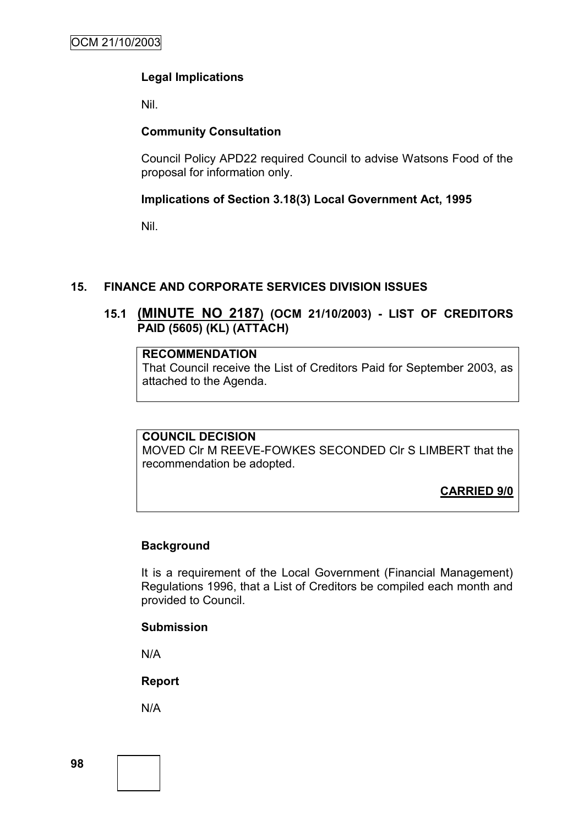# **Legal Implications**

Nil.

# **Community Consultation**

Council Policy APD22 required Council to advise Watsons Food of the proposal for information only.

# **Implications of Section 3.18(3) Local Government Act, 1995**

Nil.

# **15. FINANCE AND CORPORATE SERVICES DIVISION ISSUES**

# **15.1 (MINUTE NO 2187) (OCM 21/10/2003) - LIST OF CREDITORS PAID (5605) (KL) (ATTACH)**

# **RECOMMENDATION**

That Council receive the List of Creditors Paid for September 2003, as attached to the Agenda.

# **COUNCIL DECISION**

MOVED Clr M REEVE-FOWKES SECONDED Clr S LIMBERT that the recommendation be adopted.

**CARRIED 9/0**

# **Background**

It is a requirement of the Local Government (Financial Management) Regulations 1996, that a List of Creditors be compiled each month and provided to Council.

# **Submission**

N/A

**Report**

N/A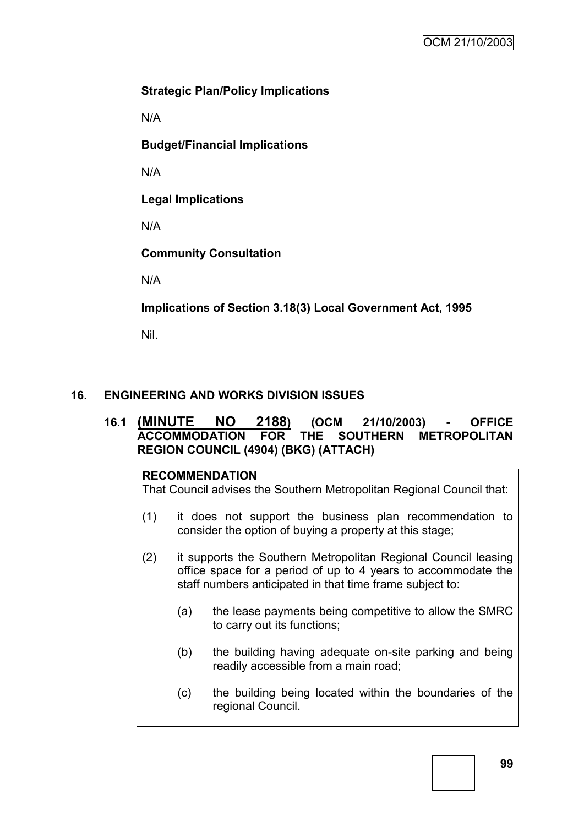# **Strategic Plan/Policy Implications**

N/A

**Budget/Financial Implications**

N/A

**Legal Implications**

N/A

**Community Consultation**

N/A

**Implications of Section 3.18(3) Local Government Act, 1995**

Nil.

# **16. ENGINEERING AND WORKS DIVISION ISSUES**

# **16.1 (MINUTE NO 2188) (OCM 21/10/2003) - OFFICE ACCOMMODATION FOR THE SOUTHERN METROPOLITAN REGION COUNCIL (4904) (BKG) (ATTACH)**

# **RECOMMENDATION**

That Council advises the Southern Metropolitan Regional Council that:

- (1) it does not support the business plan recommendation to consider the option of buying a property at this stage;
- (2) it supports the Southern Metropolitan Regional Council leasing office space for a period of up to 4 years to accommodate the staff numbers anticipated in that time frame subject to:
	- (a) the lease payments being competitive to allow the SMRC to carry out its functions;
	- (b) the building having adequate on-site parking and being readily accessible from a main road;
	- (c) the building being located within the boundaries of the regional Council.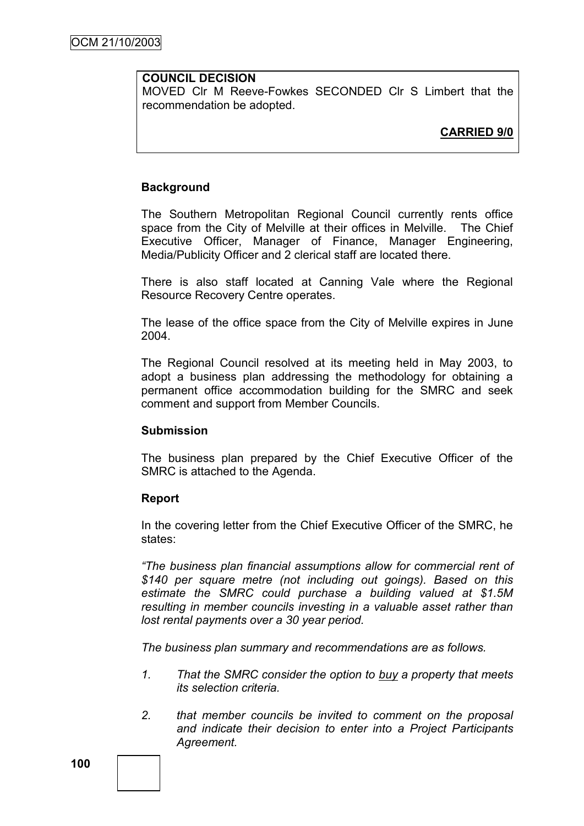# **COUNCIL DECISION**

MOVED Clr M Reeve-Fowkes SECONDED Clr S Limbert that the recommendation be adopted.

# **CARRIED 9/0**

# **Background**

The Southern Metropolitan Regional Council currently rents office space from the City of Melville at their offices in Melville. The Chief Executive Officer, Manager of Finance, Manager Engineering, Media/Publicity Officer and 2 clerical staff are located there.

There is also staff located at Canning Vale where the Regional Resource Recovery Centre operates.

The lease of the office space from the City of Melville expires in June 2004.

The Regional Council resolved at its meeting held in May 2003, to adopt a business plan addressing the methodology for obtaining a permanent office accommodation building for the SMRC and seek comment and support from Member Councils.

# **Submission**

The business plan prepared by the Chief Executive Officer of the SMRC is attached to the Agenda.

# **Report**

In the covering letter from the Chief Executive Officer of the SMRC, he states:

*"The business plan financial assumptions allow for commercial rent of \$140 per square metre (not including out goings). Based on this estimate the SMRC could purchase a building valued at \$1.5M resulting in member councils investing in a valuable asset rather than lost rental payments over a 30 year period.*

*The business plan summary and recommendations are as follows.*

- *1. That the SMRC consider the option to buy a property that meets its selection criteria.*
- *2. that member councils be invited to comment on the proposal and indicate their decision to enter into a Project Participants Agreement.*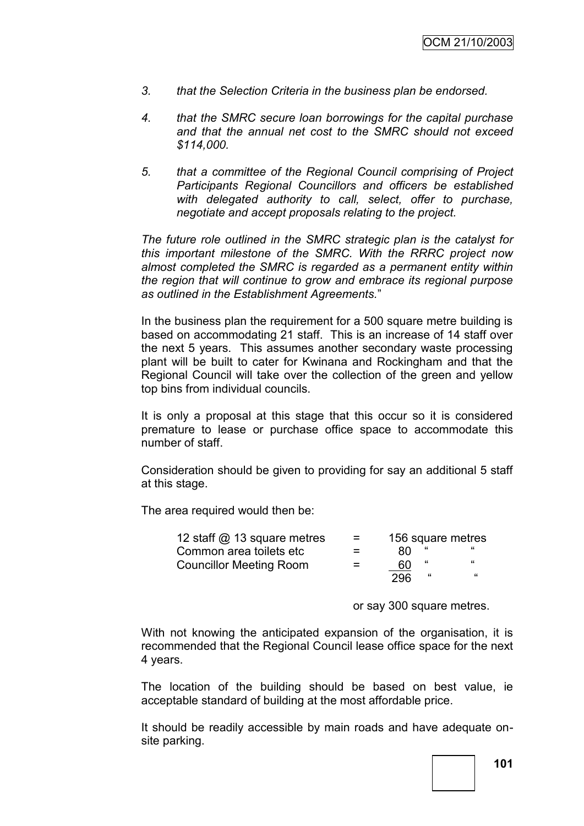- *3. that the Selection Criteria in the business plan be endorsed.*
- *4. that the SMRC secure loan borrowings for the capital purchase and that the annual net cost to the SMRC should not exceed \$114,000.*
- *5. that a committee of the Regional Council comprising of Project Participants Regional Councillors and officers be established with delegated authority to call, select, offer to purchase, negotiate and accept proposals relating to the project.*

*The future role outlined in the SMRC strategic plan is the catalyst for this important milestone of the SMRC. With the RRRC project now almost completed the SMRC is regarded as a permanent entity within the region that will continue to grow and embrace its regional purpose as outlined in the Establishment Agreements.*"

In the business plan the requirement for a 500 square metre building is based on accommodating 21 staff. This is an increase of 14 staff over the next 5 years. This assumes another secondary waste processing plant will be built to cater for Kwinana and Rockingham and that the Regional Council will take over the collection of the green and yellow top bins from individual councils.

It is only a proposal at this stage that this occur so it is considered premature to lease or purchase office space to accommodate this number of staff.

Consideration should be given to providing for say an additional 5 staff at this stage.

The area required would then be:

| 12 staff @ 13 square metres    | $\equiv$ |     |   | 156 square metres |
|--------------------------------|----------|-----|---|-------------------|
| Common area toilets etc        | $=$      | 80. |   | "                 |
| <b>Councillor Meeting Room</b> | $=$      | 60  | " | "                 |
|                                |          | 296 | " | "                 |

or say 300 square metres.

With not knowing the anticipated expansion of the organisation, it is recommended that the Regional Council lease office space for the next 4 years.

The location of the building should be based on best value, ie acceptable standard of building at the most affordable price.

It should be readily accessible by main roads and have adequate onsite parking.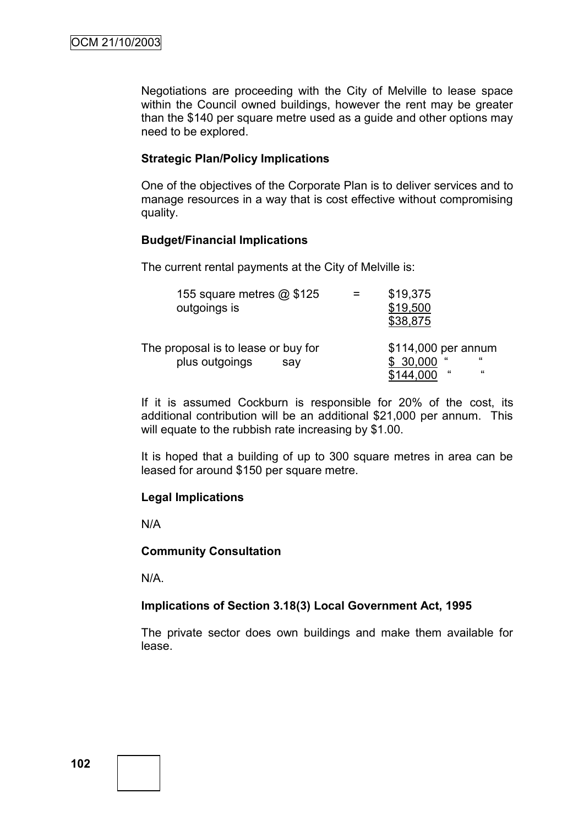Negotiations are proceeding with the City of Melville to lease space within the Council owned buildings, however the rent may be greater than the \$140 per square metre used as a guide and other options may need to be explored.

#### **Strategic Plan/Policy Implications**

One of the objectives of the Corporate Plan is to deliver services and to manage resources in a way that is cost effective without compromising quality.

#### **Budget/Financial Implications**

The current rental payments at the City of Melville is:

| 155 square metres @ \$125<br>outgoings is                    | \$19,375<br>\$19,500<br>\$38,875                                              |
|--------------------------------------------------------------|-------------------------------------------------------------------------------|
| The proposal is to lease or buy for<br>plus outgoings<br>sav | \$114,000 per annum<br>$\epsilon$<br>\$30,000<br>$\epsilon$<br>"<br>\$144,000 |

If it is assumed Cockburn is responsible for 20% of the cost, its additional contribution will be an additional \$21,000 per annum. This will equate to the rubbish rate increasing by \$1.00.

It is hoped that a building of up to 300 square metres in area can be leased for around \$150 per square metre.

#### **Legal Implications**

N/A

#### **Community Consultation**

N/A.

#### **Implications of Section 3.18(3) Local Government Act, 1995**

The private sector does own buildings and make them available for lease.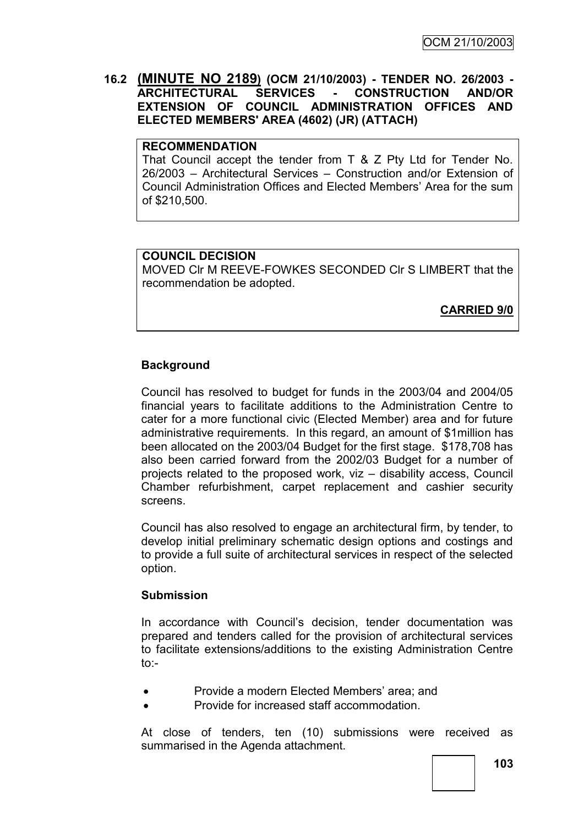# **16.2 (MINUTE NO 2189) (OCM 21/10/2003) - TENDER NO. 26/2003 - ARCHITECTURAL SERVICES - CONSTRUCTION AND/OR EXTENSION OF COUNCIL ADMINISTRATION OFFICES AND ELECTED MEMBERS' AREA (4602) (JR) (ATTACH)**

#### **RECOMMENDATION**

That Council accept the tender from T & Z Pty Ltd for Tender No. 26/2003 – Architectural Services – Construction and/or Extension of Council Administration Offices and Elected Members" Area for the sum of \$210,500.

# **COUNCIL DECISION**

MOVED Clr M REEVE-FOWKES SECONDED Clr S LIMBERT that the recommendation be adopted.

**CARRIED 9/0**

# **Background**

Council has resolved to budget for funds in the 2003/04 and 2004/05 financial years to facilitate additions to the Administration Centre to cater for a more functional civic (Elected Member) area and for future administrative requirements. In this regard, an amount of \$1million has been allocated on the 2003/04 Budget for the first stage. \$178,708 has also been carried forward from the 2002/03 Budget for a number of projects related to the proposed work, viz – disability access, Council Chamber refurbishment, carpet replacement and cashier security screens.

Council has also resolved to engage an architectural firm, by tender, to develop initial preliminary schematic design options and costings and to provide a full suite of architectural services in respect of the selected option.

# **Submission**

In accordance with Council's decision, tender documentation was prepared and tenders called for the provision of architectural services to facilitate extensions/additions to the existing Administration Centre  $\mathsf{to}$ :

- Provide a modern Elected Members' area; and
- Provide for increased staff accommodation.

At close of tenders, ten (10) submissions were received as summarised in the Agenda attachment.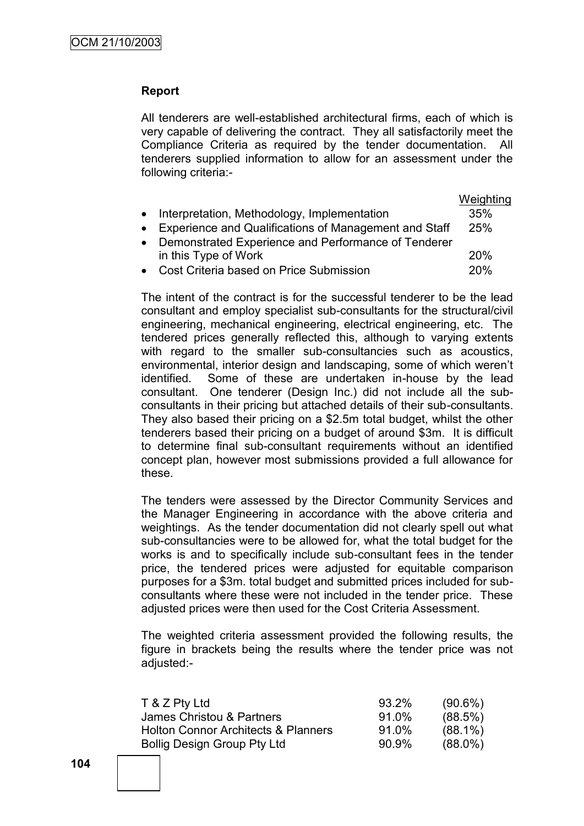# **Report**

All tenderers are well-established architectural firms, each of which is very capable of delivering the contract. They all satisfactorily meet the Compliance Criteria as required by the tender documentation. All tenderers supplied information to allow for an assessment under the following criteria:-

|                                                         | Weighting |
|---------------------------------------------------------|-----------|
| • Interpretation, Methodology, Implementation           | 35%       |
| • Experience and Qualifications of Management and Staff | 25%       |
| • Demonstrated Experience and Performance of Tenderer   |           |
| in this Type of Work                                    | 20%       |
| • Cost Criteria based on Price Submission               | 20%       |
|                                                         |           |

The intent of the contract is for the successful tenderer to be the lead consultant and employ specialist sub-consultants for the structural/civil engineering, mechanical engineering, electrical engineering, etc. The tendered prices generally reflected this, although to varying extents with regard to the smaller sub-consultancies such as acoustics, environmental, interior design and landscaping, some of which weren"t identified. Some of these are undertaken in-house by the lead consultant. One tenderer (Design Inc.) did not include all the subconsultants in their pricing but attached details of their sub-consultants. They also based their pricing on a \$2.5m total budget, whilst the other tenderers based their pricing on a budget of around \$3m. It is difficult to determine final sub-consultant requirements without an identified concept plan, however most submissions provided a full allowance for these.

The tenders were assessed by the Director Community Services and the Manager Engineering in accordance with the above criteria and weightings. As the tender documentation did not clearly spell out what sub-consultancies were to be allowed for, what the total budget for the works is and to specifically include sub-consultant fees in the tender price, the tendered prices were adjusted for equitable comparison purposes for a \$3m. total budget and submitted prices included for subconsultants where these were not included in the tender price. These adjusted prices were then used for the Cost Criteria Assessment.

The weighted criteria assessment provided the following results, the figure in brackets being the results where the tender price was not adjusted:-

| T & Z Pty Ltd                                  | 93.2% | $(90.6\%)$ |
|------------------------------------------------|-------|------------|
| James Christou & Partners                      | 91.0% | (88.5%)    |
| <b>Holton Connor Architects &amp; Planners</b> | 91.0% | $(88.1\%)$ |
| <b>Bollig Design Group Pty Ltd</b>             | 90.9% | $(88.0\%)$ |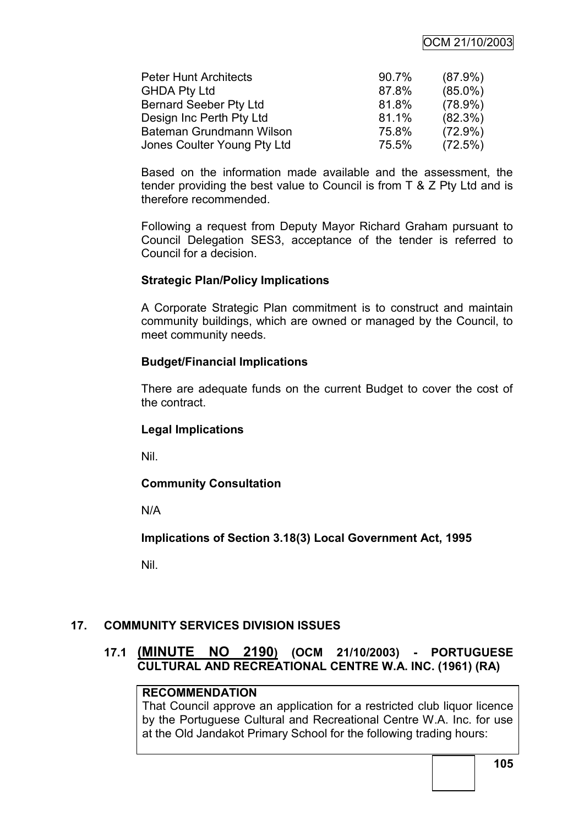# OCM 21/10/2003

| <b>Peter Hunt Architects</b>  | 90.7% | $(87.9\%)$ |
|-------------------------------|-------|------------|
| <b>GHDA Pty Ltd</b>           | 87.8% | $(85.0\%)$ |
| <b>Bernard Seeber Pty Ltd</b> | 81.8% | $(78.9\%)$ |
| Design Inc Perth Pty Ltd      | 81.1% | $(82.3\%)$ |
| Bateman Grundmann Wilson      | 75.8% | $(72.9\%)$ |
| Jones Coulter Young Pty Ltd   | 75.5% | (72.5%)    |

Based on the information made available and the assessment, the tender providing the best value to Council is from T & Z Pty Ltd and is therefore recommended.

Following a request from Deputy Mayor Richard Graham pursuant to Council Delegation SES3, acceptance of the tender is referred to Council for a decision.

#### **Strategic Plan/Policy Implications**

A Corporate Strategic Plan commitment is to construct and maintain community buildings, which are owned or managed by the Council, to meet community needs.

#### **Budget/Financial Implications**

There are adequate funds on the current Budget to cover the cost of the contract.

# **Legal Implications**

Nil.

# **Community Consultation**

N/A

**Implications of Section 3.18(3) Local Government Act, 1995**

Nil.

# **17. COMMUNITY SERVICES DIVISION ISSUES**

# **17.1 (MINUTE NO 2190) (OCM 21/10/2003) - PORTUGUESE CULTURAL AND RECREATIONAL CENTRE W.A. INC. (1961) (RA)**

# **RECOMMENDATION**

That Council approve an application for a restricted club liquor licence by the Portuguese Cultural and Recreational Centre W.A. Inc. for use at the Old Jandakot Primary School for the following trading hours: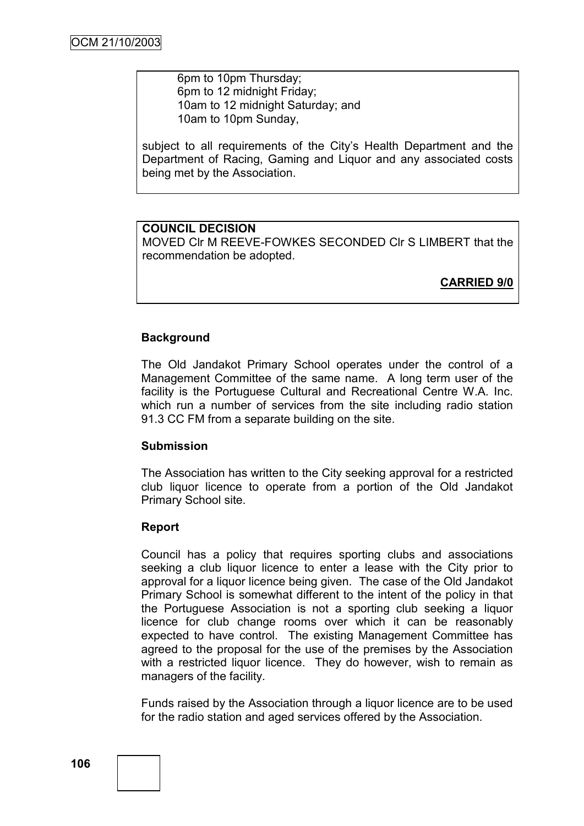6pm to 10pm Thursday; 6pm to 12 midnight Friday; 10am to 12 midnight Saturday; and 10am to 10pm Sunday,

subject to all requirements of the City's Health Department and the Department of Racing, Gaming and Liquor and any associated costs being met by the Association.

# **COUNCIL DECISION**

MOVED Clr M REEVE-FOWKES SECONDED Clr S LIMBERT that the recommendation be adopted.

**CARRIED 9/0**

# **Background**

The Old Jandakot Primary School operates under the control of a Management Committee of the same name. A long term user of the facility is the Portuguese Cultural and Recreational Centre W.A. Inc. which run a number of services from the site including radio station 91.3 CC FM from a separate building on the site.

# **Submission**

The Association has written to the City seeking approval for a restricted club liquor licence to operate from a portion of the Old Jandakot Primary School site.

# **Report**

Council has a policy that requires sporting clubs and associations seeking a club liquor licence to enter a lease with the City prior to approval for a liquor licence being given. The case of the Old Jandakot Primary School is somewhat different to the intent of the policy in that the Portuguese Association is not a sporting club seeking a liquor licence for club change rooms over which it can be reasonably expected to have control. The existing Management Committee has agreed to the proposal for the use of the premises by the Association with a restricted liquor licence. They do however, wish to remain as managers of the facility.

Funds raised by the Association through a liquor licence are to be used for the radio station and aged services offered by the Association.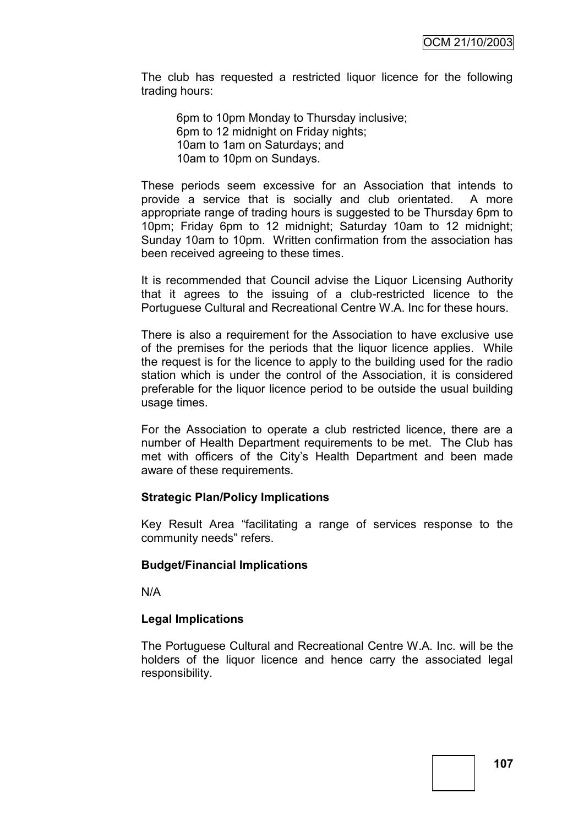The club has requested a restricted liquor licence for the following trading hours:

6pm to 10pm Monday to Thursday inclusive; 6pm to 12 midnight on Friday nights; 10am to 1am on Saturdays; and 10am to 10pm on Sundays.

These periods seem excessive for an Association that intends to provide a service that is socially and club orientated. A more appropriate range of trading hours is suggested to be Thursday 6pm to 10pm; Friday 6pm to 12 midnight; Saturday 10am to 12 midnight; Sunday 10am to 10pm. Written confirmation from the association has been received agreeing to these times.

It is recommended that Council advise the Liquor Licensing Authority that it agrees to the issuing of a club-restricted licence to the Portuguese Cultural and Recreational Centre W.A. Inc for these hours.

There is also a requirement for the Association to have exclusive use of the premises for the periods that the liquor licence applies. While the request is for the licence to apply to the building used for the radio station which is under the control of the Association, it is considered preferable for the liquor licence period to be outside the usual building usage times.

For the Association to operate a club restricted licence, there are a number of Health Department requirements to be met. The Club has met with officers of the City"s Health Department and been made aware of these requirements.

# **Strategic Plan/Policy Implications**

Key Result Area "facilitating a range of services response to the community needs" refers.

#### **Budget/Financial Implications**

N/A

# **Legal Implications**

The Portuguese Cultural and Recreational Centre W.A. Inc. will be the holders of the liquor licence and hence carry the associated legal responsibility.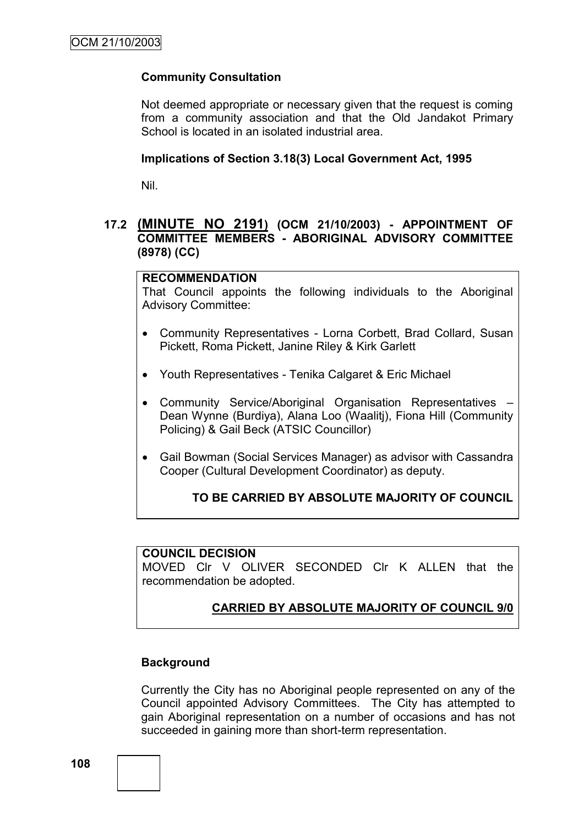# **Community Consultation**

Not deemed appropriate or necessary given that the request is coming from a community association and that the Old Jandakot Primary School is located in an isolated industrial area.

#### **Implications of Section 3.18(3) Local Government Act, 1995**

Nil.

# **17.2 (MINUTE NO 2191) (OCM 21/10/2003) - APPOINTMENT OF COMMITTEE MEMBERS - ABORIGINAL ADVISORY COMMITTEE (8978) (CC)**

#### **RECOMMENDATION**

That Council appoints the following individuals to the Aboriginal Advisory Committee:

- Community Representatives Lorna Corbett, Brad Collard, Susan Pickett, Roma Pickett, Janine Riley & Kirk Garlett
- Youth Representatives Tenika Calgaret & Eric Michael
- Community Service/Aboriginal Organisation Representatives Dean Wynne (Burdiya), Alana Loo (Waalitj), Fiona Hill (Community Policing) & Gail Beck (ATSIC Councillor)
- Gail Bowman (Social Services Manager) as advisor with Cassandra Cooper (Cultural Development Coordinator) as deputy.

# **TO BE CARRIED BY ABSOLUTE MAJORITY OF COUNCIL**

#### **COUNCIL DECISION**

MOVED Clr V OLIVER SECONDED Clr K ALLEN that the recommendation be adopted.

# **CARRIED BY ABSOLUTE MAJORITY OF COUNCIL 9/0**

# **Background**

Currently the City has no Aboriginal people represented on any of the Council appointed Advisory Committees. The City has attempted to gain Aboriginal representation on a number of occasions and has not succeeded in gaining more than short-term representation.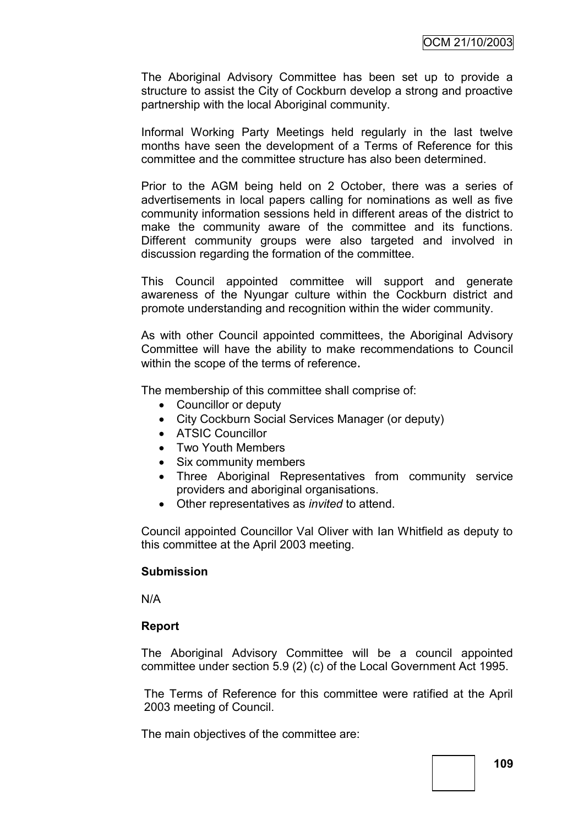The Aboriginal Advisory Committee has been set up to provide a structure to assist the City of Cockburn develop a strong and proactive partnership with the local Aboriginal community.

Informal Working Party Meetings held regularly in the last twelve months have seen the development of a Terms of Reference for this committee and the committee structure has also been determined.

Prior to the AGM being held on 2 October, there was a series of advertisements in local papers calling for nominations as well as five community information sessions held in different areas of the district to make the community aware of the committee and its functions. Different community groups were also targeted and involved in discussion regarding the formation of the committee.

This Council appointed committee will support and generate awareness of the Nyungar culture within the Cockburn district and promote understanding and recognition within the wider community.

As with other Council appointed committees, the Aboriginal Advisory Committee will have the ability to make recommendations to Council within the scope of the terms of reference.

The membership of this committee shall comprise of:

- Councillor or deputy
- City Cockburn Social Services Manager (or deputy)
- ATSIC Councillor
- Two Youth Members
- Six community members
- Three Aboriginal Representatives from community service providers and aboriginal organisations.
- Other representatives as *invited* to attend.

Council appointed Councillor Val Oliver with Ian Whitfield as deputy to this committee at the April 2003 meeting.

#### **Submission**

N/A

# **Report**

The Aboriginal Advisory Committee will be a council appointed committee under section 5.9 (2) (c) of the Local Government Act 1995.

The Terms of Reference for this committee were ratified at the April 2003 meeting of Council.

The main objectives of the committee are: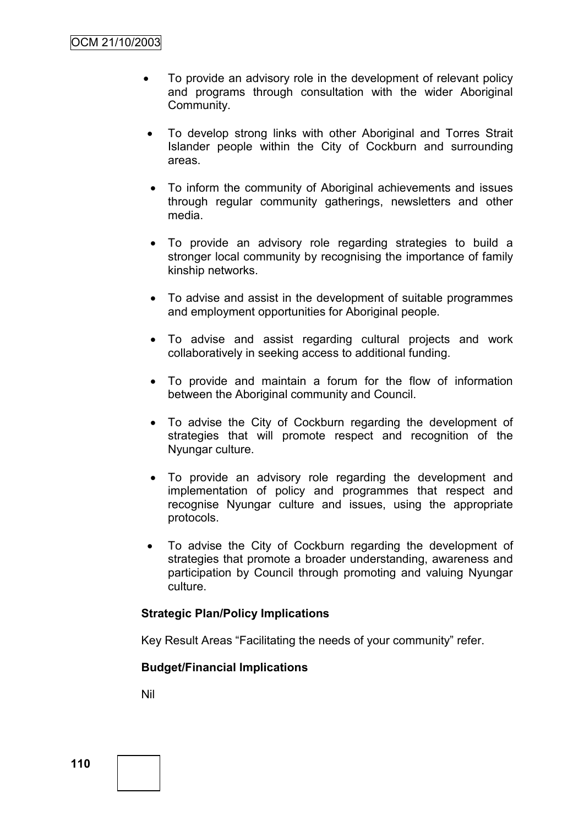- To provide an advisory role in the development of relevant policy and programs through consultation with the wider Aboriginal Community.
- To develop strong links with other Aboriginal and Torres Strait Islander people within the City of Cockburn and surrounding areas.
- To inform the community of Aboriginal achievements and issues through regular community gatherings, newsletters and other media.
- To provide an advisory role regarding strategies to build a stronger local community by recognising the importance of family kinship networks.
- To advise and assist in the development of suitable programmes and employment opportunities for Aboriginal people.
- To advise and assist regarding cultural projects and work collaboratively in seeking access to additional funding.
- To provide and maintain a forum for the flow of information between the Aboriginal community and Council.
- To advise the City of Cockburn regarding the development of strategies that will promote respect and recognition of the Nyungar culture.
- To provide an advisory role regarding the development and implementation of policy and programmes that respect and recognise Nyungar culture and issues, using the appropriate protocols.
- To advise the City of Cockburn regarding the development of strategies that promote a broader understanding, awareness and participation by Council through promoting and valuing Nyungar culture.

# **Strategic Plan/Policy Implications**

Key Result Areas "Facilitating the needs of your community" refer.

# **Budget/Financial Implications**

Nil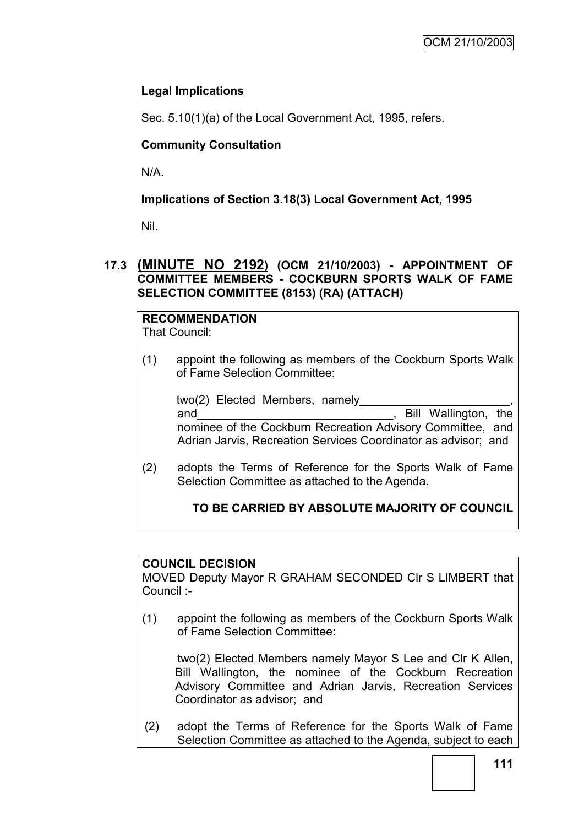# **Legal Implications**

Sec. 5.10(1)(a) of the Local Government Act, 1995, refers.

# **Community Consultation**

N/A.

# **Implications of Section 3.18(3) Local Government Act, 1995**

Nil.

# **17.3 (MINUTE NO 2192) (OCM 21/10/2003) - APPOINTMENT OF COMMITTEE MEMBERS - COCKBURN SPORTS WALK OF FAME SELECTION COMMITTEE (8153) (RA) (ATTACH)**

# **RECOMMENDATION**

That Council:

(1) appoint the following as members of the Cockburn Sports Walk of Fame Selection Committee:

two(2) Elected Members, namely and and the contract of the contract of the state of the state of the state of the state of the state of the state of the state of the state of the state of the state of the state of the state of the state of the state of nominee of the Cockburn Recreation Advisory Committee, and Adrian Jarvis, Recreation Services Coordinator as advisor; and

(2) adopts the Terms of Reference for the Sports Walk of Fame Selection Committee as attached to the Agenda.

# **TO BE CARRIED BY ABSOLUTE MAJORITY OF COUNCIL**

# **COUNCIL DECISION**

MOVED Deputy Mayor R GRAHAM SECONDED Clr S LIMBERT that Council :-

(1) appoint the following as members of the Cockburn Sports Walk of Fame Selection Committee:

two(2) Elected Members namely Mayor S Lee and Clr K Allen, Bill Wallington, the nominee of the Cockburn Recreation Advisory Committee and Adrian Jarvis, Recreation Services Coordinator as advisor; and

(2) adopt the Terms of Reference for the Sports Walk of Fame Selection Committee as attached to the Agenda, subject to each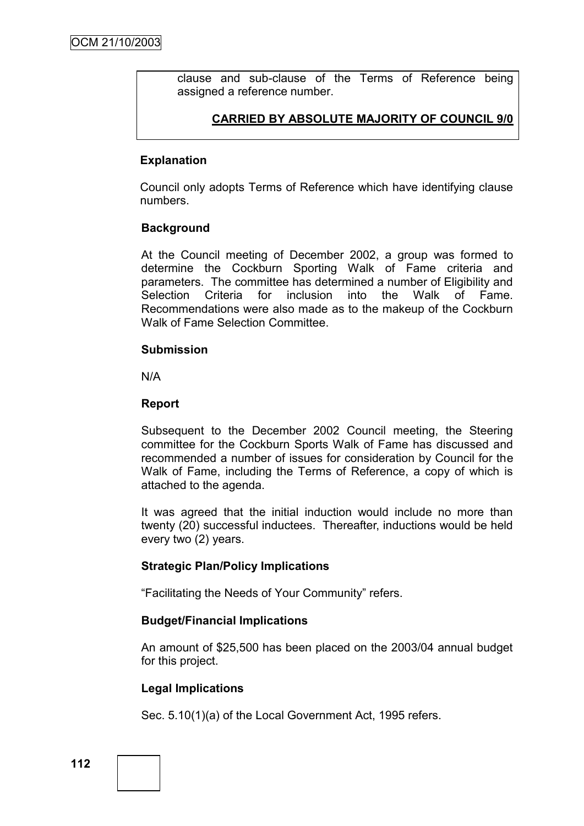clause and sub-clause of the Terms of Reference being assigned a reference number.

# **CARRIED BY ABSOLUTE MAJORITY OF COUNCIL 9/0**

### **Explanation**

Council only adopts Terms of Reference which have identifying clause numbers.

#### **Background**

At the Council meeting of December 2002, a group was formed to determine the Cockburn Sporting Walk of Fame criteria and parameters. The committee has determined a number of Eligibility and Selection Criteria for inclusion into the Walk of Fame. Recommendations were also made as to the makeup of the Cockburn Walk of Fame Selection Committee.

#### **Submission**

N/A

#### **Report**

Subsequent to the December 2002 Council meeting, the Steering committee for the Cockburn Sports Walk of Fame has discussed and recommended a number of issues for consideration by Council for the Walk of Fame, including the Terms of Reference, a copy of which is attached to the agenda.

It was agreed that the initial induction would include no more than twenty (20) successful inductees. Thereafter, inductions would be held every two (2) years.

# **Strategic Plan/Policy Implications**

"Facilitating the Needs of Your Community" refers.

#### **Budget/Financial Implications**

An amount of \$25,500 has been placed on the 2003/04 annual budget for this project.

#### **Legal Implications**

Sec. 5.10(1)(a) of the Local Government Act, 1995 refers.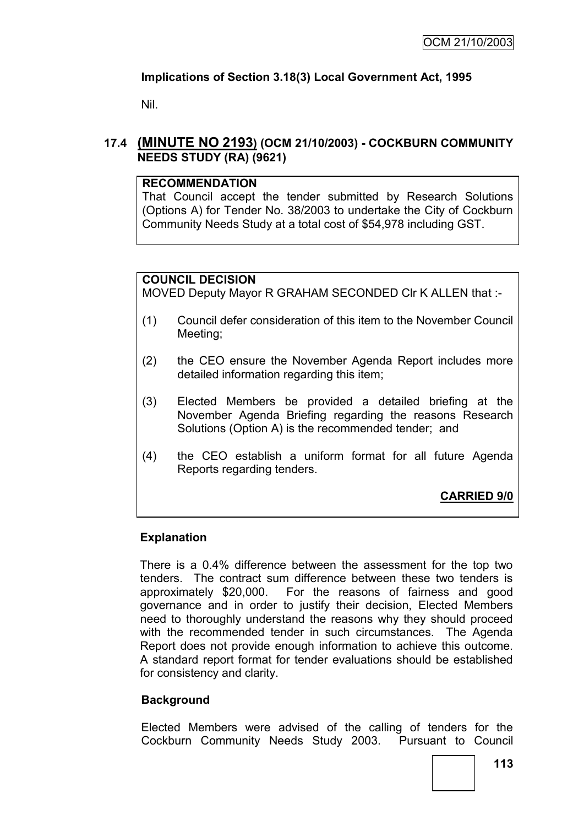# **Implications of Section 3.18(3) Local Government Act, 1995**

Nil.

# **17.4 (MINUTE NO 2193) (OCM 21/10/2003) - COCKBURN COMMUNITY NEEDS STUDY (RA) (9621)**

### **RECOMMENDATION**

That Council accept the tender submitted by Research Solutions (Options A) for Tender No. 38/2003 to undertake the City of Cockburn Community Needs Study at a total cost of \$54,978 including GST.

# **COUNCIL DECISION**

MOVED Deputy Mayor R GRAHAM SECONDED Clr K ALLEN that :-

- (1) Council defer consideration of this item to the November Council Meeting;
- (2) the CEO ensure the November Agenda Report includes more detailed information regarding this item;
- (3) Elected Members be provided a detailed briefing at the November Agenda Briefing regarding the reasons Research Solutions (Option A) is the recommended tender; and
- (4) the CEO establish a uniform format for all future Agenda Reports regarding tenders.

**CARRIED 9/0**

# **Explanation**

There is a 0.4% difference between the assessment for the top two tenders. The contract sum difference between these two tenders is approximately \$20,000. For the reasons of fairness and good governance and in order to justify their decision, Elected Members need to thoroughly understand the reasons why they should proceed with the recommended tender in such circumstances. The Agenda Report does not provide enough information to achieve this outcome. A standard report format for tender evaluations should be established for consistency and clarity.

# **Background**

Elected Members were advised of the calling of tenders for the Cockburn Community Needs Study 2003. Pursuant to Council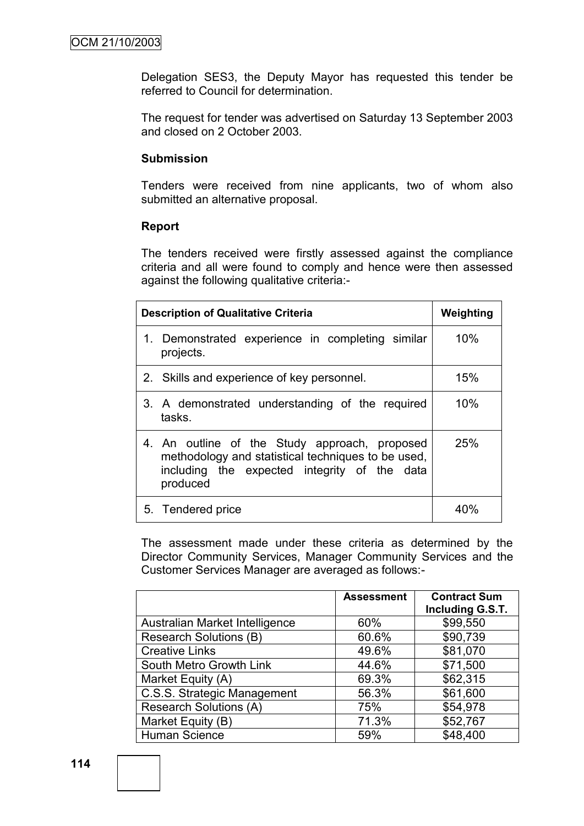Delegation SES3, the Deputy Mayor has requested this tender be referred to Council for determination.

The request for tender was advertised on Saturday 13 September 2003 and closed on 2 October 2003.

### **Submission**

Tenders were received from nine applicants, two of whom also submitted an alternative proposal.

#### **Report**

The tenders received were firstly assessed against the compliance criteria and all were found to comply and hence were then assessed against the following qualitative criteria:-

| <b>Description of Qualitative Criteria</b>                                                                                                                      | Weighting |
|-----------------------------------------------------------------------------------------------------------------------------------------------------------------|-----------|
| 1. Demonstrated experience in completing similar<br>projects.                                                                                                   | 10%       |
| 2. Skills and experience of key personnel.                                                                                                                      | 15%       |
| 3. A demonstrated understanding of the required<br>tasks.                                                                                                       | 10%       |
| 4. An outline of the Study approach, proposed<br>methodology and statistical techniques to be used.<br>including the expected integrity of the data<br>produced | 25%       |
| 5. Tendered price                                                                                                                                               |           |

The assessment made under these criteria as determined by the Director Community Services, Manager Community Services and the Customer Services Manager are averaged as follows:-

|                                | <b>Assessment</b> | <b>Contract Sum</b><br>Including G.S.T. |
|--------------------------------|-------------------|-----------------------------------------|
| Australian Market Intelligence | 60%               | \$99,550                                |
| <b>Research Solutions (B)</b>  | 60.6%             | \$90,739                                |
| <b>Creative Links</b>          | 49.6%             | \$81,070                                |
| South Metro Growth Link        | 44.6%             | \$71,500                                |
| Market Equity (A)              | 69.3%             | \$62,315                                |
| C.S.S. Strategic Management    | 56.3%             | \$61,600                                |
| <b>Research Solutions (A)</b>  | 75%               | \$54,978                                |
| Market Equity (B)              | 71.3%             | \$52,767                                |
| Human Science                  | 59%               | \$48,400                                |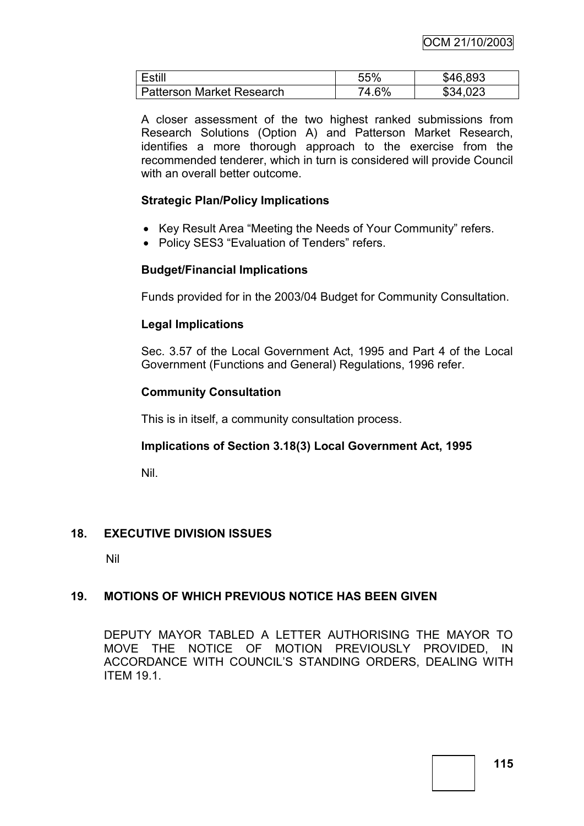| Estill                           | 55%   | \$46,893 |
|----------------------------------|-------|----------|
| <b>Patterson Market Research</b> | 74.6% | \$34,023 |

A closer assessment of the two highest ranked submissions from Research Solutions (Option A) and Patterson Market Research, identifies a more thorough approach to the exercise from the recommended tenderer, which in turn is considered will provide Council with an overall better outcome.

### **Strategic Plan/Policy Implications**

- Key Result Area "Meeting the Needs of Your Community" refers.
- Policy SES3 "Evaluation of Tenders" refers.

# **Budget/Financial Implications**

Funds provided for in the 2003/04 Budget for Community Consultation.

# **Legal Implications**

Sec. 3.57 of the Local Government Act, 1995 and Part 4 of the Local Government (Functions and General) Regulations, 1996 refer.

# **Community Consultation**

This is in itself, a community consultation process.

# **Implications of Section 3.18(3) Local Government Act, 1995**

Nil.

# **18. EXECUTIVE DIVISION ISSUES**

Nil

# **19. MOTIONS OF WHICH PREVIOUS NOTICE HAS BEEN GIVEN**

DEPUTY MAYOR TABLED A LETTER AUTHORISING THE MAYOR TO MOVE THE NOTICE OF MOTION PREVIOUSLY PROVIDED, IN ACCORDANCE WITH COUNCIL"S STANDING ORDERS, DEALING WITH ITEM 19.1.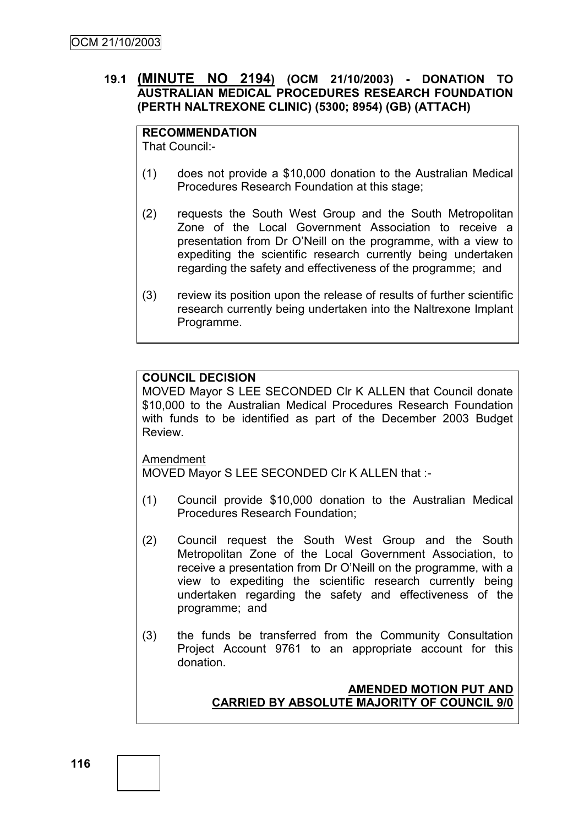# **19.1 (MINUTE NO 2194) (OCM 21/10/2003) - DONATION TO AUSTRALIAN MEDICAL PROCEDURES RESEARCH FOUNDATION (PERTH NALTREXONE CLINIC) (5300; 8954) (GB) (ATTACH)**

**RECOMMENDATION** That Council:-

- (1) does not provide a \$10,000 donation to the Australian Medical Procedures Research Foundation at this stage;
- (2) requests the South West Group and the South Metropolitan Zone of the Local Government Association to receive a presentation from Dr O"Neill on the programme, with a view to expediting the scientific research currently being undertaken regarding the safety and effectiveness of the programme; and
- (3) review its position upon the release of results of further scientific research currently being undertaken into the Naltrexone Implant Programme.

# **COUNCIL DECISION**

MOVED Mayor S LEE SECONDED Clr K ALLEN that Council donate \$10,000 to the Australian Medical Procedures Research Foundation with funds to be identified as part of the December 2003 Budget Review.

Amendment

MOVED Mayor S LEE SECONDED Clr K ALLEN that :-

- (1) Council provide \$10,000 donation to the Australian Medical Procedures Research Foundation;
- (2) Council request the South West Group and the South Metropolitan Zone of the Local Government Association, to receive a presentation from Dr O"Neill on the programme, with a view to expediting the scientific research currently being undertaken regarding the safety and effectiveness of the programme; and
- (3) the funds be transferred from the Community Consultation Project Account 9761 to an appropriate account for this donation.

# **AMENDED MOTION PUT AND CARRIED BY ABSOLUTE MAJORITY OF COUNCIL 9/0**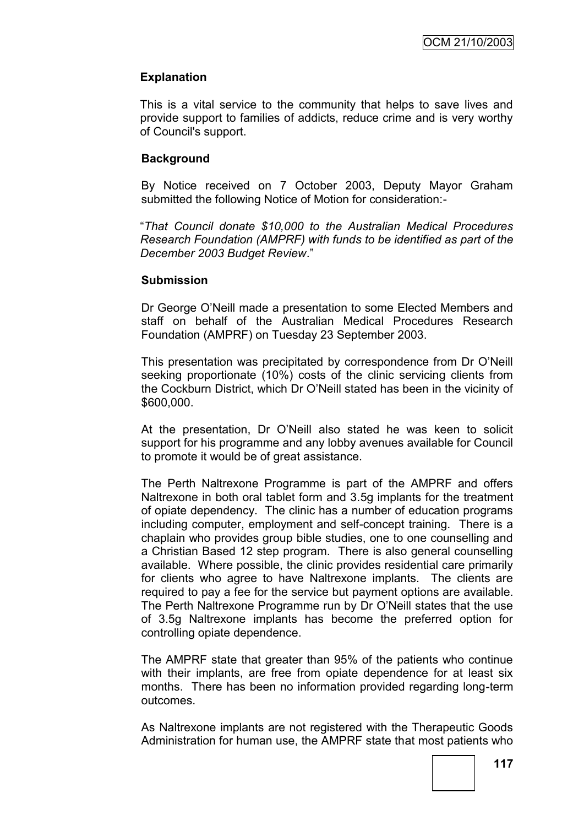# **Explanation**

This is a vital service to the community that helps to save lives and provide support to families of addicts, reduce crime and is very worthy of Council's support.

# **Background**

By Notice received on 7 October 2003, Deputy Mayor Graham submitted the following Notice of Motion for consideration:-

"*That Council donate \$10,000 to the Australian Medical Procedures Research Foundation (AMPRF) with funds to be identified as part of the December 2003 Budget Review*."

#### **Submission**

Dr George O"Neill made a presentation to some Elected Members and staff on behalf of the Australian Medical Procedures Research Foundation (AMPRF) on Tuesday 23 September 2003.

This presentation was precipitated by correspondence from Dr O"Neill seeking proportionate (10%) costs of the clinic servicing clients from the Cockburn District, which Dr O"Neill stated has been in the vicinity of \$600,000.

At the presentation, Dr O"Neill also stated he was keen to solicit support for his programme and any lobby avenues available for Council to promote it would be of great assistance.

The Perth Naltrexone Programme is part of the AMPRF and offers Naltrexone in both oral tablet form and 3.5g implants for the treatment of opiate dependency. The clinic has a number of education programs including computer, employment and self-concept training. There is a chaplain who provides group bible studies, one to one counselling and a Christian Based 12 step program. There is also general counselling available. Where possible, the clinic provides residential care primarily for clients who agree to have Naltrexone implants. The clients are required to pay a fee for the service but payment options are available. The Perth Naltrexone Programme run by Dr O"Neill states that the use of 3.5g Naltrexone implants has become the preferred option for controlling opiate dependence.

The AMPRF state that greater than 95% of the patients who continue with their implants, are free from opiate dependence for at least six months. There has been no information provided regarding long-term outcomes.

As Naltrexone implants are not registered with the Therapeutic Goods Administration for human use, the AMPRF state that most patients who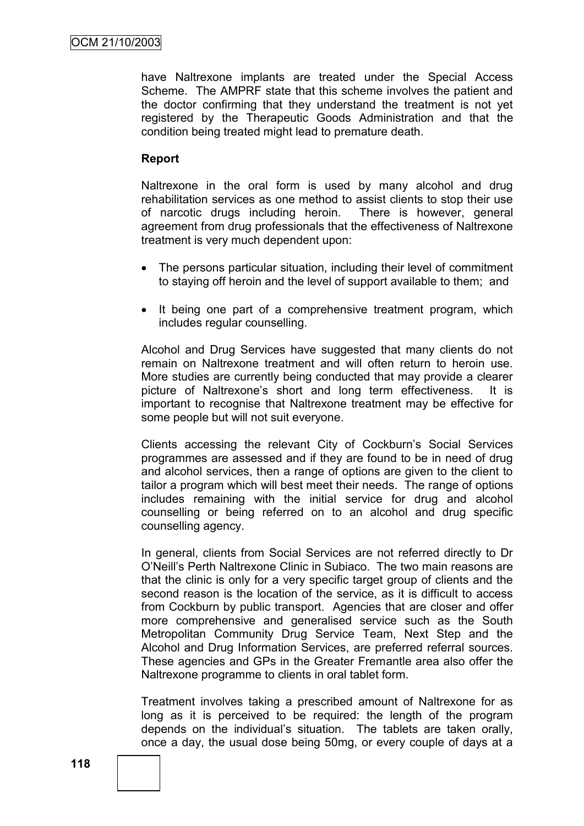have Naltrexone implants are treated under the Special Access Scheme. The AMPRF state that this scheme involves the patient and the doctor confirming that they understand the treatment is not yet registered by the Therapeutic Goods Administration and that the condition being treated might lead to premature death.

### **Report**

Naltrexone in the oral form is used by many alcohol and drug rehabilitation services as one method to assist clients to stop their use of narcotic drugs including heroin. There is however, general agreement from drug professionals that the effectiveness of Naltrexone treatment is very much dependent upon:

- The persons particular situation, including their level of commitment to staying off heroin and the level of support available to them; and
- It being one part of a comprehensive treatment program, which includes regular counselling.

Alcohol and Drug Services have suggested that many clients do not remain on Naltrexone treatment and will often return to heroin use. More studies are currently being conducted that may provide a clearer picture of Naltrexone"s short and long term effectiveness. It is important to recognise that Naltrexone treatment may be effective for some people but will not suit everyone.

Clients accessing the relevant City of Cockburn"s Social Services programmes are assessed and if they are found to be in need of drug and alcohol services, then a range of options are given to the client to tailor a program which will best meet their needs. The range of options includes remaining with the initial service for drug and alcohol counselling or being referred on to an alcohol and drug specific counselling agency.

In general, clients from Social Services are not referred directly to Dr O"Neill"s Perth Naltrexone Clinic in Subiaco. The two main reasons are that the clinic is only for a very specific target group of clients and the second reason is the location of the service, as it is difficult to access from Cockburn by public transport. Agencies that are closer and offer more comprehensive and generalised service such as the South Metropolitan Community Drug Service Team, Next Step and the Alcohol and Drug Information Services, are preferred referral sources. These agencies and GPs in the Greater Fremantle area also offer the Naltrexone programme to clients in oral tablet form.

Treatment involves taking a prescribed amount of Naltrexone for as long as it is perceived to be required: the length of the program depends on the individual"s situation. The tablets are taken orally, once a day, the usual dose being 50mg, or every couple of days at a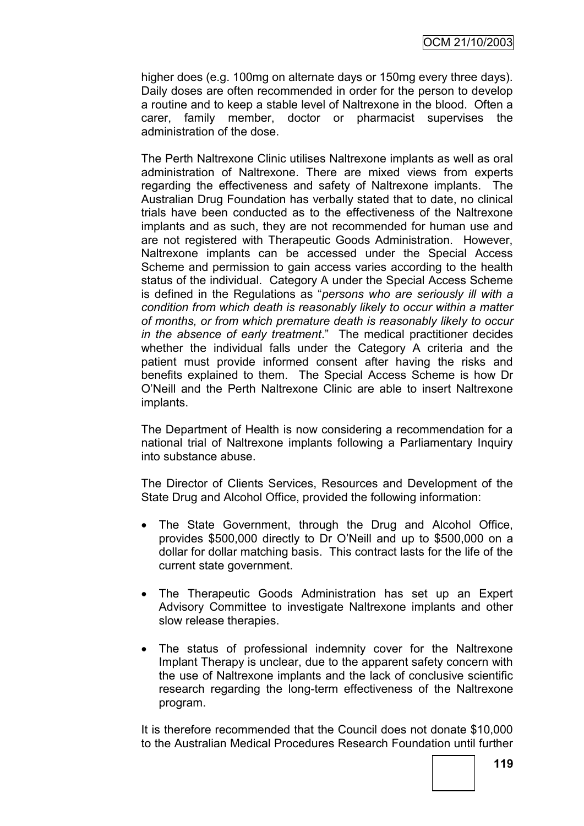higher does (e.g. 100mg on alternate days or 150mg every three days). Daily doses are often recommended in order for the person to develop a routine and to keep a stable level of Naltrexone in the blood. Often a carer, family member, doctor or pharmacist supervises the administration of the dose.

The Perth Naltrexone Clinic utilises Naltrexone implants as well as oral administration of Naltrexone. There are mixed views from experts regarding the effectiveness and safety of Naltrexone implants. The Australian Drug Foundation has verbally stated that to date, no clinical trials have been conducted as to the effectiveness of the Naltrexone implants and as such, they are not recommended for human use and are not registered with Therapeutic Goods Administration. However, Naltrexone implants can be accessed under the Special Access Scheme and permission to gain access varies according to the health status of the individual. Category A under the Special Access Scheme is defined in the Regulations as "*persons who are seriously ill with a condition from which death is reasonably likely to occur within a matter of months, or from which premature death is reasonably likely to occur in the absence of early treatment*." The medical practitioner decides whether the individual falls under the Category A criteria and the patient must provide informed consent after having the risks and benefits explained to them. The Special Access Scheme is how Dr O"Neill and the Perth Naltrexone Clinic are able to insert Naltrexone implants.

The Department of Health is now considering a recommendation for a national trial of Naltrexone implants following a Parliamentary Inquiry into substance abuse.

The Director of Clients Services, Resources and Development of the State Drug and Alcohol Office, provided the following information:

- The State Government, through the Drug and Alcohol Office, provides \$500,000 directly to Dr O"Neill and up to \$500,000 on a dollar for dollar matching basis. This contract lasts for the life of the current state government.
- The Therapeutic Goods Administration has set up an Expert Advisory Committee to investigate Naltrexone implants and other slow release therapies.
- The status of professional indemnity cover for the Naltrexone Implant Therapy is unclear, due to the apparent safety concern with the use of Naltrexone implants and the lack of conclusive scientific research regarding the long-term effectiveness of the Naltrexone program.

It is therefore recommended that the Council does not donate \$10,000 to the Australian Medical Procedures Research Foundation until further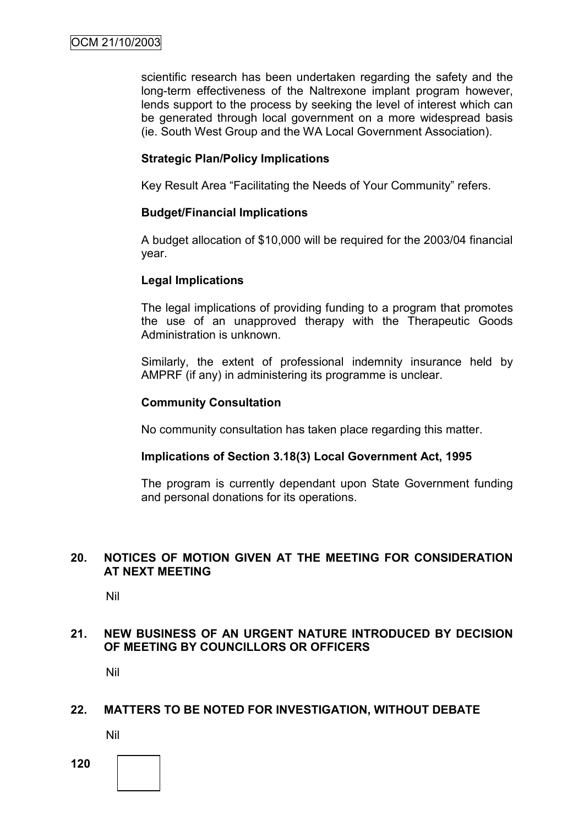scientific research has been undertaken regarding the safety and the long-term effectiveness of the Naltrexone implant program however, lends support to the process by seeking the level of interest which can be generated through local government on a more widespread basis (ie. South West Group and the WA Local Government Association).

# **Strategic Plan/Policy Implications**

Key Result Area "Facilitating the Needs of Your Community" refers.

# **Budget/Financial Implications**

A budget allocation of \$10,000 will be required for the 2003/04 financial year.

# **Legal Implications**

The legal implications of providing funding to a program that promotes the use of an unapproved therapy with the Therapeutic Goods Administration is unknown.

Similarly, the extent of professional indemnity insurance held by AMPRF (if any) in administering its programme is unclear.

# **Community Consultation**

No community consultation has taken place regarding this matter.

# **Implications of Section 3.18(3) Local Government Act, 1995**

The program is currently dependant upon State Government funding and personal donations for its operations.

# **20. NOTICES OF MOTION GIVEN AT THE MEETING FOR CONSIDERATION AT NEXT MEETING**

Nil

# **21. NEW BUSINESS OF AN URGENT NATURE INTRODUCED BY DECISION OF MEETING BY COUNCILLORS OR OFFICERS**

Nil

# **22. MATTERS TO BE NOTED FOR INVESTIGATION, WITHOUT DEBATE**

Nil

**120**